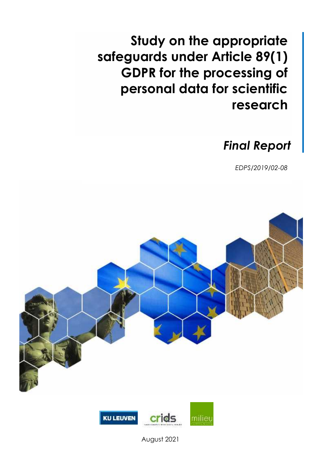**Study on the appropriate safeguards under Article 89(1) GDPR for the processing of personal data for scientific research**

# *Final Report*

*EDPS/2019/02-08*





August 2021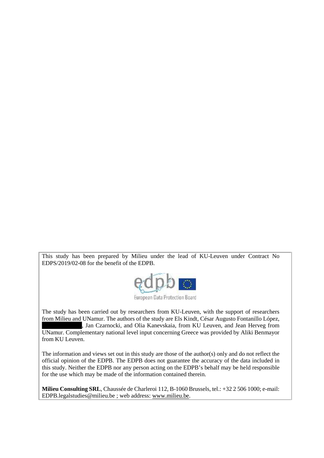This study has been prepared by Milieu under the lead of KU-Leuven under Contract No EDPS/2019/02-08 for the benefit of the EDPB.



European Data Protection Board

The study has been carried out by researchers from KU-Leuven, with the support of researchers from Milieu and UNamur. The authors of the study are Els Kindt, César Augusto Fontanillo López, , Jan Czarnocki, and Olia Kanevskaia, from KU Leuven, and Jean Herveg from UNamur. Complementary national level input concerning Greece was provided by Aliki Benmayor from KU Leuven.

The information and views set out in this study are those of the author(s) only and do not reflect the official opinion of the EDPB. The EDPB does not guarantee the accuracy of the data included in this study. Neither the EDPB nor any person acting on the EDPB's behalf may be held responsible for the use which may be made of the information contained therein.

**Milieu Consulting SRL**, Chaussée de Charleroi 112, B-1060 Brussels, tel.: +32 2 506 1000; e-mail: EDPB.legalstudies@milieu.be ; web address: www.milieu.be.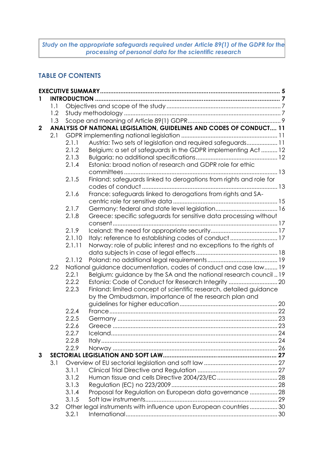*Study on the appropriate safeguards required under Article 89(1) of the GDPR for the processing of personal data for the scientific research*

# **TABLE OF CONTENTS**

|              | 1.1 |        |                                                                      |  |
|--------------|-----|--------|----------------------------------------------------------------------|--|
|              | 1.2 |        |                                                                      |  |
|              | 1.3 |        |                                                                      |  |
| $\mathbf{2}$ |     |        | ANALYSIS OF NATIONAL LEGISLATION, GUIDELINES AND CODES OF CONDUCT 11 |  |
|              | 2.1 |        |                                                                      |  |
|              |     | 2.1.1  | Austria: Two sets of legislation and required safeguards 11          |  |
|              |     | 2.1.2  | Belgium: a set of safeguards in the GDPR implementing Act  12        |  |
|              |     | 2.1.3  |                                                                      |  |
|              |     | 2.1.4  | Estonia: broad notion of research and GDPR role for ethic            |  |
|              |     |        |                                                                      |  |
|              |     | 2.1.5  | Finland: safeguards linked to derogations from rights and role for   |  |
|              |     |        |                                                                      |  |
|              |     | 2.1.6  | France: safeguards linked to derogations from rights and SA-         |  |
|              |     |        |                                                                      |  |
|              |     | 2.1.7  |                                                                      |  |
|              |     | 2.1.8  | Greece: specific safeguards for sensitive data processing without    |  |
|              |     |        |                                                                      |  |
|              |     | 2.1.9  |                                                                      |  |
|              |     | 2.1.10 | Italy: reference to establishing codes of conduct 17                 |  |
|              |     | 2.1.11 | Norway: role of public interest and no exceptions to the rights of   |  |
|              |     |        |                                                                      |  |
|              |     | 2.1.12 |                                                                      |  |
|              | 2.2 |        | National guidance documentation, codes of conduct and case law 19    |  |
|              |     | 2.2.1  | Belgium: guidance by the SA and the national research council 19     |  |
|              |     | 2.2.2  |                                                                      |  |
|              |     | 2.2.3  | Finland: limited concept of scientific research, detailed guidance   |  |
|              |     |        | by the Ombudsman, importance of the research plan and                |  |
|              |     |        |                                                                      |  |
|              |     | 2.2.4  |                                                                      |  |
|              |     | 2.2.5  |                                                                      |  |
|              |     | 2.2.6  |                                                                      |  |
|              |     | 2.2.7  |                                                                      |  |
|              |     | 2.2.8  |                                                                      |  |
|              |     | 2.2.9  |                                                                      |  |
| 3            |     |        |                                                                      |  |
|              | 3.1 |        |                                                                      |  |
|              |     | 3.1.1  |                                                                      |  |
|              |     | 3.1.2  |                                                                      |  |
|              |     | 3.1.3  |                                                                      |  |
|              |     | 3.1.4  | Proposal for Regulation on European data governance  28              |  |
|              |     | 3.1.5  |                                                                      |  |
|              | 3.2 |        | Other legal instruments with influence upon European countries  30   |  |
|              |     | 3.2.1  |                                                                      |  |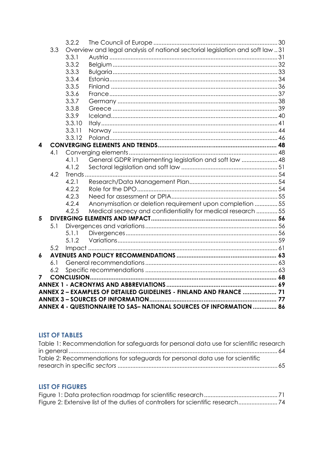|   |                                                                     | 3.2.2                                                                         |                                                              |  |  |  |
|---|---------------------------------------------------------------------|-------------------------------------------------------------------------------|--------------------------------------------------------------|--|--|--|
|   | 3.3                                                                 | Overview and legal analysis of national sectorial legislation and soft law 31 |                                                              |  |  |  |
|   |                                                                     | 3.3.1                                                                         |                                                              |  |  |  |
|   |                                                                     | 3.3.2                                                                         |                                                              |  |  |  |
|   |                                                                     | 3.3.3                                                                         |                                                              |  |  |  |
|   |                                                                     | 3.3.4                                                                         |                                                              |  |  |  |
|   |                                                                     | 3.3.5                                                                         |                                                              |  |  |  |
|   |                                                                     | 3.3.6                                                                         |                                                              |  |  |  |
|   |                                                                     | 3.3.7                                                                         |                                                              |  |  |  |
|   |                                                                     | 3.3.8                                                                         |                                                              |  |  |  |
|   |                                                                     | 3.3.9                                                                         |                                                              |  |  |  |
|   |                                                                     | 3.3.10                                                                        |                                                              |  |  |  |
|   |                                                                     | 3.3.11                                                                        |                                                              |  |  |  |
|   |                                                                     | 3.3.12                                                                        |                                                              |  |  |  |
| 4 |                                                                     |                                                                               |                                                              |  |  |  |
|   | 4.1                                                                 |                                                                               |                                                              |  |  |  |
|   |                                                                     | 4.1.1                                                                         | General GDPR implementing legislation and soft law  48       |  |  |  |
|   |                                                                     | 4.1.2                                                                         |                                                              |  |  |  |
|   | 4.2                                                                 |                                                                               |                                                              |  |  |  |
|   |                                                                     | 4.2.1                                                                         |                                                              |  |  |  |
|   |                                                                     | 4.2.2                                                                         |                                                              |  |  |  |
|   |                                                                     | 4.2.3                                                                         |                                                              |  |  |  |
|   |                                                                     | 4.2.4                                                                         | Anonymisation or deletion requirement upon completion 55     |  |  |  |
|   |                                                                     | 4.2.5                                                                         | Medical secrecy and confidentiality for medical research  55 |  |  |  |
| 5 |                                                                     |                                                                               |                                                              |  |  |  |
|   | 5.1                                                                 |                                                                               |                                                              |  |  |  |
|   |                                                                     | 5.1.1<br>5.1.2                                                                |                                                              |  |  |  |
|   |                                                                     |                                                                               |                                                              |  |  |  |
| 6 | 5.2                                                                 |                                                                               |                                                              |  |  |  |
|   | 6.1                                                                 |                                                                               |                                                              |  |  |  |
|   | 6.2                                                                 |                                                                               |                                                              |  |  |  |
| 7 |                                                                     |                                                                               |                                                              |  |  |  |
|   |                                                                     |                                                                               |                                                              |  |  |  |
|   | ANNEX 2 - EXAMPLES OF DETAILED GUIDELINES - FINLAND AND FRANCE  71  |                                                                               |                                                              |  |  |  |
|   |                                                                     |                                                                               |                                                              |  |  |  |
|   | ANNEX 4 - QUESTIONNAIRE TO SAS- NATIONAL SOURCES OF INFORMATION  86 |                                                                               |                                                              |  |  |  |
|   |                                                                     |                                                                               |                                                              |  |  |  |

## **LIST OF TABLES**

| Table 1: Recommendation for safeguards for personal data use for scientific research |  |
|--------------------------------------------------------------------------------------|--|
|                                                                                      |  |
| Table 2: Recommendations for safeguards for personal data use for scientific         |  |
|                                                                                      |  |

# **LIST OF FIGURES**

| Figure 2: Extensive list of the duties of controllers for scientific research |  |
|-------------------------------------------------------------------------------|--|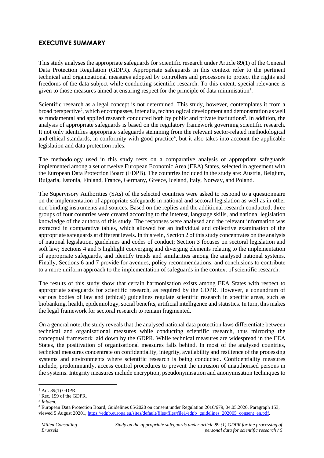## **EXECUTIVE SUMMARY**

This study analyses the appropriate safeguards for scientific research under Article 89(1) of the General Data Protection Regulation (GDPR). Appropriate safeguards in this context refer to the pertinent technical and organizational measures adopted by controllers and processors to protect the rights and freedoms of the data subject while conducting scientific research. To this extent, special relevance is given to those measures aimed at ensuring respect for the principle of data minimisation<sup>1</sup>.

Scientific research as a legal concept is not determined. This study, however, contemplates it from a broad perspective<sup>2</sup>, which encompasses, inter alia, technological development and demonstration as well as fundamental and applied research conducted both by public and private institutions<sup>3</sup>. In addition, the analysis of appropriate safeguards is based on the regulatory framework governing scientific research. It not only identifies appropriate safeguards stemming from the relevant sector-related methodological and ethical standards, in conformity with good practice<sup>4</sup>, but it also takes into account the applicable legislation and data protection rules.

The methodology used in this study rests on a comparative analysis of appropriate safeguards implemented among a set of twelve European Economic Area (EEA) States, selected in agreement with the European Data Protection Board (EDPB). The countries included in the study are: Austria, Belgium, Bulgaria, Estonia, Finland, France, Germany, Greece, Iceland, Italy, Norway, and Poland.

The Supervisory Authorities (SAs) of the selected countries were asked to respond to a questionnaire on the implementation of appropriate safeguards in national and sectoral legislation as well as in other non-binding instruments and sources. Based on the replies and the additional research conducted, three groups of four countries were created according to the interest, language skills, and national legislation knowledge of the authors of this study. The responses were analysed and the relevant information was extracted in comparative tables, which allowed for an individual and collective examination of the appropriate safeguards at different levels. In this vein, Section 2 of this study concentrates on the analysis of national legislation, guidelines and codes of conduct; Section 3 focuses on sectoral legislation and soft law; Sections 4 and 5 highlight converging and diverging elements relating to the implementation of appropriate safeguards, and identify trends and similarities among the analysed national systems. Finally, Sections 6 and 7 provide for avenues, policy recommendations, and conclusions to contribute to a more uniform approach to the implementation of safeguards in the context of scientific research.

The results of this study show that certain harmonisation exists among EEA States with respect to appropriate safeguards for scientific research, as required by the GDPR. However, a conundrum of various bodies of law and (ethical) guidelines regulate scientific research in specific areas, such as biobanking, health, epidemiology, social benefits, artificial intelligence and statistics. In turn, this makes the legal framework for sectoral research to remain fragmented.

On a general note, the study reveals that the analysed national data protection laws differentiate between technical and organisational measures while conducting scientific research, thus mirroring the conceptual framework laid down by the GDPR. While technical measures are widespread in the EEA States, the positivation of organisational measures falls behind. In most of the analysed countries, technical measures concentrate on confidentiality, integrity, availability and resilience of the processing systems and environments where scientific research is being conducted. Confidentiality measures include, predominantly, access control procedures to prevent the intrusion of unauthorised persons in the systems. Integrity measures include encryption, pseudonymisation and anonymisation techniques to

 $1$  Art. 89(1) GDPR.

 $2$  Rec. 159 of the GDPR.

<sup>3</sup> *Íbidem.*

<sup>4</sup> European Data Protection Board, Guidelines 05/2020 on consent under Regulation 2016/679, 04.05.2020, Paragraph 153, viewed 5 August 20201, https://edpb.europa.eu/sites/default/files/files/file1/edpb\_guidelines\_202005\_consent\_en.pdf.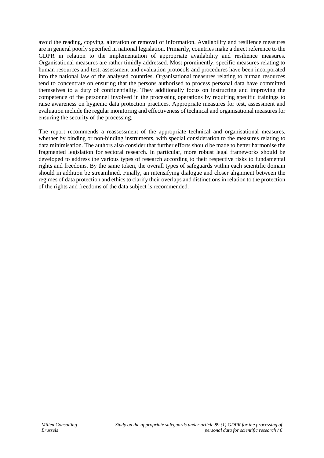avoid the reading, copying, alteration or removal of information. Availability and resilience measures are in general poorly specified in national legislation. Primarily, countries make a direct reference to the GDPR in relation to the implementation of appropriate availability and resilience measures. Organisational measures are rather timidly addressed. Most prominently, specific measures relating to human resources and test, assessment and evaluation protocols and procedures have been incorporated into the national law of the analysed countries. Organisational measures relating to human resources tend to concentrate on ensuring that the persons authorised to process personal data have committed themselves to a duty of confidentiality. They additionally focus on instructing and improving the competence of the personnel involved in the processing operations by requiring specific trainings to raise awareness on hygienic data protection practices. Appropriate measures for test, assessment and evaluation include the regular monitoring and effectiveness of technical and organisational measures for ensuring the security of the processing.

The report recommends a reassessment of the appropriate technical and organisational measures, whether by binding or non-binding instruments, with special consideration to the measures relating to data minimisation. The authors also consider that further efforts should be made to better harmonise the fragmented legislation for sectoral research. In particular, more robust legal frameworks should be developed to address the various types of research according to their respective risks to fundamental rights and freedoms. By the same token, the overall types of safeguards within each scientific domain should in addition be streamlined. Finally, an intensifying dialogue and closer alignment between the regimes of data protection and ethics to clarify their overlaps and distinctions in relation to the protection of the rights and freedoms of the data subject is recommended.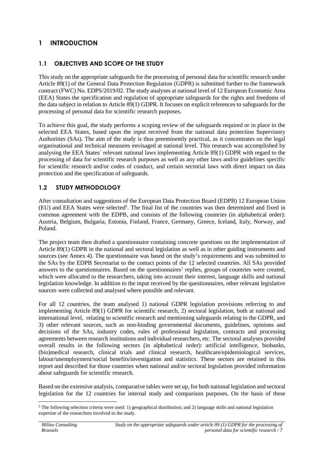# **1 INTRODUCTION**

## **1.1 OBJECTIVES AND SCOPE OF THE STUDY**

This study on the appropriate safeguards for the processing of personal data for scientific research under Article 89(1) of the General Data Protection Regulation (GDPR) is submitted further to the framework contract (FWC) No. EDPS/2019/02. The study analyses at national level of 12 European Economic Area (EEA) States the specification and regulation of appropriate safeguards for the rights and freedoms of the data subject in relation to Article 89(1) GDPR. It focuses on explicit references to safeguards for the processing of personal data for scientific research purposes.

To achieve this goal, the study performs a scoping review of the safeguards required or in place in the selected EEA States, based upon the input received from the national data protection Supervisory Authorities (SAs). The aim of the study is thus preeminently practical, as it concentrates on the legal organisational and technical measures envisaged at national level. This research was accomplished by analysing the EEA States´ relevant national laws implementing Article 89(1) GDPR with regard to the processing of data for scientific research purposes as well as any other laws and/or guidelines specific for scientific research and/or codes of conduct, and certain sectorial laws with direct impact on data protection and the specification of safeguards.

## **1.2 STUDY METHODOLOGY**

After consultation and suggestions of the European Data Protection Board (EDPB) 12 European Union (EU) and EEA States were selected<sup>5</sup>. The final list of the countries was then determined and fixed in common agreement with the EDPB, and consists of the following countries (in alphabetical order): Austria, Belgium, Bulgaria, Estonia, Finland, France, Germany, Greece, Iceland, Italy, Norway, and Poland.

The project team then drafted a questionnaire containing concrete questions on the implementation of Article 89(1) GDPR in the national and sectoral legislation as well as in other guiding instruments and sources (see Annex 4). The questionnaire was based on the study's requirements and was submitted to the SAs by the EDPB Secretariat to the contact points of the 12 selected countries. All SAs provided answers to the questionnaires. Based on the questionnaires' replies, groups of countries were created, which were allocated to the researchers, taking into account their interest, language skills and national legislation knowledge. In addition to the input received by the questionnaires, other relevant legislative sources were collected and analysed where possible and relevant.

For all 12 countries, the team analysed 1) national GDPR legislation provisions referring to and implementing Article 89(1) GDPR for scientific research, 2) sectoral legislation, both at national and international level, relating to scientific research and mentioning safeguards relating to the GDPR, and 3) other relevant sources, such as non-binding governmental documents, guidelines, opinions and decisions of the SAs, industry codes, rules of professional legislation, contracts and processing agreements between research institutions and individual researchers, etc. The sectoral analyses provided overall results in the following sectors (in alphabetical order): artificial intelligence, biobanks, (bio)medical research, clinical trials and clinical research, healthcare/epidemiological services, labour/unemployment/social benefits/investigation and statistics. These sectors are retained in this report and described for those countries when national and/or sectoral legislation provided information about safeguards for scientific research.

Based on the extensive analysis, comparative tables were set up, for both national legislation and sectoral legislation for the 12 countries for internal study and comparison purposes. On the basis of these

<sup>5</sup> The following selection criteria were used: 1) geographical distribution; and 2) language skills and national legislation expertise of the researchers involved in the study.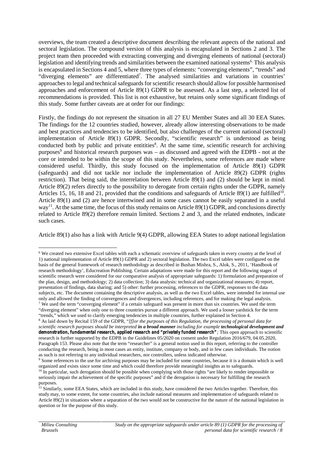overviews, the team created a descriptive document describing the relevant aspects of the national and sectoral legislation. The compound version of this analysis is encapsulated in Sections 2 and 3. The project team then proceeded with extracting converging and diverging elements of national (sectoral) legislation and identifying trends and similarities between the examined national systems<sup>6.</sup> This analysis is encapsulated in Sections 4 and 5, where three types of elements: "converging elements", "trends" and "diverging elements" are differentiated<sup>7</sup> . The analysed similarities and variations in countries' approaches to legal and technical safeguards for scientific research should allow for possible harmonised approaches and enforcement of Article 89(1) GDPR to be assessed. As a last step, a selected list of recommendations is provided. This list is not exhaustive, but retains only some significant findings of this study. Some further caveats are at order for our findings:

Firstly, the findings do not represent the situation in all 27 EU Member States and all 30 EEA States. The findings for the 12 countries studied, however, already allow interesting observations to be made and best practices and tendencies to be identified, but also challenges of the current national (sectoral) implementation of Article 89(1) GDPR. Secondly, "scientific research" is understood as being conducted both by public and private entitities<sup>8</sup>. At the same time, scientific research for archiving purposes<sup>9</sup> and historical research purposes was – as discussed and agreed with the EDPB - not at the core or intended to be within the scope of this study. Nevertheless, some references are made where considered useful. Thirdly, this study focused on the implementation of Article 89(1) GDPR (safeguards) and did not tackle nor include the implementation of Article 89(2) GDPR (rights restriction). That being said, the interrelation between Article 89(1) and (2) should be kept in mind. Article 89(2) refers directly to the possibility to derogate from certain rights under the GDPR, namely Articles 15, 16, 18 and 21, provided that the conditions and safeguards of Article 89(1) are fulfilled<sup>10</sup>. Article 89(1) and (2) are hence intertwined and in some cases cannot be easily separated in a useful way<sup>11</sup>. At the same time, the focus of this study remains on Article 89(1) GDPR, and conclusions directly related to Article 89(2) therefore remain limited. Sections 2 and 3, and the related endnotes, indicate such cases.

Article 89(1) also has a link with Article 9(4) GDPR, allowing EEA States to adopt national legislation

<sup>6</sup> We created two extensive Excel tables with each a schematic overview of safeguards taken in every country at the level of 1) national implementation of Article 89(1) GDPR and 2) sectoral legislation. The two Excel tables were configured on the basis of the general framework of research methodology as described in Bushan Mishra, S., Alok, S., 2011, 'Handbook of research methodology', Educreation Publishing. Certain adaptations were made for this report and the following stages of scientific research were considered for our comparative analysis of appropriate safeguards: 1) formulation and preparation of the plan, design, and methodology; 2) data collection; 3) data analysis: technical and organizational measures; 4) report, presentation of findings, data sharing; and 5) other: further processing, references to the GDPR, responses to the data subjects, etc. The document containing the descriptive analysis, as well as the two Excel tables, were intended for internal use only and allowed the finding of convergences and divergences, including references, and for making the legal analysis. <sup>7</sup> We used the term "converging element" if a certain safeguard was present in more than six countries. We used the term "diverging element" when only one to three countries pursue a different approach. We used a looser yardstick for the term "trends," which we used to clarify emerging tendencies in multiple countries, further explained in Section 4. <sup>8</sup> As laid down by Recital 159 of the GDPR, "*[f]or the purposes of this Regulation, the processing of personal data for*

*scientific research purposes should be interpreted in a broad manner including for example technological development and demonstration, fundamental research, applied research and "privately funded research";* This open approach to scientific research is further supported by the EDPB in the Guidelines 05/2020 on consent under Regulation 2016/679, 04.05.2020, Paragraph 153. Please also note that the term "researcher" is a general notion used in this report, referring to the controller conducting the research, being in most cases an entity, institute, company or body, and in few cases individuals. The notion as such is not referring to any individual researchers, nor controllers, unless indicated otherwise.

<sup>&</sup>lt;sup>9</sup> Some references to the use for archiving purposes may be included for some countries, because it is a domain which is well organized and exists since some time and which could therefore provide meaningful insights as to safeguards.

 $10$  In particular, such derogation should be possible when complying with those rights "are likely to render impossible or seriously impair the achievement of the specific purposes" and if the derogation is necessary for fulfilling the research purposes.

<sup>&</sup>lt;sup>11</sup> Similarly, some EEA States, which are included in this study, have considered the two Articles together. Therefore, this study may, to some extent, for some countries, also include national measures and implementation of safeguards related to Article 89(2) in situations where a separation of the two would not be constructive for the nature of the national legislation in question or for the purpose of this study.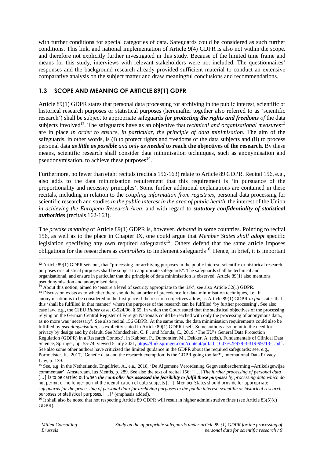with further conditions for special categories of data. Safeguards could be considered as such further conditions. This link, and national implementation of Article 9(4) GDPR is also not within the scope. and therefore not explicitly further investigated in this study. Because of the limited time frame and means for this study, interviews with relevant stakeholders were not included. The questionnaires' responses and the background research already provided sufficient material to conduct an extensive comparative analysis on the subject matter and draw meaningful conclusions and recommendations.

## **1.3 SCOPE AND MEANING OF ARTICLE 89(1) GDPR**

Article 89(1) GDPR states that personal data processing for archiving in the public interest, scientific or historical research purposes or statistical purposes (hereinafter together also referred to as 'scientific research') shall be subject to appropriate safeguards *for protecting the rights and freedoms of* the data subjects involved<sup>12</sup>. The safeguards have as an objective that *technical and organisational measures*<sup>13</sup> are in place *in order to ensure, in particular, the principle of data minimisation*. The aim of the safeguards, in other words, is (i) to protect rights and freedoms of the data subjects and (ii) to process personal data *as little as possible and only as needed* **to reach the objectives of the research**. By these means, scientific research shall consider data minimisation techniques, such as anonymisation and pseudonymisation, to achieve these purposes $^{14}$ .

Furthermore, no fewer than eight recitals (recitals 156-163) relate to Article 89 GDPR. Recital 156, e.g., also adds to the data minimisation requirement that this requirement is 'in pursuance of the proportionality and necessity principles'. Some further additional explanations are contained in these recitals, including in relation to the *coupling information from registries*, personal data processing for scientific research and studies *in the public interest in the area of public health*, the interest of the Union *in achieving the European Research Area*, and with regard to *statutory confidentiality of statistical authorities* (recitals 162-163).

The *precise meaning* of Article 89(1) GDPR is, however, *debated* in some countries. Pointing to recital 156, as well as to the place in Chapter IX, one could argue that *Member States shall adopt* specific legislation specifying any own required safeguards<sup>15</sup>. Others defend that the same article imposes obligations for the researchers as *controllers* to implement safeguards<sup>16</sup>. Hence, in brief, it is important

<sup>&</sup>lt;sup>12</sup> Article 89(1) GDPR sets out, that "processing for archiving purposes in the public interest, scientific or historical research purposes or statistical purposes shall be subject to appropriate safeguards". The safeguards shall be technical and organisational, and ensure in particular that the principle of data minimisation is observed. Article 89(1) also mentions pseudonymisation and anonymised data.

<sup>&</sup>lt;sup>13</sup> About this notion, aimed to 'ensure a level of security appropriate to the risk', see also Article 32(1) GDPR.

<sup>&</sup>lt;sup>14</sup> Discussion exists as to whether there should be an order of precedence for data minimisation techniques, i.e. if anonymisation is to be considered in the first place if the research objectives allow, as Article 89(1) GDPR *in fine* states that this 'shall be fulfilled in that manner' where the purposes of the research can be fulfilled 'by further processing'. See also case law, e.g., the CJEU *Huber* case, C-524/06, § 65, in which the Court stated that the statistical objectives of the processing relying on the German Central Register of Foreign Nationals could be reached with only the processing of anonymous data., as no more was 'necessary'. See also recital 156 GDPR. At the same time, the data minimisation requirements could also be fulfilled by *pseudonymisation*, as explicitly stated in Article 89(1) GDPR itself. Some authors also point to the need for privacy by design and by default. See Mondschein, C. F., and Monda, C., 2019, 'The EU's General Data Protection Regulation (GDPR) in a Research Context', in Kubben, P., Dumontier, M., Dekker, A. (eds.), Fundamentals of Clinical Data Science, Springer, pp. 55-74, viewed 5 July 2021, https://link.springer.com/content/pdf/10.1007%2F978-3-319-99713-1.pdf . See also some other authors have criticized the limited guidance in the GDPR about the required safeguards: see, e.g., Portmeister, K., 2017, 'Genetic data and the research exemption: is the GDPR going too far?', International Data Privacy Law, p. 139.

<sup>15</sup> See, e.g. in the Netherlands, Engelfriet, A., e.a., 2018, 'De Algemene Verordening Gegevensbescherming –Artikelsgewijze commentaar'*,* Amsterdam, Ius Mentis, p. 289. See also the text of recital 156: '[…] *The further processing of personal data […] is to be carried out when the controller has assessed the feasibility to fulfil those purposes by processing data which do not permit or no longer permit the identification of data subjects […]. Member States should provide for appropriate safeguards for the processing of personal data for archiving purposes in the public interest, scientific or historical research purposes or statistical purposes. […]*' (emphasis added).

<sup>&</sup>lt;sup>16</sup> It shall also be noted that not respecting Article 89 GDPR will result in higher administrative fines (see Article 83(5)(c) GDPR).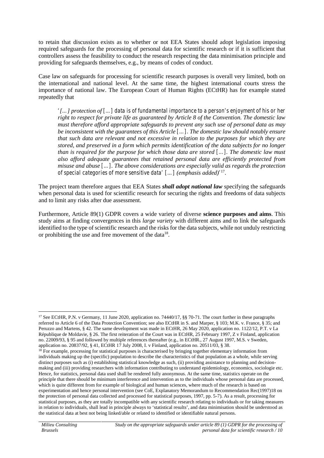to retain that discussion exists as to whether or not EEA States should adopt legislation imposing required safeguards for the processing of personal data for scientific research or if it is sufficient that controllers assess the feasibility to conduct the research respecting the data minimisation principle and providing for safeguards themselves, e.g., by means of codes of conduct.

Case law on safeguards for processing for scientific research purposes is overall very limited, both on the international and national level. At the same time, the highest international courts stress the importance of national law. The European Court of Human Rights (ECtHR) has for example stated repeatedly that

*'[…] protection of […] data is of fundamental importance to a person's enjoyment of his or her right to respect for private life as guaranteed by Article 8 of the Convention. The domestic law must therefore afford appropriate safeguards to prevent any such use of personal data as may be inconsistent with the guarantees of this Article […]. The domestic law should notably ensure that such data are relevant and not excessive in relation to the purposes for which they are stored, and preserved in a form which permits identification of the data subjects for no longer than is required for the purpose for which those data are stored […]. The domestic law must also afford adequate guarantees that retained personal data are efficiently protected from misuse and abuse […]. The above considerations are especially valid as regards the protection of special categories of more sensitive data' […] (emphasis added)'* 17 .

The project team therefore argues that EEA States *shall adopt national law* specifying the safeguards when personal data is used for scientific research for securing the rights and freedoms of data subjects and to limit any risks after due assessment.

Furthermore, Article 89(1) GDPR covers a wide variety of diverse **science purposes and aims**. This study aims at finding convergences in this *large variety* with different aims and to link the safeguards identified to the type of scientific research and the risks for the data subjects, while not unduly restricting or prohibiting the use and free movement of the data<sup>18</sup>.

<sup>&</sup>lt;sup>17</sup> See ECtHR, P.N. v Germany, 11 June 2020, application no. 74440/17, §§ 70-71. The court further in these paragraphs referred to Article 6 of the Data Protection Convention; see also ECtHR in S. and Marper, § 103; M.K. v. France, § 35; and Peruzzo and Martens, § 42. The same development was made in ECtHR, 26 May 2020, application no. 1122/12, P.T. v La République de Moldavie, § 26. The first reiteration of the Court was in ECtHR, 25 February 1997, Z v Finland, application no. 22009/93, § 95 and followed by multiple references thereafter (e.g., in ECtHR., 27 August 1997, M.S. v Sweden, application no. 20837/92, § 41, ECtHR 17 July 2008, I. v Finland, application no. 20511/03, § 38.

 $18$  For example, processing for statistical purposes is characterised by bringing together elementary information from individuals making up the (specific) population to describe the characteristics of that population as a whole, while serving distinct purposes such as (i) establishing statistical knowledge as such, (ii) providing assistance to planning and decisionmaking and (iii) providing researchers with information contributing to understand epidemiology, economics, sociologie etc. Hence, for statistics, personal data used shall be rendered fully anonymous. At the same time, statistics operate on the principle that there should be minimum interference and intervention as to the individuals whose personal data are processed, which is quite different from for example of biological and human sciences, where much of the research is based on experimentation and hence personal intervention (see CoE, Explanatory Memorandum to Recommendation Rec(1997)18 on the protection of personal data collected and processed for statistical purposes, 1997, pp. 5-7). As a result, processing for statistical purposes, as they are totally incompatible with any scientific research relating to individuals or for taking measures in relation to individuals, shall lead in principle always to 'statistical results', and data minimisation should be understood as the statistical data at best not being linked/able or related to identified or identifiable natural persons.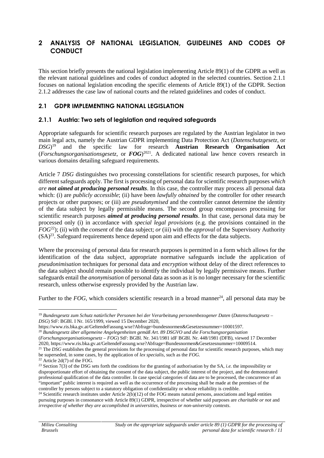## **2 ANALYSIS OF NATIONAL LEGISLATION, GUIDELINES AND CODES OF CONDUCT**

This section briefly presents the national legislation implementing Article 89(1) of the GDPR as well as the relevant national guidelines and codes of conduct adopted in the selected countries. Section 2.1.1 focuses on national legislation encoding the specific elements of Article 89(1) of the GDPR. Section 2.1.2 addresses the case law of national courts and the related guidelines and codes of conduct.

#### **2.1 GDPR IMPLEMENTING NATIONAL LEGISLATION**

#### **2.1.1 Austria: Two sets of legislation and required safeguards**

Appropriate safeguards for scientific research purposes are regulated by the Austrian legislator in two main legal acts, namely the Austrian GDPR implementing Data Protection Act (*Datenschutzgesetz*, or  $DSG$ <sup>19</sup> <sup>19</sup> and the specific law for research **Austrian Research Organisation Act** (*Forschungsorganisationsgesetz*, or *FOG*) 2021 . A dedicated national law hence covers research in various domains detailing safeguard requirements.

Article 7 *DSG* distinguishes two processing constellations for scientific research purposes, for which different safeguards apply. The first is processing of personal data for scientific research purposes *which are not aimed at producing personal results*. In this case, the controller may process all personal data which: (i) are *publicly accessible*; (ii) have been *lawfully obtained* by the controller for other research projects or other purposes; or (iii) are *pseudonymised* and the controller cannot determine the identity of the data subject by legally permissible means. The second group encompasses processing for scientific research purposes *aimed at producing personal results*. In that case, personal data may be processed only (i) in accordance with *special legal provisions* (e.g. the provisions contained in the *FOG*<sup>22</sup>); (ii) with the *consent* of the data subject; *or* (iii) with the *approval* of the Supervisory Authority  $(SA)^{23}$ . Safeguard requirements hence depend upon aim and effects for the data subjects.

Where the processing of personal data for research purposes is permitted in a form which allows for the identification of the data subject, appropriate normative safeguards include the application of *pseudonimisation* techniques for personal data and *encryption* without delay of the direct references to the data subject should remain possible to identify the individual by legally permissive means. Further safeguards entail the *anonymisation* of personal data as soon as it is no longer necessary for the scientific research, unless otherwise expressly provided by the Austrian law.

Further to the  $FOG$ , which considers scientific research in a broad manner<sup>24</sup>, all personal data may be

<sup>19</sup> *Bundesgesetz zum Schutz natürlicher Personen bei der Verarbeitung personenbezogener Daten* (*Datenschutzgesetz* – *DSG*) StF: BGBl. I Nr. 165/1999, viewed 15 December 2020,

https://www.ris.bka.gv.at/GeltendeFassung.wxe?Abfrage=bundesnormen&Gesetzesnummer=10001597.

<sup>20</sup> *Bundesgesetz über allgemeine Angelegenheiten gemäß Art. 89 DSGVO und die Forschungsorganisation* (*Forschungsorganisationsgesetz* – *FOG*) StF: BGBl. Nr. 341/1981 idF BGBl. Nr. 448/1981 (DFB), viewed 17 December 2020, https://www.ris.bka.gv.at/GeltendeFassung.wxe?Abfrage=Bundesnormen&Gesetzesnummer=10009514.

<sup>&</sup>lt;sup>21</sup> The *DSG* establishes the general provisions for the processing of personal data for scientific research purposes, which may be superseded, in some cases, by the application of *lex specialis*, such as the *FOG.*

 $22$  Article 2d(7) of the FOG.

<sup>23</sup> Section 7(3) of the DSG sets forth the conditions for the granting of authorisation by the SA, *i.e.* the impossibility or disproportionate effort of obtaining the consent of the data subject, the public interest of the project, and the demonstrated professional qualification of the data controller. In case special categories of data are to be processed, the concurrence of an "important" public interest is required as well as the occurrence of the processing shall be made at the premises of the controller by persons subject to a statutory obligation of confidentiality or whose reliability is credible.

<sup>&</sup>lt;sup>24</sup> Scientific research institutes under Article  $2(b)(12)$  of the FOG means natural persons, associations and legal entities pursuing purposes in consonance with Article 89(1) GDPR, irrespective of whether said purposes are *charitable or not* and *irrespective of whether they are accomplished in universities, business or non-university contexts*.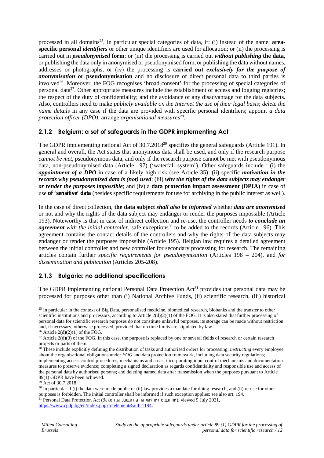processed in all domains<sup>25</sup>, in particular special categories of data, if: (i) instead of the name, **areaspecific personal** *identifiers* or other unique identifiers are used for allocation; or (ii) the processing is carried out in *pseudonymised* **form**; or (iii) the processing is carried out *without publishing* **the data**, or publishing the data only in anonymised or pseudonymised form, or publishing the data without names, addresses or photographs; or (iv) the processing is **carried out** *exclusively for the purpose of anonymisation* **or pseudonymisation** and no disclosure of direct personal data to third parties is involved<sup>26</sup>. Moreover, the FOG recognises 'broad consent' for the processing of special categories of personal data<sup>27</sup>. Other appropriate measures include the establishment of access and logging registries; the respect of the duty of confidentiality; and the avoidance of any disadvantage for the data subjects. Also, controllers need to make *publicly available on the Internet the use of their legal basis*; *delete the name details* in any case if the data are provided with specific personal identifiers; appoint *a data protection officer (DPO)*; arrange *organisational measures*<sup>28</sup> .

### **2.1.2 Belgium: a set of safeguards in the GDPR implementing Act**

The GDPR implementing national Act of 30.7.2018<sup>29</sup> specifies the general safeguards (Article 191). In general and overall, the Act states that anonymous data shall be used, and only if the research purpose *cannot be met*, pseudonymous data, and only if the research purpose cannot be met with pseudonymous data, non-pseudonymised data (Article 197) ('waterfall system'). Other safeguards include : (i) the *appointment of a DPO* in case of a likely high risk (see Article 35); (ii) specific *motivation in the records why pseudonymised data is (not) used*; (iii) *why the rights of the data subjects may endanger or render the purposes impossible*; and (iv) a **data protection impact assessment (DPIA)** in case of use *of 'sensitive' data* (besides specific requirements for use for archiving in the public interest as well).

In the case of direct collection, **the data subject** *shall also be informed* whether *data are anonymised* or not and why the rights of the data subject may endanger or render the purposes impossible (Article 193). Noteworthy is that in case of indirect collection and re-use, the controller needs *to conclude an agreement* with the initial controller, safe exceptions<sup>30</sup> to be added to the records (Article 196). This agreement contains the contact details of the controllers and why the rights of the data subjects may endanger or render the purposes impossible (Article 195). Belgian law requires a detailed agreement between the initial controller and new controller for secondary processing for research. The remaining articles contain further *specific requirements for pseudonymisation* (Articles 198 – 204), and *for dissemination and publication* (Articles 205-208).

### **2.1.3 Bulgaria: no additional specifications**

The GDPR implementing national Personal Data Protection Act<sup>31</sup> provides that personal data may be processed for purposes other than (i) National Archive Funds, (ii) scientific research, (iii) historical

https://www.cpdp.bg/en/index.php?p=element&aid=1194.

<sup>&</sup>lt;sup>25</sup> In particular in the context of Big Data, personalised medicine, biomedical research, biobanks and the transfer to other scientific institutions and processors, according to Article 2(d)(2)(1) of the FOG. It is also stated that further processing of personal data for scientific research purposes do not constitute unlawful purposes, its storage can be made without restriction and, if necessary, otherwise processed, provided that no time limits are stipulated by law.

 $26$  Article 2(d)(2)(1) of the FOG.

<sup>&</sup>lt;sup>27</sup> Article  $2(d)(3)$  of the FOG. In this case, the purpose is replaced by one or several fields of research or certain research projects or parts of them.

<sup>28</sup> These include explicitly defining the distribution of tasks and authorised orders for processing; *instructing* every employee about the organisational obligations under *FOG* and data protection framework, including data security regulations; implementing access control procedures, mechanisms and areas; incorporating input control mechanisms and documentation measures to preserve evidence; completing a signed declaration as regards confidentiality and responsible use and access of the personal data by authorised persons; and deleting named data after transmission when the purposes pursuant to Article 89(1) GDPR have been achieved.

<sup>29</sup> Act of 30.7.2018.

<sup>&</sup>lt;sup>30</sup> In particular if (i) the data were made public or (ii) law provides a mandate for doing research, and (ii) re-use for other purposes is forbidden. The initial controller shall be informed if such exception applies: see also art. 194. <sup>31</sup> Personal Data Protection Act (*Samme 2021*, *Samme 2021*, *Samme 2021*, *Samme 2021*,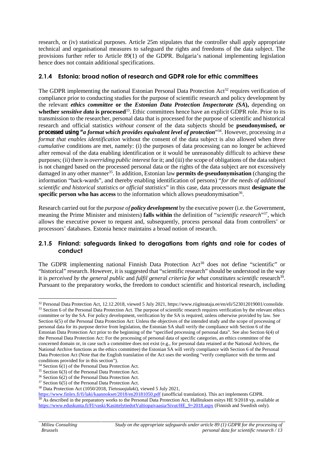research, or (iv) statistical purposes. Article 25m stipulates that the controller shall apply appropriate technical and organisational measures to safeguard the rights and freedoms of the data subject. The provisions further refer to Article 89(1) of the GDPR. Bulgaria's national implementing legislation hence does not contain additional specifications.

### **2.1.4 Estonia: broad notion of research and GDPR role for ethic committees**

The GDPR implementing the national Estonian Personal Data Protection  $Act^{32}$  requires verification of compliance prior to conducting studies for the purpose of scientific research and policy development by the relevant *ethics committee* **or the** *Estonian Data Protection Inspectorate (SA***),** depending on **whether** *sensitive data* **is processed**<sup>33</sup> . Ethic committees hence have an explicit GDPR role. Prior to its transmission to the researcher, personal data that is processed for the purpose of scientific and historical research and official statistics *without consent* of the data subjects should be **pseudonymised, or processed using "***a format which provides equivalent level of protection*" 34 . However, processing *in a format that enables identification* without the consent of the data subject is also allowed when *three cumulative* conditions are met, namely: (i) the purposes of data processing can no longer be achieved after removal of the data enabling identification or it would be unreasonably difficult to achieve these purposes; (ii) there is *overriding public interest* for it; and (iii) the scope of obligations of the data subject is not changed based on the processed personal data or the rights of the data subject are not excessively damaged in any other manner<sup>35</sup>. In addition, Estonian law **permits de-pseudonymisation** (changing the information "back-wards", and thereby enabling identification of persons) "*for the needs of additional scientific and historical statistics or official statistics*" in this case, data processors must **designate the** specific person who has access to the information which allows pseudonymisation<sup>36</sup>.

Research carried out for the *purpose of policy development* by the executive power (i.e. the Government, meaning the Prime Minister and ministers) **falls within** the definition of "*scientific research*" 37 , which allows the executive power to request and, subsequently, process personal data from controllers' or processors' databases. Estonia hence maintains a broad notion of research.

#### **2.1.5 Finland: safeguards linked to derogations from rights and role for codes of conduct**

The GDPR implementing national Finnish Data Protection Act<sup>38</sup> does not define "scientific" or "historical" research. However, it is suggested that "scientific research" should be understood in the way it is *perceived by the general public and fulfil general criteria for what constitutes scientific research<sup>39</sup>.* Pursuant to the preparatory works, the freedom to conduct scientific and historical research, including

<sup>32</sup> Personal Data Protection Act, 12.12.2018, viewed 5 July 2021, https://www.riigiteataja.ee/en/eli/523012019001/consolide. <sup>33</sup> Section 6 of the Personal Data Protection Act. The purpose of scientific research requires verification by the relevant ethics committee or by the SA. For policy development, verification by the SA is required, unless otherwise provided by law. See Section 6(5) of the Personal Data Protection Act: Unless the objectives of the intended study and the scope of processing of personal data for its purpose derive from legislation, the Estonian SA shall verify the compliance with Section 6 of the Estonian Data Protection Act prior to the beginning of the "specified processing of personal data". See also Section 6(4) of the Personal Data Protection Act: For the processing of personal data of specific categories, an ethics committee of the concerned domain or, in case such a committee does not exist (e.g., for personal data retained at the National Archives, the National Archive functions as the ethics committee) the Estonian SA will verify compliance with Section 6 of the Personal Data Protection Act (Note that the English translation of the Act uses the wording "verify compliance with the terms and conditions provided for in this section").

<sup>34</sup> Section 6(1) of the Personal Data Protection Act.

<sup>35</sup> Section 6(3) of the Personal Data Protection Act.

<sup>36</sup> Section 6(2) of the Personal Data Protection Act.

<sup>37</sup> Section 6(5) of the Personal Data Protection Act.

<sup>38</sup> Data Protection Act (1050/2018, *Tietosuojalaki*), viewed 5 July 2021,

https://www.finlex.fi/fi/laki/kaannokset/2018/en20181050.pdf (unofficial translation). This act implements GDPR. <sup>39</sup> As described in the preparatory works to the Personal Data Protection Act, Hallituksen esitys HE 9/2018 vp, available at https://www.eduskunta.fi/FI/vaski/KasittelytiedotValtiopaivaasia/Sivut/HE\_9+2018.aspx (Finnish and Swedish only).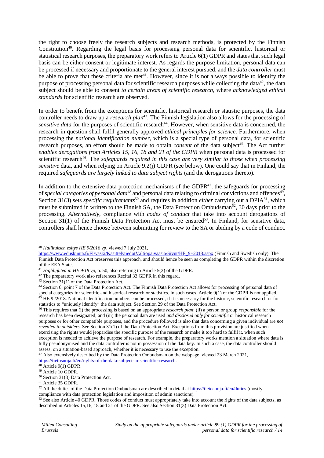the right to choose freely the research subjects and research methods, is protected by the Finnish Constitution<sup>40</sup>. Regarding the legal basis for processing personal data for scientific, historical or statistical research purposes, the preparatory work refers to Article 6(1) GDPR and states that such legal basis can be either consent or legitimate interest. As regards the purpose limitation, personal data can be processed if necessary and proportionate to the general interest pursued, and the *data controller* must be able to prove that these criteria are met<sup>41</sup>. However, since it is not always possible to identify the purpose of processing personal data for scientific research purposes while collecting the data<sup>42</sup>, the data subject should be able to consent *to certain areas of scientific research*, where *acknowledged ethical standards* for scientific research are observed.

In order to benefit from the exceptions for scientific, historical research or statistic purposes, the data controller needs to draw up a *research plan*<sup>43</sup> . The Finnish legislation also allows for the processing of sensitive data for the purposes of scientific research<sup>44</sup>. However, when sensitive data is concerned, the research in question shall fulfil generally approved *ethical principles for science*. Furthermore, when processing the *national identification number*, which is a special type of personal data, for scientific research purposes, an effort should be made to obtain *consent* of the data subject<sup>45</sup>. The Act further *enables derogations from Articles 15, 16, 18 and 21 of the GDPR* when personal data is processed for scientific research<sup>46</sup>. The *safeguards required in this case are very similar to those when processing sensitive* data, and when relying on Article 9.2(j) GDPR (see below). One could say that in Finland, the required *safeguards are largely linked to data subject rights* (and the derogations thereto).

In addition to the extensive data protection mechanisms of the GDPR<sup>47</sup>, the safeguards for processing of *special categories of personal data*<sup>48</sup> and personal data relating to criminal convictions and offences<sup>49</sup>, Section 31(3) sets *specific requirements*<sup>50</sup> and requires in addition *either* carrying out a DPIA<sup>51</sup>, which must be submitted in written to the Finnish SA, the Data Protection Ombudsman<sup>52</sup>, 30 days prior to the processing. *Alternatively*, compliance with *codes of conduct* that take into account derogations of Section  $31(1)$  of the Finnish Data Protection Act must be ensured<sup>53</sup>. In Finland, for sensitive data, controllers shall hence choose between submitting for review to the SA or abiding by a code of conduct.

<sup>40</sup> *Hallituksen esitys HE 9/2018 vp*, viewed 7 July 2021,

https://www.eduskunta.fi/FI/vaski/KasittelytiedotValtiopaivaasia/Sivut/HE\_9+2018.aspx (Finnish and Swedish only). The Finnish Data Protection Act preserves this approach, and should hence be seen as completing the GDPR within the discretion of the EEA States.

<sup>41</sup> *Highlighted in HE 9/18 vp*, p. 50, also referring to Article 5(2) of the GDPR.

<sup>&</sup>lt;sup>42</sup> The preparatory work also references Recital 33 GDPR in this regard.

<sup>43</sup> Section 31(1) of the Data Protection Act.

<sup>44</sup> Section 6, point 7 of the Data Protection Act. The Finnish Data Protection Act allows for processing of personal data of special categories for scientific and historical research or statistics. In such cases, Article 9(1) of the GDPR is not applied. <sup>45</sup> HE 9/2018. National identification numbers can be processed, if it is necessary for the historic, scientific research or for statistics to "uniquely identify" the data subject. See Section 29 of the Data Protection Act.

<sup>46</sup> This requires that (i) the processing is based on an appropriate *research plan*; (ii) a person or group *responsible* for the research has been designated; and (iii) the personal data are used *and disclosed only for scientific* or historical research purposes or for other compatible purposes, and the procedure followed is also that data concerning a given individual are *not revealed to outsiders*. See Section 31(1) of the Data Protection Act. Exceptions from this provision are justified when exercising the rights would jeopardise the specific purpose of the research or make it too hard to fulfil it, when such exception is needed to achieve the purpose of research. For example, the preparatory works mention a situation where data is fully pseudonymised and the data controller is not in possession of the data key. In such a case, the data controller should assess, on a situation-based approach, whether it is necessary to use the exception.

<sup>&</sup>lt;sup>47</sup> Also extensively described by the Data Protection Ombudsman on the webpage, viewed 23 March 2021,

https://tietosuoja.fi/en/rights-of-the-data-subject-in-scientific-research.

 $48$  Article 9(1) GDPR.

<sup>49</sup> Article 10 GDPR.

<sup>50</sup> Section 31(3) Data Protection Act.

<sup>51</sup> Article 35 GDPR.

 $52$  All the duties of the Data Protection Ombudsman are described in detail at https://tietosuoja.fi/en/duties (mostly compliance with data protection legislation and imposition of admin sanctions).

<sup>&</sup>lt;sup>53</sup> See also Article 40 GDPR. Those codes of conduct must appropriately take into account the rights of the data subjects, as described in Articles 15,16, 18 and 21 of the GDPR. See also Section 31(3) Data Protection Act.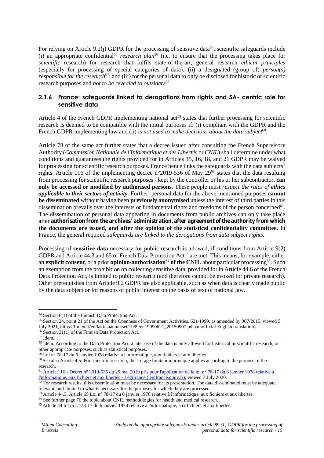For relying on Article 9.2(j) GDPR for the processing of sensitive data<sup>54</sup>, scientific safeguards include (i) an appropriate confidential<sup>55</sup> *research plan*<sup>56</sup> (i.e. to ensure that the processing takes place for *scientific* research) for research that fulfils state-of-the-art, general research *ethical principles* (especially for processing of special categories of data); (ii) a designated (group of) *person(s) responsible for the research*<sup>57</sup>; and (iii) for the personal data to only be disclosed for historic or scientific research purposes and *not to be revealed to outsiders*<sup>58</sup> .

#### **2.1.6 France: safeguards linked to derogations from rights and SA- centric role for sensitive data**

Article 4 of the French GDPR implementing national  $\text{act}^{59}$  states that further processing for scientific research is deemed to be compatible with the initial purposes if: (i) compliant with the GDPR and the French GDPR implementing law and (ii) is *not used to make decisions about the data subject*<sup>60</sup>.

Article 78 of the same act further states that a decree issued after consulting the French Supervisory Authority (*Commission Nationale de l'Informatique et des Libertés* or *CNIL*) shall determine under what conditions and guarantees the rights provided for in Articles 15, 16, 18, and 21 GDPR may be waived for processing for scientific research purposes. France hence links the safeguards with the data subjects' rights. Article 116 of the implementing decree n°2019-536 of May  $29^{61}$  states that the data resulting from processing for scientific research purposes - kept by the controller or his or her subcontractor, **can only be accessed or modified by authorised persons**. These people must *respect the rules of ethics applicable to their sectors of activity*. Further, personal data for the above-mentioned purposes **cannot be disseminated** without having been **previously anonymised** unless the interest of third parties in this dissemination prevails over the interests or fundamental rights and freedoms of the person concerned<sup>62</sup>. The dissemination of personal data appearing in documents from public archives can only take place after **authorisation from the archives' administration, after agreement of the authority from which the documents are issued, and after the opinion of the statistical confidentiality committee.** In France, the general required *safeguards are linked to the derogations from data subject rights.*

Processing of **sensitive data** necessary for public research is allowed, if conditions from Article 9(2) GDPR and Article 44.3 and 65 of French Data Protection Act<sup>63</sup> are met. This means, for example, either an **explicit consent**, or a prior **opinion/authorisation<sup>64</sup> of the CNIL** about particular processing<sup>65</sup> . Such an exemption from the prohibition on collecting sensitive data, provided for in Article 44.6 of the French Data Protection Act, is limited to public research (and therefore cannot be evoked for private research). Other prerequisites from Article 9.2 GDPR are also applicable, such as when data is clearly made public by the data subject or for reasons of public interest on the basis of text of national law.

<sup>54</sup> Section 6(1) of the Finnish Data Protection Act.

<sup>55</sup> Section 24, point 21 of the Act on the Openness of Government Activities, 621/1999, as amended by 907/2015, viewed 5 July 2021, https://finlex.fi/en/laki/kaannokset/1999/en19990621\_20150907.pdf (unofficial English translation).  $56$  Section  $31(1)$  of the Finnish Data Protection Act.

<sup>57</sup> Idem.

<sup>&</sup>lt;sup>58</sup> Idem. According to the Data Protection Act, a later use of the data is only allowed for historical or scientific research, or other appropriate purposes, such as statistical purposes.

 $^{59}$  Loi n° 78-17 du 6 janvier 1978 relative à l'informatique, aux fichiers et aux libertés..

 $60$  See also Article 4.5: For scientific research, the storage limitation principle applies according to the purpose of the research.

<sup>61</sup> Article 116 - Décret n° 2019-536 du 29 mai 2019 pris pour l'application de la loi n° 78-17 du 6 janvier 1978 relative à l'informatique, aux fichiers et aux libertés - Légifrance (legifrance.gouv.fr), viewed 7 July 2020.

 $\frac{62}{2}$  For research results, this dissemination must be necessary for its presentation. The data disseminated must be adequate, relevant, and limited to what is necessary for the purposes for which they are processed.

<sup>63</sup> Article 44.3, Article 65 Loi n° 78-17 du 6 janvier 1978 relative à l'informatique, aux fichiers et aux libertés.

<sup>64</sup> See further page 76 the topic about CNIL methodologies for health and medical research.

<sup>65</sup> Article 44.6 Loi n° 78-17 du 6 janvier 1978 relative à l'informatique, aux fichiers et aux libertés.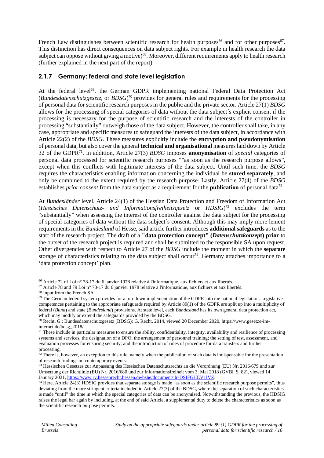French Law distinguishes between scientific research for health purposes<sup>66</sup> and for other purposes<sup>67</sup>. This distinction has direct consequences on data subject rights. For example in health research the data subject can oppose without giving a motive)<sup>68</sup>. Moreover, different requirements apply to health research (further explained in the next part of the report).

## **2.1.7 Germany: federal and state level legislation**

At the federal level<sup>69</sup>, the German GDPR implementing national Federal Data Protection Act (*Bundesdatenschutzgesetz*, or *BDSG*) <sup>70</sup> provides for general rules and requirements for the processing of personal data for scientific research purposes in the public and the private sector. Article 27(1) *BDSG* allows for the processing of special categories of data without the data subject´s explicit consent if the processing is necessary for the purpose of scientific research and the interests of the controller in processing "substantially" outweigh those of the data subject. However, the controller shall take, in any case, appropriate and specific measures to safeguard the interests of the data subject, in accordance with Article 22(2) of the *BDSG*. These measures explicitly include the **encryption and pseudonymisation** of personal data, but also cover the general **technical and organisational** measures laid down by Article 32 of the GDPR<sup>71</sup> . In addition, Article 27(3) *BDSG* imposes **anonymisation** of *special* categories of personal data processed for scientific research purposes ""as soon as the research purpose allows", except when this conflicts with legitimate interests of the data subject. Until such time, the *BDSG* requires the characteristics enabling information concerning the individual be **stored separately**, and only be combined to the extent required by the research purpose. Lastly, Article 27(4) of the *BDSG* establishes *prior consent* from the data subject as a requirement for the **publication** of personal data<sup>72</sup>.

At *Bundesländer* level, Article 24(1) of the Hessian Data Protection and Freedom of Information Act (*Hessisches Datenschutz- und Informationsfreiheitsgesetz* or *HDSIG*) <sup>73</sup> excludes the term "substantially" when assessing the interest of the controller against the data subject for the processing of special categories of data without the data subject´s consent. Although this may imply more lenient requirements in the *Bundesland* of Hesse, said article further introduces **additional safeguards** as to the start of the research project. The draft of a **"data protection concept" (***Datenschutzkonzep***t) prior** to the outset of the research project is required and shall be submitted to the responsible SA upon request. Other divergencies with respect to Article 27 of the *BDSG* include the moment in which the **separate** storage of characteristics relating to the data subject shall occur<sup>74</sup>. Germany attaches importance to a 'data protection concept' plan.

<sup>66</sup> Article 72 of Loi n° 78-17 du 6 janvier 1978 relative à l'informatique, aux fichiers et aux libertés.

<sup>67</sup> Article 78 and 79 Loi n° 78-17 du 6 janvier 1978 relative à l'informatique, aux fichiers et aux libertés.

<sup>68</sup> Input from the French SA.

 $69$  The German federal system provides for a top-down implementation of the GDPR into the national legislation. Legislative competences pertaining to the appropriate safeguards required by Article 89(1) of the GDPR are split up into a multiplicity of federal (*Bund*) and state (*Bundesland*) provisions. At state level, each *Bundesland* has its own general data protection act, which may modify or extend the safeguards provided by the BDSG.

<sup>70</sup> Recht, G.: Bundesdatenschutzgesetz (BDSG): G. Recht, 2014, viewed 20 December 2020, https://www.gesetze-iminternet.de/bdsg\_2018/.

 $71$  These include in particular measures to ensure the ability, confidentiality, integrity, availability and resilience of processing systems and services, the designation of a DPO; the arrangement of personnel training; the setting of test, assessment, and evaluation processes for ensuring security; and the introduction of rules of procedure for data transfers and further processing.

 $72$  There is, however, an exception to this rule, namely when the publication of such data is indispensable for the presentation of research findings on contemporary events.

<sup>73</sup> Hessischen Gesetzes zur Anpassung des Hessischen Datenschutzrechts an die Verordnung (EU) Nr. 2016/679 und zur Umsetzung der Richtlinie (EU) Nr. 2016/680 und zur Informationsfreiheit vom 3. Mai 2018 (GVBl. S. 82), viewed 14 January 2021, https://www.rv.hessenrecht.hessen.de/bshe/document/jlr-DSIFGHEV1IVZ.

<sup>&</sup>lt;sup>74</sup> Here, Article 24(3) HDSIG provides that separate storage is made "as soon as the scientific research purpose permits", thus deviating from the more stringent criteria included in Article 27(3) of the BDSG, where the separation of such characteristics is made "until" the time in which the special categories of data can be anonymised. Notwithstanding the previous, the HDSIG raises the legal bar again by including, at the end of said Article, a supplemental duty to delete the characteristics as soon as the scientific research purpose permits.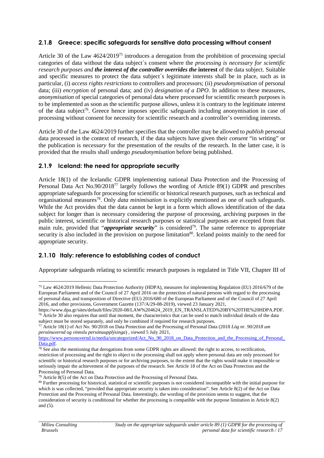## **2.1.8 Greece: specific safeguards for sensitive data processing without consent**

Article 30 of the Law 4624/2019<sup>75</sup> introduces a derogation from the prohibition of processing special categories of data without the data subject´s consent where the *processing is necessary for scientific research purposes and the interest of the controller overrides the* **interest** of the data subject. Suitable and specific measures to protect the data subject´s legitimate interests shall be in place, such as in particular, (i) *access rights restrictions* to controllers and processors; (ii) *pseudonymisation* of personal data; (iii) *encryption* of personal data; and (iv) *designation of a DPO*. In addition to these measures, *anonymisation* of special categories of personal data where processed for scientific research purposes is to be implemented as soon as the scientific purpose allows, unless it is contrary to the legitimate interest of the data subject<sup>76</sup>. Greece hence imposes specific safeguards including anonymisation in case of processing without consent for necessity for scientific research and a controller's overriding interests.

Article 30 of the Law 4624/2019 further specifies that the controller may be allowed to *publish* personal data processed in the context of research, if the data subjects have given their *consent* "in writing" or the publication is *necessary* for the presentation of the results of the research. In the latter case, it is provided that the results shall undergo *pseudonymisation* before being published.

### **2.1.9 Iceland: the need for appropriate security**

Article 18(1) of the Icelandic GDPR implementing national Data Protection and the Processing of Personal Data Act No.90/2018<sup>77</sup> largely follows the wording of Article 89(1) GDPR and prescribes appropriate safeguards for processing for scientific or historical research purposes, such as technical and organisational measures<sup>78</sup> . Only *data minimisation* is explicitly mentioned as one of such safeguards. While the Act provides that the data cannot be kept in a form which allows identification of the data subject for longer than is necessary considering the purpose of processing, archiving purposes in the public interest, scientific or historical research purposes or statistical purposes are excepted from that main rule, provided that "*appropriate security*" is considered<sup>79</sup>. The same reference to appropriate security is also included in the provision on purpose limitation<sup>80</sup>. Iceland points mainly to the need for appropriate security.

## **2.1.10 Italy: reference to establishing codes of conduct**

Appropriate safeguards relating to scientific research purposes is regulated in Title VII, Chapter III of

<sup>75</sup> Law 4624/2019 Hellenic Data Protection Authority (HDPA), measures for implementing Regulation (EU) 2016/679 of the European Parliament and of the Council of 27 April 2016 on the protection of natural persons with regard to the processing of personal data, and transposition of Directive (EU) 2016/680 of the European Parliament and of the Council of 27 April 2016, and other provisions, Government Gazette (137/A/29-08-2019), viewed 23 January 2021,

https://www.dpa.gr/sites/default/files/2020-08/LAW%204624\_2019\_EN\_TRANSLATED%20BY%20THE%20HDPA.PDF. <sup>76</sup> Article 30 also requires that until that moment, the characteristics that can be used to match individual details of the data subject must be stored separately, and only be combined if required for research purposes.

<sup>77</sup> Article 18(1) of Act No. 90/2018 on Data Protection and the Processing of Personal Data (2018 *Lög nr. 90/2018 um persónuvernd og vinnslu persónuupplýsinga*) , viewed 5 July 2021,

https://www.personuvernd.is/media/uncategorized/Act\_No\_90\_2018\_on\_Data\_Protection\_and\_the\_Processing\_of\_Personal\_ Data.pdf.

 $\frac{78 \text{ See } }$  also the mentioning that derogations from some GDPR rights are allowed: the right to access, to rectification, restriction of processing and the right to object to the processing shall not apply where personal data are only processed for scientific or historical research purposes or for archiving purposes, to the extent that the rights would make it impossible or seriously impair the achievement of the purposes of the research. See Article 18 of the Act on Data Protection and the Processing of Personal Data.

 $79$  Article 8(5) of the Act on Data Protection and the Processing of Personal Data.

<sup>80</sup> Further processing for historical, statistical or scientific purposes is not considered incompatible with the initial purpose for which is was collected, "provided that appropriate security is taken into consideration". See Article 8(2) of the Act on Data Protection and the Processing of Personal Data. Interestingly, the wording of the provision seems to suggest, that the consideration of security is conditional for whether the processing is compatible with the purpose limitation in Article 8(2) and (5).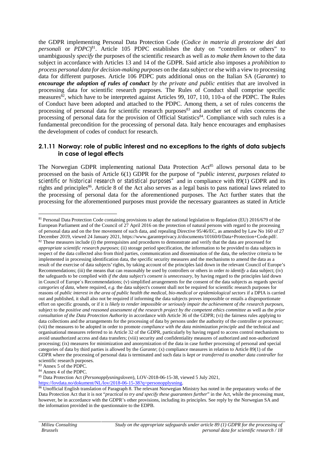the GDPR implementing Personal Data Protection Code (*Codice in materia di protezione dei dati personali* or *PDPC*) 81 . Article 105 PDPC establishes the duty on "controllers or others" to unambiguously *specify* the purposes of the scientific research as well as *to make them known* to the data subject in accordance with Articles 13 and 14 of the GDPR. Said article also imposes a *prohibition to process personal data for decision-making purposes* on the data subject or else with a view to processing data for different purposes. Article 106 PDPC puts additional onus on the Italian SA (*Garante*) to *encourage the adoption of rules of conduct by the private and public entities* that are involved in processing data for scientific research purposes. The Rules of Conduct shall comprise specific measures<sup>82</sup>, which have to be interpreted against Articles 99, 107, 110, 110-a of the PDPC. The Rules of Conduct have been adopted and attached to the PDPC. Among them, a set of rules concerns the processing of personal data for scientific research purposes<sup>83</sup> and another set of rules concerns the processing of personal data for the provision of Official Statistics<sup>84</sup>. Compliance with such rules is a fundamental precondition for the processing of personal data. Italy hence encourages and emphasises the development of codes of conduct for research.

#### **2.1.11 Norway: role of public interest and no exceptions to the rights of data subjects in case of legal effects**

The Norwegian GDPR implementing national Data Protection Act<sup>85</sup> allows personal data to be processed on the basis of Article 6(1) GDPR for the purpose of "*public interest, purposes related to scientific or historical research or statistical purposes"* and in compliance with 89(1) GDPR and its rights and principles<sup>86</sup>. Article 8 of the Act also serves as a legal basis to pass national laws related to the processing of personal data for the aforementioned purposes. The Act further states that the processing for the aforementioned purposes must provide the necessary guarantees as stated in Article

<sup>81</sup> Personal Data Protection Code containing provisions to adapt the national legislation to Regulation (EU) 2016/679 of the European Parliament and of the Council of 27 April 2016 on the protection of natural persons with regard to the processing of personal data and on the free movement of such data, and repealing Directive 95/46/EC, as amended by Law No 160 of 27 December 2019, viewed 24 January 2021, https://www.garanteprivacy.it/documents/10160/0/Data+Protection+Code.pdf/. <sup>82</sup> These measures include (i) the prerequisites and procedures to demonstrate and verify that the data are processed for *appropriate scientific research purposes*; (ii) storage period specification, the information to be provided to data subjects in respect of the data collected also from third parties, communication and dissemination of the data, the selective criteria to be implemented in processing identification data, the specific security measures and the mechanisms to amend the data as a result of the exercise of data subjects' rights, by taking account of the principles laid down in the relevant Council of Europe's Recommendations; (iii) the means that can reasonably be used by controllers or others in order *to identify* a data subject; (iv) the safeguards to be complied with *if the data subject's consent is unnecessary*, by having regard to the principles laid down in Council of Europe´s Recommendations; (v) simplified arrangements for the consent of the data subjects as regards *special categories of data*, where required, *e.g.* the data subject's consent shall not be required for scientific research purposes for reasons of *public interest in the area of public health the medical, bio-medical or epidemiological sectors* if a DPIA is carried out and published, it shall also not be required if informing the data subjects proves impossible or entails a disproportionate effort on specific grounds, or if it *is likely to render impossible or seriously impair the achievement of the research purposes*, subject to the *positive and reasoned assessment of the research project by the competent ethics committee* as well as the *prior consultation of the Data Protection Authority* in accordance with Article 36 of the GDPR; (vi) the fairness rules applying to data collections and the arrangements for the processing of data by persons under the authority of the controller or processor; (vii) the measures to be adopted in order to promote *compliance with the data minimization principle* and the technical and organisational measures referred to in Article 32 of the GDPR, particularly by having regard to access control mechanisms to avoid unauthorized access and data transfers; (viii) security and confidentiality measures of authorized and non-authorized processing; (ix) measures for minimization and anonymization of the data in case further processing of personal and special categories of data by third parties is allowed by the *Garante*; (x) compliance measures in relation to Article 89(1) of the GDPR where the processing of personal data is terminated and such data is *kept or transferred to another data controller* for scientific research purposes.

<sup>83</sup> Annex 5 of the PDPC.

<sup>84</sup> Annex 4 of the PDPC.

<sup>85</sup> Data Protection Act (*Personopplysningsloven*), LOV-2018-06-15-38, viewed 5 July 2021,

https://lovdata.no/dokument/NL/lov/2018-06-15-38?q=personopplysning.

<sup>86</sup> Unofficial English translation of Paragraph 8. The relevant Norwegian Ministry has noted in the preparatory works of the Data Protection Act that it is not "*practical to try and specify these guarantees further*" in the Act, while the processing must, however, be in accordance with the GDPR's other provisions, including its principles. See reply by the Norwegian SA and the information provided in the questionnaire to the EDPB.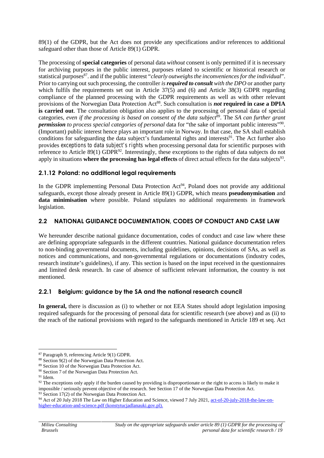89(1) of the GDPR, but the Act does not provide any specifications and/or references to additional safeguard other than those of Article 89(1) GDPR.

The processing of **special categories** of personal data *without* consent is only permitted if it is necessary for archiving purposes in the public interest, purposes related to scientific or historical research or statistical purposes<sup>87</sup>. and if the public interest "*clearly outweighs the inconveniences for the individual*". Prior to carrying out such processing, the controller *is required to consult with the DPO* or another party which fulfils the requirements set out in Article 37(5) and (6) and Article 38(3) GDPR regarding compliance of the planned processing with the GDPR requirements as well as with other relevant provisions of the Norwegian Data Protection Act<sup>88</sup>. Such consultation is *not* required in case a DPIA **is carried out**. The consultation obligation also applies to the processing of personal data of special categories, *even if the processing is based on consent of the data subject*<sup>89</sup> . The *SA can further grant permission to process special categories of personal* data for "the sake of important public interests"<sup>90</sup> . (Important) public interest hence plays an important role in Norway. In that case, the SA shall establish conditions for safeguarding the data subject's fundamental rights and interests<sup>91</sup>. The Act further also provides *exceptions to data subject's rights* when processing personal data for scientific purposes with reference to Article 89(1) GDPR<sup>92</sup>. Interestingly, these exceptions to the rights of data subjects do not apply in situations where the processing has legal effects of direct actual effects for the data subjects<sup>93</sup>.

### **2.1.12 Poland: no additional legal requirements**

In the GDPR implementing Personal Data Protection Act<sup>94</sup>, Poland does not provide any additional safeguards, except those already present in Article 89(1) GDPR, which means **pseudonymisation** and **data minimisation** where possible. Poland stipulates no additional requirements in framework legislation.

## **2.2 NATIONAL GUIDANCE DOCUMENTATION, CODES OF CONDUCT AND CASE LAW**

We hereunder describe national guidance documentation, codes of conduct and case law where these are defining appropriate safeguards in the different countries. National guidance documentation refers to non-binding governmental documents, including guidelines, opinions, decisions of SAs, as well as notices and communications, and non-governmental regulations or documentations (industry codes, research institute's guidelines), if any. This section is based on the input received in the questionnaires and limited desk research. In case of absence of sufficient relevant information, the country is not mentioned.

### **2.2.1 Belgium: guidance by the SA and the national research council**

**In general,** there is discussion as (i) to whether or not EEA States should adopt legislation imposing required safeguards for the processing of personal data for scientific research (see above) and as (ii) to the reach of the national provisions with regard to the safeguards mentioned in Article 189 et seq. Act

<sup>87</sup> Paragraph 9, referencing Article 9(1) GDPR.

<sup>88</sup> Section 9(2) of the Norwegian Data Protection Act.

<sup>89</sup> Section 10 of the Norwegian Data Protection Act.

<sup>90</sup> Section 7 of the Norwegian Data Protection Act.

<sup>91</sup> Idem.

 $92$  The exceptions only apply if the burden caused by providing is disproportionate or the right to access is likely to make it impossible / seriously prevent objective of the research. See Section 17 of the Norwegian Data Protection Act.

<sup>93</sup> Section 17(2) of the Norwegian Data Protection Act.

<sup>94</sup> Act of 20 July 2018 The Law on Higher Education and Science, viewed 7 July 2021, act-of-20-july-2018-the-law-on higher-education-and-science.pdf (konstytucjadlanauki.gov.pl).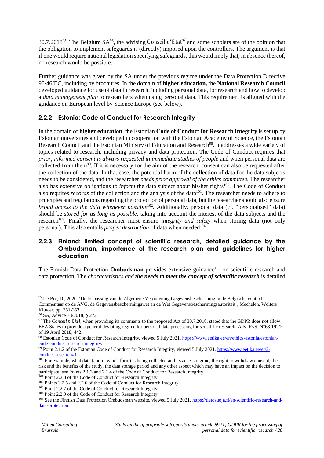30.7.2018<sup>95</sup> . The Belgium SA<sup>96</sup>, the advising *Conseil d'Etat<sup>97</sup>* and some scholars are of the opinion that the obligation to implement safeguards is (directly) imposed upon the controllers. The argument is that if one would require national legislation specifying safeguards, this would imply that, in absence thereof, no research would be possible.

Further guidance was given by the SA under the previous regime under the Data Protection Directive 95/46/EC, including by brochures. In the domain of **higher education,** the **National Research Council** developed guidance for use of data in research, including personal data, for research and how to develop a *data management plan* to researchers when using personal data. This requirement is aligned with the guidance on European level by Science Europe (see below).

## **2.2.2 Estonia: Code of Conduct for Research Integrity**

In the domain of **higher education**, the Estonian **Code of Conduct for Research Integrity** is set up by Estonian universities and developed in cooperation with the Estonian Academy of Science, the Estonian Research Council and the Estonian Ministry of Education and Research<sup>98</sup>. It addresses a wide variety of topics related to research, including privacy and data protection. The Code of Conduct requires that *prior, informed consent is always requested in immediate studies of people* and when personal data are collected from them<sup>99</sup>. If it is necessary for the aim of the research, consent can also be requested after the collection of the data. In that case, the potential harm of the collection of data for the data subjects needs to be considered, and the researcher *needs prior approval of the ethics committee*. The researcher also has extensive obligations to *inform* the data subject about his/her rights<sup>100</sup>. The Code of Conduct also requires *records* of the collection and the analysis of the data<sup>101</sup>. The researcher needs to adhere to principles and regulations regarding the protection of personal data, but the researcher should also ensure *broad access to the data whenever possible*<sup>102</sup>. Additionally, personal data (cf. "personalised" data) should be *stored for as long as possible*, taking into account the interest of the data subjects and the research<sup>103</sup>. Finally, the researcher must ensure *integrity and safety* when storing data (not only personal). This also entails *proper destruction* of data when needed<sup>104</sup>.

#### **2.2.3 Finland: limited concept of scientific research, detailed guidance by the Ombudsman, importance of the research plan and guidelines for higher education**

The Finnish Data Protection **Ombudsman** provides extensive guidance<sup>105</sup> on scientific research and data protection. The *characteristics and the needs to meet the concept of scientific research* is detailed

<sup>95</sup> De Bot, D., 2020, 'De toepassing van de Algemene Verordening Gegevensbescherming in de Belgische context. Commentaar op de AVG, de Gegevensbeschermingswet en de Wet Gegevensbeschermingsautoriteit'*,* Mechelen*,* Wolters Kluwer*,* pp. 351-353.

<sup>96</sup> SA, Advice 33/2018, § 272.

<sup>97</sup> The *Conseil d'Etat*, when providing its comments to the proposed Act of 30.7.2018, stated that the GDPR does not allow EEA States to provide a general deviating regime for personal data processing for scientific research: Adv. RvS, N°63.192/2 of 19 April 2018, 442.

<sup>98</sup> Estonian Code of Conduct for Research Integrity, viewed 5 July 2021, https://www.eetika.ee/en/ethics-estonia/estonian code-conduct-research-integrity.

<sup>&</sup>lt;sup>99</sup> Point 2.1.2 of the Estonian Code of Conduct for Research Integrity, viewed 5 July 2021, https://www.eetika.ee/et/2conduct-research#11.

 $\frac{100}{100}$  For example, what data (and in which form) is being collected and its access regime, the right to withdraw consent, the risk and the benefits of the study, the data storage period and any other aspect which may have an impact on the decision to participate: see Points 2.1.3 and 2.1.4 of the Code of Conduct for Research Integrity.

<sup>&</sup>lt;sup>101</sup> Point 2.2.3 of the Code of Conduct for Research Integrity.

<sup>102</sup> Points 2.2.5 and 2.2.6 of the Code of Conduct for Research Integrity.

<sup>103</sup> Point 2.2.7 of the Code of Conduct for Research Integrity.

<sup>104</sup> Point 2.2.9 of the Code of Conduct for Research Integrity.

<sup>&</sup>lt;sup>105</sup> See the Finnish Data Protection Ombudsman website, viewed 5 July 2021, https://tietosuoja.fi/en/scientific-research-anddata-protection.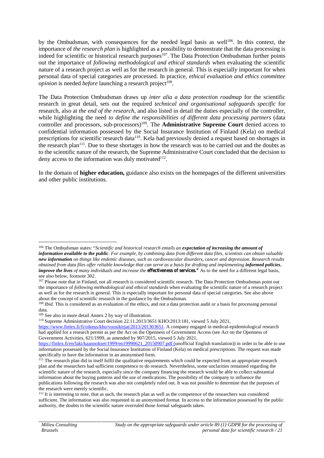by the Ombudsman, with consequences for the needed legal basis as well<sup>106</sup>. In this context, the importance of *the research plan* is highlighted as a possibility to demonstrate that the data processing is indeed for scientific or historical research purposes<sup>107</sup>. The Data Protection Ombudsman further points out the importance of *following methodological and ethical standards* when evaluating the scientific nature of a research project as well as for the research in general. This is especially important for when personal data of special categories are processed. In practice, *ethical evaluation and ethics committee opinion* is needed *before* launching a research project<sup>108</sup>.

The Data Protection Ombudsman draws up *inter alia a data protection roadmap* for the scientific research in great detail, sets out the required *technical and organisational safeguards specific* for research, also at *the end of the research*, and also listed in detail the duties especially of the controller, while highlighting the need *to define the responsibilities of different data processing partners* (data controller and processors, sub-processors)<sup>109</sup>. The **Administrative Supreme Court** denied access to confidential information possessed by the Social Insurance Institution of Finland (Kela) on medical prescriptions for scientific research data<sup>110</sup>. Kela had previously denied a request based on shortages in the research plan<sup>111</sup>. Due to these shortages in how the research was to be carried out and the doubts as to the scientific nature of the research, the Supreme Administrative Court concluded that the decision to deny access to the information was duly motivated $112$ .

In the domain of **higher education,** guidance also exists on the homepages of the different universities and other public institutions.

<sup>106</sup> The Ombudsman states: "*Scientific and historical research entails an expectation of increasing the amount of information available to the public. For example, by combining data from different data files, scientists can obtain valuable new information on things like endemic diseases, such as cardiovascular disorders, cancer and depression. Research results obtained from data files offer reliable knowledge that can serve as a basis for drafting and implementing informed policies, improve the lives of many individuals and increase the <i>effectiveness of services.*" As to the need for a different legal basis, see also below, footnote 302.

<sup>&</sup>lt;sup>107</sup> Please note that in Finland, not all research is considered scientific research. The Data Protection Ombudsman point out the importance of *following methodological and ethical standards* when evaluating the scientific nature of a research project as well as for the research in general. This is especially important for personal data of special categories. See also above about the concept of scientific research in the guidance by the Ombudsman.

<sup>&</sup>lt;sup>108</sup> *Ibid*. This is considered as an evaluation of the ethics, and not a data protection audit or a basis for processing personal data.

<sup>109</sup> See also in more detail Annex 2 by way of illustration.

<sup>110</sup> Supreme Administrative Court decision 22.11.2013/3651 KHO:2013:181, viewed 5 July 2021,

https://www.finlex.fi/fi/oikeus/kho/vuosikirjat/2013/201303651. A company engaged in medical-epidemiological research had applied for a research permit as per the Act on the Openness of Government Access (see Act on the Openness of Government Activities, 621/1999, as amended by 907/2015, viewed 5 July 2021,

https://finlex.fi/en/laki/kaannokset/1999/en19990621\_20150907.pdf (unofficial English translation)) in order to be able to use information possessed by the Social Insurance Institution of Finland (Kela) on medical prescriptions. The request was made specifically to have the information in an anonymised form.

<sup>&</sup>lt;sup>111</sup> The research plan did in itself fulfil the qualitative requirements which could be expected from an appropriate research plan and the researchers had sufficient competence to do research. Nevertheless, some unclarities remained regarding the scientific nature of the research, especially since the company financing the research would be able to collect substantial information about the buying patterns and the use of medications. The possibility of the company to influence the publications following the research was also not completely ruled out. It was not possible to determine that the purposes of the research were merely scientific.

<sup>&</sup>lt;sup>112</sup> It is interesting to note, that as such, the research plan as well as the competence of the researchers was considered sufficient. The information was also requested in an anonymised format. In access to the information possessed by the public authority, the doubts to the scientific nature overruled those formal safeguards taken.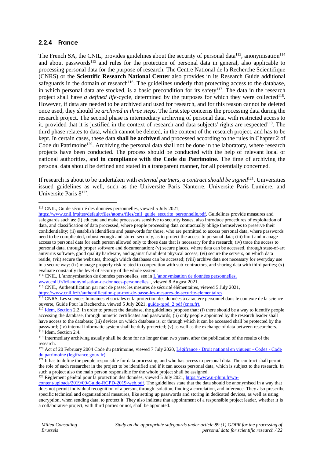#### **2.2.4 France**

The French SA, the CNIL, provides guidelines about the security of personal data<sup>113</sup>, anonymisation<sup>114</sup> and about passwords<sup>115</sup> and rules for the protection of personal data in general, also applicable to processing personal data for the purpose of research. The Centre National de la Recherche Scientifique (CNRS) or the **Scientific Research National Center** also provides in its Research Guide additional safeguards in the domain of research<sup>116</sup>. The guidelines underly that protecting access to the database, in which personal data are stocked, is a basic precondition for its safety<sup>117</sup>. The data in the research project shall have *a defined life-cycle*, determined by the purposes for which they were collected<sup>118</sup>. However, if data are needed to be archived and used for research, and for this reason cannot be deleted once used, they should be *archived in three steps*. The first step concerns the processing data during the research project. The second phase is intermediary archiving of personal data, with restricted access to it, provided that it is justified in the context of research and data subjects' rights are respected<sup>119</sup>. The third phase relates to data, which cannot be deleted, in the context of the research project, and has to be kept. In certain cases, these data **shall be archived** and processed according to the rules in Chapter 2 of Code du Patrimoine<sup>120</sup>. Archiving the personal data shall not be done in the laboratory, where research projects have been conducted. The process should be conducted with the help of relevant local or national authorities, and **in compliance with the Code du Patrimoine**. The time of archiving the personal data should be defined and stated in a transparent manner, for all potentially concerned.

If research is about to be undertaken with *external partners, a contract should be signed*<sup>121</sup> . Universities issued guidelines as well, such as the Universite Paris Nanterre, Universite Paris Lumiere, and Universite Paris 8<sup>122</sup>.

<sup>114</sup> CNIL, L'anonymisation de données personelles, see in *L'anonymisation de données personnelles*, www.cnil.fr/fr/lanonymisation-de-donnees-personnelles, , viewed 8 August 2021.

<sup>115</sup> CNIL, Authentification par mot de passe: les mesures de sécurité élémentaires, viewed 5 July 2021,

https://www.cnil.fr/fr/authentification-par-mot-de-passe-les-mesures-de-securite-elementaires.

<sup>116</sup> CNRS, Les sciences humaines et sociales et la protection des données à caractère personnel dans le contexte de la science ouverte, Guide Pour la Recherche, viewed 5 July 2021, guide-rgpd\_2.pdf (cnrs.fr).

<sup>122</sup> Règlement général pour la protection des données, viewed 5 July 2021, https://www.u-plum.fr/wp-

<sup>113</sup> CNIL, Guide sécurité des données personnelles, viewed 5 July 2021,

https://www.cnil.fr/sites/default/files/atoms/files/cnil\_guide\_securite\_personnelle.pdf. Guidelines provide measures and safeguards such as: (i) educate and make processors sensitive to security issues, also introduce procedures of exploitation of data, and classification of data processed, where people processing data contractually oblige themselves to preserve their confidentiality; (ii) establish identifiers and passwords for those, who are permitted to access personal data, where passwords need to be complicated, robust enough and stored securely, as to protect the access to personal data; (iii) limit and manage access to personal data for each person allowed only to those data that is necessary for the research; (iv) trace the access to personal data, through proper software and documentation; (v) secure places, where data can be accessed, through state-of-art antivirus software, good quality hardware, and against fraudulent physical access; (vi) secure the servers, on which data reside; (vii) secure the websites, through which databases can be accessed; (viii) archive data not necessary for everyday use in a secure way: (ix) manage properly risk related to cooperation with sub-contractors, and sharing data with third parties; (x) evaluate constantly the level of security of the whole system.

 $117$  Idem, Section 2.2. In order to protect the database, the guidelines propose that: (i) there should be a way to identify people accessing the database, through numeric certificates and passwords; (ii) only people appointed by the research leader shall have access to the database; (iii) devices on which database is, or through which it can be accessed shall be protected by the password; (iv) internal informatic system shall be duly protected; (v) as well as the exchange of data between researchers. <sup>118</sup> Idem, Section 2.4.

<sup>&</sup>lt;sup>119</sup> Intermediary archiving usually shall be done for no longer than two years, after the publication of the results of the research.

<sup>&</sup>lt;sup>120</sup> Act of 20 February 2004 Code du patrimoine, viewed 7 July 2020, Légifrance - Droit national en vigueur - Codes - Code du patrimoine (legifrance.gouv.fr).

 $121$  It has to define the people responsible for data processing, and who has access to personal data. The contract shall permit the role of each researcher in the project to be identified and if it can access personal data, which is subject to the research. In such a project also the main person responsible for the whole project shall be assigned.

content/uploads/2019/09/Guide-RGPD-2019-web.pdf. The guidelines state that the data should be anonymised in a way that does not permit individual recognition of a person, through isolation, finding a correlation, and inference. They also prescribe specific technical and organisational measures, like setting up passwords and storing in dedicated devices, as well as using encryption, when sending data, to protect it. They also indicate that appointment of a responsible project leader, whether it is a collaborative project, with third parties or not, shall be appointed.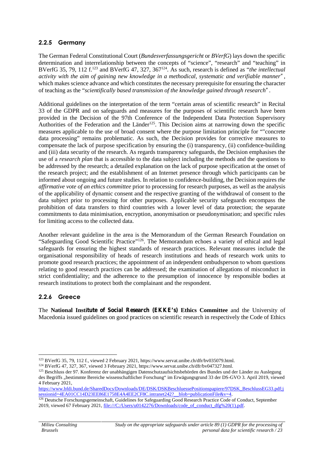## **2.2.5 Germany**

The German Federal Constitutional Court (*Bundesverfassungsgericht* or *BVerfG*) lays down the specific determination and interrelationship between the concepts of "science", "research" and "teaching" in BVerfG 35, 79, 112 f.<sup>123</sup> and BVerfG 47, 327, 367<sup>124</sup>. As such, research is defined as "*the intellectual activity with the aim of gaining new knowledge in a methodical, systematic and verifiable manner",* which makes science advance and which constitutes the necessary prerequisite for ensuring the character of teaching as the "*scientifically based transmission of the knowledge gained through research"*.

Additional guidelines on the interpretation of the term "certain areas of scientific research" in Recital 33 of the GDPR and on safeguards and measures for the purposes of scientific research have been provided in the Decision of the 97th Conference of the Independent Data Protection Supervisory Authorities of the Federation and the Länder<sup>125</sup>. This Decision aims at narrowing down the specific measures applicable to the use of broad consent where the purpose limitation principle for ""concrete data processing" remains problematic. As such, the Decision provides for corrective measures to compensate the lack of purpose specification by ensuring the (i) transparency, (ii) confidence-building and (iii) data security of the research. As regards transparency safeguards, the Decision emphasises the use of a *research plan* that is accessible to the data subject including the methods and the questions to be addressed by the research; a detailed explanation on the lack of purpose specification at the onset of the research project; and the establishment of an Internet presence through which participants can be informed about ongoing and future studies. In relation to confidence-building, the Decision requires *the affirmative vote of an ethics committee* prior to processing for research purposes, as well as the analysis of the applicability of dynamic consent and the respective granting of the withdrawal of consent to the data subject prior to processing for other purposes. Applicable security safeguards encompass the prohibition of data transfers to third countries with a lower level of data protection; the separate commitments to data minimisation, encryption, anonymisation or pseudonymisation; and specific rules for limiting access to the collected data.

Another relevant guideline in the area is the Memorandum of the German Research Foundation on "Safeguarding Good Scientific Practice"<sup>126</sup>. The Memorandum echoes a variety of ethical and legal safeguards for ensuring the highest standards of research practices. Relevant measures include the organisational responsibility of heads of research institutions and heads of research work units to promote good research practices; the appointment of an independent ombudsperson to whom questions relating to good research practices can be addressed; the examination of allegations of misconduct in strict confidentiality; and the adherence to the presumption of innocence by responsible bodies at research institutions to protect both the complainant and the respondent.

### **2.2.6 Greece**

The **National Institute of Social Research (EKKE's) Ethics Committee** and the University of Macedonia issued guidelines on good practices on scientific research in respectively the Code of Ethics

<sup>123</sup> BVerfG 35, 79, 112 f., viewed 2 February 2021, https://www.servat.unibe.ch/dfr/bv035079.html.

<sup>124</sup> BVerfG 47, 327, 367, viewed 3 February 2021, https://www.servat.unibe.ch/dfr/bv047327.html.

<sup>&</sup>lt;sup>125</sup> Beschluss der 97. Konferenz der unabhängigen Datenschutzaufsichtsbehörden des Bundes und der Länder zu Auslegung des Begriffs "bestimmte Bereiche wissenschaftlicher Forschung" im Erwägungsgrund 33 der DS-GVO 3. April 2019, viewed 4 February 2021,

https://www.bfdi.bund.de/SharedDocs/Downloads/DE/DSK/DSKBeschluessePositionspapiere/97DSK\_BeschlussEG33.pdf;j sessionid=4EA01CC14D23EE86E1758E4A4EE2CF8C.intranet242?\_\_blob=publicationFile&v=4.

<sup>&</sup>lt;sup>126</sup> Deutsche Forschungsgemeinschaft, Guidelines for Safeguarding Good Research Practice Code of Conduct, September 2019, viewed 67 February 2021, file:///C:/Users/u0142276/Downloads/code\_of\_conduct\_dfg%20(1).pdf.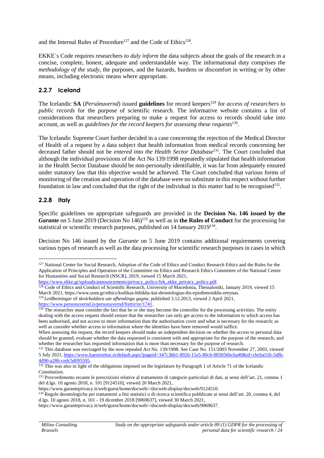and the Internal Rules of Procedure<sup>127</sup> and the Code of Ethics<sup>128</sup>.

EKKE´s Code requires researchers *to duly inform* the data subjects about the goals of the research in a concise, complete, honest, adequate and understandable way. The informational duty comprises *the methodology of the study*, the purposes, and the hazards, burdens or discomfort in writing or by other means, including electronic means where appropriate.

## **2.2.7 Iceland**

The Icelandic **SA** (*Persónuvernd*) issued **guidelines** for record keepers<sup>129</sup> for *access of researchers to public records* for the purpose of scientific research. The informative website contains a list of considerations that researchers preparing to make a request for access to records should take into account, as well as *guidelines for the record keepers for assessing these requests*<sup>130</sup> .

The Icelandic Supreme Court further decided in a case concerning the rejection of the Medical Director of Health of a request by a data subject that health information from medical records concerning her deceased father should not be *entered into the Health Sector Database*<sup>131</sup> . The Court concluded that although the individual provisions of the Act No 139/1998 repeatedly stipulated that health information in the Health Sector Database should be non-personally identifiable, it was far from adequately ensured under statutory law that this objective would be achieved. The Court concluded that various forms of monitoring of the creation and operation of the database were no substitute in this respect without further foundation in law and concluded that the right of the individual in this matter had to be recognised<sup>132</sup>.

#### **2.2.8 Italy**

Specific guidelines on appropriate safeguards are provided in the **Decision No. 146 issued by the** *Garante* on 5 June 2019 (Decision No 146)<sup>133</sup> as well as in **the Rules of Conduct** for the processing for statistical or scientific research purposes, published on 14 January 2019<sup>134</sup>.

Decision No 146 issued by the *Garante* on 5 June 2019 contains additional requirements covering various types of research as well as the data processing for scientific research purposes in cases in which

<sup>129</sup> *Leiðbeiningar til skrárhaldara um afhendingu gagna*, published 3.12.2013, viewed 2 April 2021, https://www.personuvernd.is/personuvernd/frettir/nr/1741.

<sup>&</sup>lt;sup>127</sup> National Center for Social Research, Adoption of the Code of Ethics and Conduct Research Ethics and the Rules for the Application of Principles and Operation of the Committee on Ethics and Research Ethics Committee of the National Centre for Humanities and Social Research (NSCR), 2019, viewed 15 March 2021,

https://www.ekke.gr/uploads/announcements/privacy\_policy/fek\_ekke\_privacy\_policy.pdf.

<sup>&</sup>lt;sup>128</sup> Code of Ethics and Conduct of Scientific Research, University of Macedonia, Thessaloniki, January 2019, viewed 15 March 2021, https://www.uom.gr/ethics/kodikas-hthikhs-kai-deontologias-ths-episthmonikhs-ereynas.

<sup>&</sup>lt;sup>130</sup> The researcher must consider the fact that he or she may become the controller for the processing activities. The entity dealing with the access request should ensure that the researcher can only get access to the information to which access has been authorised, and not access to more information than the authorisation cover and what is necessary for the research; as well as consider whether access to information where the identities have been removed would suffice.

When assessing the request, the record keepers should make an independent decision on whether the access to personal data should be granted; evaluate whether the data requested is consistent with and appropriate for the purpose of the research; and whether the researcher has requested information that is more than necessary for the purpose of research.

<sup>&</sup>lt;sup>131</sup> This database was envisaged by the now repealed Act No. 139/1998. See Case No. 151/2003 November 27, 2003, viewed 5 July 2021, https://www.haestirettur.is/default.aspx?pageid=347c3bb1-8926-11e5-80c6-005056bc6a40&id=cbcba31b-5dfb- 4d90-a286-cedc5d095595.

<sup>&</sup>lt;sup>132</sup> This was also in light of the obligations imposed on the legislature by Paragraph 1 of Article 71 of the Icelandic Constitution.

<sup>&</sup>lt;sup>133</sup> Provvedimento recante le prescrizioni relative al trattamento di categorie particolari di dati, ai sensi dell'art. 21, comma 1 del d.lgs. 10 agosto 2018, n. 101 [9124510], viewed 20 March 2021,

https://www.garanteprivacy.it/web/guest/home/docweb/-/docweb-display/docweb/9124510.

<sup>134</sup> Regole deontologiche per trattamenti a fini statistici o di ricerca scientifica pubblicate ai sensi dell'art. 20, comma 4, del d.lgs. 10 agosto 2018, n. 101 - 19 dicembre 2018 [9069637], viewed 30 March 2021,

https://www.garanteprivacy.it/web/guest/home/docweb/-/docweb-display/docweb/9069637.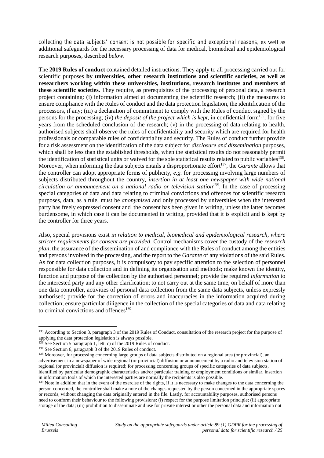*collecting the data subjects' consent is not possible for specific and exceptional reasons*, as well as additional safeguards for the necessary processing of data for medical, biomedical and epidemiological research purposes, described *below*.

The **2019 Rules of conduct** contained detailed instructions. They apply to all processing carried out for scientific purposes **by universities, other research institutions and scientific societies, as well as researchers working within these universities, institutions, research institutes and members of these scientific societies**. They require, as prerequisites of the processing of personal data, a research project containing: (i) information aimed at documenting the scientific research; (ii) the measures to ensure compliance with the Rules of conduct and the data protection legislation, the identification of the processors, if any; (iii) a declaration of commitment to comply with the Rules of conduct signed by the persons for the processing; (iv) *the deposit of the project which is kept*, in confidential form<sup>135</sup>, for five years from the scheduled conclusion of the research; (v) in the processing of data relating to health, authorised subjects shall observe the rules of confidentiality and security which are required for health professionals or comparable rules of confidentiality and security. The Rules of conduct further provide for a risk assessment on the identification of the data subject for *disclosure and dissemination* purposes, which shall be less than the established thresholds, when the statistical results do not reasonably permit the identification of statistical units or waived for the sole statistical results related to public variables<sup>136</sup>. Moreover, when informing the data subjects entails a disproportionate effort<sup>137</sup>, the *Garante* allows that the controller can adopt appropriate forms of publicity, *e.g.* for processing involving large numbers of subjects distributed throughout the country, *insertion in at least one newspaper with wide national circulation or announcement on a national radio or television station<sup>138</sup> .* In the case of processing special categories of data and data relating to criminal convictions and offences for scientific research purposes, data, as a rule, must be *anonymised* and only processed by universities when the interested party has freely expressed consent and the consent has been given in writing, unless the latter becomes burdensome, in which case it can be documented in writing, provided that it is explicit and is kept by the controller for three years.

Also, special provisions exist *in relation to medical, biomedical and epidemiological research, where stricter requirements for consent are provided*. Control mechanisms cover the custody of the *research plan*, the assurance of the dissemination of and compliance with the Rules of conduct among the entities and persons involved in the processing, and the report to the *Garante* of any violations of the said Rules. As for data collection purposes, it is compulsory to pay specific attention to the selection of personnel responsible for data collection and in defining its organisation and methods; make known the identity, function and purpose of the collection by the authorised personnel; provide the required *information* to the interested party and any other clarification; to not carry out at the same time, on behalf of more than one data controller, activities of personal data collection from the same data subjects, unless expressly authorised; provide for the correction of errors and inaccuracies in the information acquired during collection; ensure particular diligence in the collection of the special categories of data and data relating to criminal convictions and offences<sup>139</sup>.

<sup>135</sup> According to Section 3, paragraph 3 of the 2019 Rules of Conduct, consultation of the research project for the purpose of applying the data protection legislation is always possible.

 $136$  See Section 5 paragraph 1, lett. c) of the 2019 Rules of conduct.

<sup>&</sup>lt;sup>137</sup> See Section 6, paragraph 3 of the 2019 Rules of conduct.

<sup>&</sup>lt;sup>138</sup> Moreover, for processing concerning large groups of data subjects distributed on a regional area (or provincial), an advertisement in a newspaper of wide regional (or provincial) diffusion or announcement by a radio and television station of regional (or provincial) diffusion is required; for processing concerning groups of specific categories of data subjects, identified by particular demographic characteristics and/or particular training or employment conditions or similar, insertion in information tools of which the interested parties are normally the recipients is also possible.

<sup>&</sup>lt;sup>139</sup> Note in addition that in the event of the exercise of the rights, if it is necessary to make changes to the data concerning the person concerned, the controller shall make a note of the changes requested by the person concerned in the appropriate spaces or records, without changing the data originally entered in the file. Lastly, for accountability purposes, authorised persons need to conform their behaviour to the following provisions: (i) respect for the purpose limitation principle; (ii) appropriate storage of the data; (iii) prohibition to disseminate and use for private interest or other the personal data and information not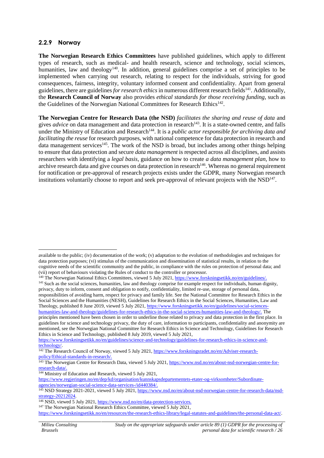#### **2.2.9 Norway**

**The Norwegian Research Ethics Committees** have published guidelines, which apply to different types of research, such as medical- and health research, science and technology, social sciences, humanities, law and theology<sup>140</sup>. In addition, general guidelines comprise a set of principles to be implemented when carrying out research, relating to respect for the individuals, striving for good consequences, fairness, integrity, voluntary informed consent and confidentiality. Apart from general guidelines, there are guidelines for research ethics in numerous different research fields<sup>141</sup>. Additionally, the **Research Council of Norway** also provides *ethical standards for those receiving funding*, such as the Guidelines of the Norwegian National Committees for Research Ethics<sup>142</sup>.

**The Norwegian Centre for Research Data (the NSD)** *facilitates the sharing and reuse of data* and gives *advice* on data management and data protection in research<sup>143</sup>. It is a state-owned centre, and falls under the Ministry of Education and Research<sup>144</sup>. It is a *public actor responsible for archiving data and facilitating the reuse* for research purposes, with national competence for data protection in research and data management services<sup>145</sup>. The work of the NSD is broad, but includes among other things helping to ensure that data protection and secure *data management* is respected across all disciplines, and assists researchers with identifying a *legal basis*, guidance on how to create *a data management plan*, how to archive research data and give courses on data protection in research<sup>146</sup>. Whereas no general requirement for notification or pre-approval of research projects exists under the GDPR, many Norwegian research institutions voluntarily choose to report and seek pre-approval of relevant projects with the NSD<sup>147</sup>.

<sup>140</sup> The Norwegian National Ethics Committees, viewed 5 July 2021, https://www.forskningsetikk.no/en/guidelines.

https://www.forskningsetikk.no/en/guidelines/science-and-technology/guidelines-for-research-ethics-in-science-andtechnology/.

<sup>144</sup> Ministry of Education and Research, viewed 5 July 2021,

available to the public; (iv) documentation of the work; (v) adaptation to the evolution of methodologies and techniques for data protection purposes; (vi) stimulus of the communication and dissemination of statistical results, in relation to the cognitive needs of the scientific community and the public, in compliance with the rules on protection of personal data; and (vii) report of behaviours violating the Rules of conduct to the controller or processor.

<sup>&</sup>lt;sup>141</sup> Such as the social sciences, humanities, law and theology comprise for example respect for individuals, human dignity, privacy, duty to inform, consent and obligation to notify, confidentiality, limited re-use, storage of personal data, responsibilities of avoiding harm, respect for privacy and family life. See the National Committee for Research Ethics in the Social Sciences and the Humanities (NESH), Guidelines for Research Ethics in the Social Sciences, Humanities, Law and Theology, published 8 June 2019, viewed 5 July 2021, https://www.forskningsetikk.no/en/guidelines/social-sciences humanities-law-and-theology/guidelines-for-research-ethics-in-the-social-sciences-humanities-law-and-theology/. The principles mentioned have been chosen in order to underline those related to privacy and data protection in the first place. In guidelines for science and technology privacy, the duty of care, information to participants, confidentiality and anonymity are mentioned, see the Norwegian National Committee for Research Ethics in Science and Technology, Guidelines for Research Ethics in Science and Technology, published 8 July 2019, viewed 5 July 2021,

<sup>&</sup>lt;sup>142</sup> The Research Council of Norway, viewed 5 July 2021, https://www.forskningsradet.no/en/Adviser-researchpolicy/Ethical-standards-in-research/.

<sup>&</sup>lt;sup>143</sup> The Norwegian Centre for Research Data, viewed 5 July 2021, https://www.nsd.no/en/about-nsd-norwegian-centre-forresearch-data/.

https://www.regjeringen.no/en/dep/kd/organisation/kunnskapsdepartementets-etater-og-virksomheter/Subordinate agencies/norwegian-social-science-data-services-/id440384/.

<sup>&</sup>lt;sup>145</sup> NSD Strategy 2021-2021, viewed 5 July 2021, https://www.nsd.no/en/about-nsd-norwegian-centre-for-research-data/nsdstrategy-20212024

<sup>146</sup> NSD, viewed 5 July 2021, https://www.nsd.no/en/data-protection-services.

<sup>&</sup>lt;sup>147</sup> The Norwegian National Research Ethics Committee, viewed 5 July 2021,

https://www.forskningsetikk.no/en/resources/the-research-ethics-library/legal-statutes-and-guidelines/the-personal-data-act/.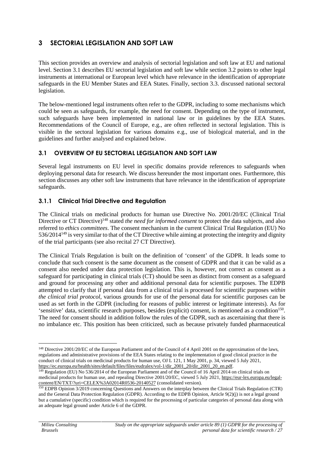# **3 SECTORIAL LEGISLATION AND SOFT LAW**

This section provides an overview and analysis of sectorial legislation and soft law at EU and national level. Section 3.1 describes EU sectorial legislation and soft law while section 3.2 points to other legal instruments at international or European level which have relevance in the identification of appropriate safeguards in the EU Member States and EEA States. Finally, section 3.3. discussed national sectoral legislation.

The below-mentioned legal instruments often refer to the GDPR, including to some mechanisms which could be seen as safeguards, for example, the need for consent. Depending on the type of instrument, such safeguards have been implemented in national law or in guidelines by the EEA States. Recommendations of the Council of Europe, e.g., are often reflected in sectoral legislation. This is visible in the sectoral legislation for various domains e.g., use of biological material, and in the guidelines and further analysed and explained below.

### **3.1 OVERVIEW OF EU SECTORIAL LEGISLATION AND SOFT LAW**

Several legal instruments on EU level in specific domains provide references to safeguards when deploying personal data for research. We discuss hereunder the most important ones. Furthermore, this section discusses any other soft law instruments that have relevance in the identification of appropriate safeguards.

## **3.1.1 Clinical Trial Directive and Regulation**

The Clinical trials on medicinal products for human use Directive No. 2001/20/EC (Clinical Trial Directive or CT Directive) <sup>148</sup> stated *the need for informed consent* to protect the data subjects, and also referred to *ethics committees*. The consent mechanism in the current Clinical Trial Regulation (EU) No 536/2014<sup>149</sup> is very similar to that of the CT Directive while aiming at protecting the integrity and dignity of the trial participants (see also recital 27 CT Directive).

The Clinical Trials Regulation is built on the definition of 'consent' of the GDPR. It leads some to conclude that such consent is the same document as the consent of GDPR and that it can be valid as a consent also needed under data protection legislation. This is, however, not correct as consent as a safeguard for participating in clinical trials (CT) should be seen as distinct from consent as a safeguard and ground for processing any other and additional personal data for scientific purposes. The EDPB attempted to clarify that if personal data from a clinical trial is processed for scientific purposes *within the clinical trial protocol*, various grounds for use of the personal data for scientific purposes can be used as set forth in the GDPR (including for reasons of public interest or legitimate interests). As for 'sensitive' data, scientific research purposes, besides (explicit) consent, is mentioned as a condition<sup>150</sup>. The need for consent should in addition follow the rules of the GDPR, such as ascertaining that there is no imbalance etc. This position has been criticized, such as because privately funded pharmaceutical

<sup>&</sup>lt;sup>148</sup> Directive 2001/20/EC of the European Parliament and of the Council of 4 April 2001 on the approximation of the laws, regulations and administrative provisions of the EEA States relating to the implementation of good clinical practice in the conduct of clinical trials on medicinal products for human use, OJ L 121, 1 May 2001, p. 34, viewed 5 July 2021, https://ec.europa.eu/health/sites/default/files/files/eudralex/vol-1/dir\_2001\_20/dir\_2001\_20\_en.pdf.

 $149$  Regulation (EU) No 536/2014 of the European Parliament and of the Council of 16 April 2014 on clinical trials on medicinal products for human use, and repealing Directive 2001/20/EC, viewed 5 July 2021, https://eur-lex.europa.eu/legal content/EN/TXT/?uri=CELEX%3A02014R0536-20140527 (consolidated version).

<sup>&</sup>lt;sup>150</sup> EDPB Opinion 3/2019 concerning Questions and Answers on the interplay between the Clinical Trials Regulation (CTR) and the General Data Protection Regulation (GDPR). According to the EDPB Opinion, Article 9(2)(j) is not a legal ground but a cumulative (specific) condition which is required for the processing of particular categories of personal data along with an adequate legal ground under Article 6 of the GDPR.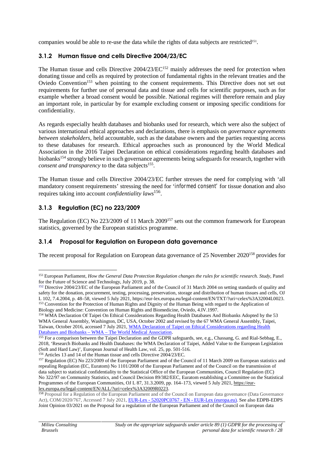companies would be able to re-use the data while the rights of data subjects are restricted<sup>151</sup>.

### **3.1.2 Human tissue and cells Directive 2004/23/EC**

The Human tissue and cells Directive 2004/23/EC<sup>152</sup> mainly addresses the need for protection when donating tissue and cells as required by protection of fundamental rights in the relevant treaties and the Oviedo Convention<sup>153</sup> when pointing to the consent requirements. This Directive does not set out requirements for further use of personal data and tissue and cells for scientific purposes, such as for example whether a broad consent would be possible. National regimes will therefore remain and play an important role, in particular by for example excluding consent or imposing specific conditions for confidentiality.

As regards especially health databases and biobanks used for research, which were also the subject of various international ethical approaches and declarations, there is emphasis on *governance agreements between stakeholders*, held accountable, such as the database owners and the parties requesting access to these databases for research. Ethical approaches such as pronounced by the World Medical Association in the 2016 Taipei Declaration on ethical considerations regarding health databases and biobanks<sup>154</sup> strongly believe in such governance agreements being safeguards for research, together with *consent and transparency* to the data subjects<sup>155</sup>.

The Human tissue and cells Directive 2004/23/EC further stresses the need for complying with 'all mandatory consent requirements' stressing the need for '*informed consent'* for tissue donation and also requires taking into account *confidentiality laws*<sup>156</sup> .

## **3.1.3 Regulation (EC) no 223/2009**

The Regulation (EC) No 223/2009 of 11 March 2009<sup>157</sup> sets out the common framework for European statistics, governed by the European statistics programme.

### **3.1.4 Proposal for Regulation on European data governance**

The recent proposal for Regulation on European data governance of 25 November 2020<sup>158</sup> provides for

<sup>156</sup> Articles 13 and 14 of the Human tissue and cells Directive 2004/23/EC.

<sup>151</sup> European Parliament, *How the General Data Protection Regulation changes the rules for scientific research. Study,* Panel for the Future of Science and Technology, July 2019, p. 38.

<sup>&</sup>lt;sup>152</sup> Directive 2004/23/EC of the European Parliament and of the Council of 31 March 2004 on setting standards of quality and safety for the donation, procurement, testing, processing, preservation, storage and distribution of human tissues and cells, OJ L 102, 7.4.2004, p. 48–58, viewed 5 July 2021, https://eur-lex.europa.eu/legal-content/EN/TXT/?uri=celex%3A32004L0023. <sup>153</sup> Convention for the Protection of Human Rights and Dignity of the Human Being with regard to the Application of Biology and Medicine: Convention on Human Rights and Biomedicine, Oviedo, 4.IV.1997.

<sup>&</sup>lt;sup>154</sup> WMA Declaration Of Taipei On Ethical Considerations Regarding Health Databases And Biobanks Adopted by the 53 WMA General Assembly, Washington, DC, USA, October 2002 and revised by the 67 WMA General Assembly, Taipei, Taiwan, October 2016, accessed 7 July 2021, WMA Declaration of Taipei on Ethical Considerations regarding Health Databases and Biobanks – WMA – The World Medical Association.

<sup>155</sup> For a comparison between the Taipei Declaration and the GDPR safeguards, see, e.g., Chassang, G. and Rial-Sebbag, E., 2018, 'Research Biobanks and Health Databases: the WMA Declaration of Taipei, Added Value to the European Legislation (Soft and Hard Law)', European Journal of Health Law, vol. 25, pp. 501-516.

<sup>157</sup> Regulation (EC) No 223/2009 of the European Parliament and of the Council of 11 March 2009 on European statistics and repealing Regulation (EC, Euratom) No 1101/2008 of the European Parliament and of the Council on the transmission of data subject to statistical confidentiality to the Statistical Office of the European Communities, Council Regulation (EC) No 322/97 on Community Statistics, and Council Decision 89/382/EEC, Euratom establishing a Committee on the Statistical Programmes of the European Communities, OJ L 87, 31.3.2009, pp. 164–173, viewed 5 July 2021, https://eurlex.europa.eu/legal-content/EN/ALL/?uri=celex%3A32009R0223.

<sup>&</sup>lt;sup>158</sup> Proposal for a Regulation of the European Parliament and of the Council on European data governance (Data Governance Act), COM/2020/767, Accessed 7 July 2021, EUR-Lex - 52020PC0767 - EN - EUR-Lex (europa.eu). See also EDPB-EDPS Joint Opinion 03/2021 on the Proposal for a regulation of the European Parliament and of the Council on European data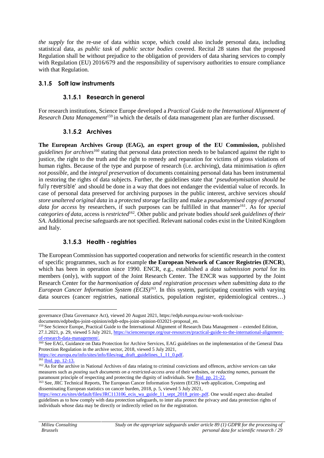*the supply* for the re-use of data within scope, which could also include personal data, including statistical data, as *public task* of *public sector bodies* covered. Recital 28 states that the proposed Regulation shall be without prejudice to the obligation of providers of data sharing services to comply with Regulation (EU) 2016/679 and the responsibility of supervisory authorities to ensure compliance with that Regulation.

#### **3.1.5 Soft law instruments**

#### **3.1.5.1 Research in general**

For research institutions, Science Europe developed a *Practical Guide to the International Alignment of Research Data Management*<sup>159</sup> in which the details of data management plan are further discussed.

#### **3.1.5.2 Archives**

**The European Archives Group (EAG), an expert group of the EU Commission,** published *guidelines for archives*<sup>160</sup> stating that personal data protection needs to be balanced against the right to justice, the right to the truth and the right to remedy and reparation for victims of gross violations of human rights. Because of the type and purpose of research (i.e. archiving), data minimisation *is often not possible*, and the *integral preservation* of documents containing personal data has been instrumental in restoring the rights of data subjects. Further, the guidelines state that '*pseudonymisation should be fully reversible'* and should be done in a way that does not endanger the evidential value of records. In case of personal data preserved for archiving purposes in the public interest, archive services *should store unaltered original data* in a *protected storage* facility and make a *pseudonymised copy of personal* data for access by researchers, if such purposes can be fulfilled in that manner<sup>161</sup>. As for *special categories of data,* access is *restricted*<sup>162</sup> *.* Other public and private bodies *should seek guidelines of their SA*. Additional precise safeguards are not specified. Relevant national codes exist in the United Kingdom and Italy.

### **3.1.5.3 Health - registries**

The European Commission has supported cooperation and networks for scientific research in the context of specific programmes, such as for example **the European Network of Cancer Registries (ENCR**), which has been in operation since 1990. ENCR, e.g., established a *data submission portal* for its members (only), with support of the Joint Research Center. The ENCR was supported by the Joint Research Center for the *harmonisation of data and registration processes when submitting data to the European Cancer Information System (ECIS)*<sup>163</sup> *.* In this system, participating countries with varying data sources (cancer registries, national statistics, population register, epidemiological centres…)

https://ec.europa.eu/info/sites/info/files/eag\_draft\_guidelines\_1\_11\_0.pdf.

governance (Data Governance Act), viewed 20 August 2021, https://edpb.europa.eu/our-work-tools/our documents/edpbedps-joint-opinion/edpb-edps-joint-opinion-032021-proposal\_en.

<sup>159</sup> See Science Europe, Practical Guide to the International Alignment of Research Data Management – extended Edition*,* 27.1.2021, p. 29, viewed 5 July 2021, https://scienceeurope.org/our-resources/practical-guide-to-the-international-alignment of-research-data-management/.

<sup>&</sup>lt;sup>160</sup> See EAG, Guidance on Data Protection for Archive Services, EAG guidelines on the implementation of the General Data Protection Regulation in the archive sector, 2018, viewed 5 July 2021,

 $161$  Ibid. pp. 12-13.

<sup>&</sup>lt;sup>162</sup> As for the archive in National Archives of data relating to criminal convictions and offences, archive services can take measures such as *posting such documents on a restricted-access area* of their websites, or *redacting names*, pursuant the paramount principle of respecting and protecting the dignity of individuals. See Ibid. pp. 21-22.

<sup>&</sup>lt;sup>163</sup> See, JRC Technical Reports, The European Cancer Information System (ECIS) web application, Computing and disseminating European statistics on cancer burden, 2018, p. 5, viewed 5 July 2021,

https://encr.eu/sites/default/files/JRC113106\_ecis\_wa\_guide\_11\_sept\_2018\_print-.pdf. One would expect also detailed guidelines as to how comply with data protection safeguards, to inter alia protect the privacy and data protection rights of individuals whose data may be directly or indirectly relied on for the registration.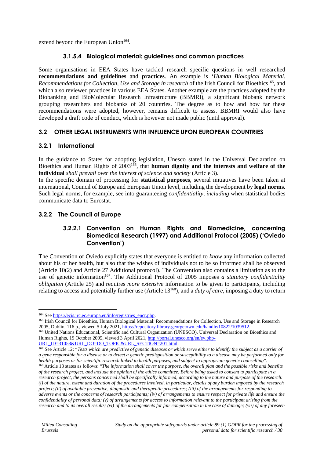extend beyond the European Union<sup>164</sup>.

#### **3.1.5.4 Biological material: guidelines and common practices**

Some organisations in EEA States have tackled research specific questions in well researched **recommendations and guidelines** and **practices**. An example is '*Human Biological Material. Recommendations for Collection, Use and Storage in research* of the Irish Council for Bioethics<sup>165</sup>, and which also reviewed practices in various EEA States. Another example are the practices adopted by the Biobanking and BioMolecular Research Infrastructure (BBMRI), a significant biobank network grouping researchers and biobanks of 20 countries. The degree as to how and how far these recommendations were adopted, however, remains difficult to assess. BBMRI would also have developed a draft code of conduct, which is however not made public (until approval).

#### **3.2 OTHER LEGAL INSTRUMENTS WITH INFLUENCE UPON EUROPEAN COUNTRIES**

#### **3.2.1 International**

In the guidance to States for adopting legislation, Unesco stated in the Universal Declaration on Bioethics and Human Rights of 2003<sup>166</sup>, that **human dignity and the interests and welfare of the individual** *shall prevail over the interest of science and society* (Article 3).

In the specific domain of processing for **statistical purposes**, several initiatives have been taken at international, Council of Europe and European Union level, including the development by **legal norms**. Such legal norms, for example, see into guaranteeing *confidentiality, including* when statistical bodies communicate data to Eurostat.

### **3.2.2 The Council of Europe**

#### **3.2.2.1 Convention on Human Rights and Biomedicine, concerning Biomedical Research (1997) and Additional Protocol (2005) ('Oviedo Convention')**

The Convention of Oviedo explicitly states that everyone is entitled to *know* any information collected about his or her health, but also that the wishes of individuals not to be so informed shall be observed (Article 10(2) and Article 27 Additional protocol). The Convention also contains a limitation as to the use of genetic information<sup>167</sup>. The Additional Protocol of 2005 imposes *a statutory confidentiality obligation* (Article 25) and requires *more extensive* information to be given to participants, including relating to access and potentially further use (Article 13<sup>168</sup>), and a *duty of care*, imposing a duty to return

<sup>164</sup> See https://ecis.jrc.ec.europa.eu/info/registries\_encr.php.

<sup>165</sup> Irish Council for Bioethics, Human Biological Material: Recommendations for Collection, Use and Storage in Research 2005, Dublin, 116 p., viewed 5 July 2021, https://repository.library.georgetown.edu/handle/10822/1039512.

<sup>&</sup>lt;sup>166</sup> United Nations Educational, Scientific and Cultural Organization (UNESCO), Universal Declaration on Bioethics and Human Rights, 19 October 2005, viewed 3 April 2021, http://portal.unesco.org/en/ev.php-

URL\_ID=31058&URL\_DO=DO\_TOPIC&URL\_SECTION=201.html.

<sup>&</sup>lt;sup>167</sup> See Article 12: "Tests which are predictive of genetic diseases or which serve either to identify the subject as a carrier of *a gene responsible for a disease or to detect a genetic predisposition or susceptibility to a disease may be performed only for health purposes or for scientific research linked to health purposes, and subject to appropriate genetic counselling*". <sup>168</sup> Article 13 states as follows: "*The information shall cover the purpose, the overall plan and the possible risks and benefits of the research project, and include the opinion of the ethics committee. Before being asked to consent to participate in a research project, the persons concerned shall be specifically informed, according to the nature and purpose of the research: (i) of the nature, extent and duration of the procedures involved, in particular, details of any burden imposed by the research project; (ii) of available preventive, diagnostic and therapeutic procedures; (iii) of the arrangements for responding to adverse events or the concerns of research participants; (iv) of arrangements to ensure respect for private life and ensure the confidentiality of personal data; (v) of arrangements for access to information relevant to the participant arising from the research and to its overall results; (vi) of the arrangements for fair compensation in the case of damage; (vii) of any foreseen*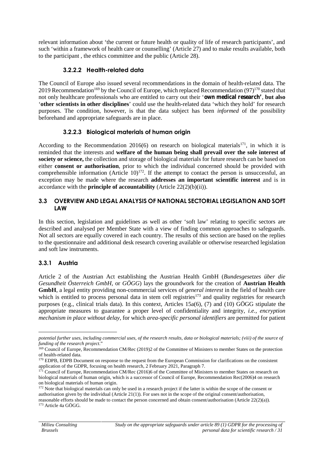relevant information about 'the current or future health or quality of life of research participants', and such 'within a framework of health care or counselling' (Article 27) and to make results available, both to the participant , the ethics committee and the public (Article 28).

## **3.2.2.2 Health-related data**

The Council of Europe also issued several recommendations in the domain of health-related data. The 2019 Recommendation<sup>169</sup> by the Council of Europe, which replaced Recommendation  $(97)^{170}$  stated that not only healthcare professionals who are entitled to carry out their '**own medical research'**, **but also** '**other scientists in other disciplines**' could use the health-related data 'which they hold' for research purposes. The condition, however, is that the data subject has been *informed* of the possibility beforehand and appropriate safeguards are in place.

## **3.2.2.3 Biological materials of human origin**

According to the Recommendation 2016(6) on research on biological materials<sup>171</sup>, in which it is reminded that the interests and **welfare of the human being shall prevail over the sole interest of society or science,** the collection and storage of biological materials for future research can be based on either **consent or authorisation**, prior to which the individual concerned should be provided with comprehensible information (Article  $10$ )<sup>172</sup>. If the attempt to contact the person is unsuccessful, an exception may be made where the research **addresses an important scientific interest** and is in accordance with the **principle of accountability** (Article 22(2)(b)(ii)).

#### **3.3 OVERVIEW AND LEGAL ANALYSIS OF NATIONAL SECTORIAL LEGISLATION AND SOFT LAW**

In this section, legislation and guidelines as well as other 'soft law' relating to specific sectors are described and analysed per Member State with a view of finding common approaches to safeguards. Not all sectors are equally covered in each country. The results of this section are based on the replies to the questionnaire and additional desk research covering available or otherwise researched legislation and soft law instruments.

## **3.3.1 Austria**

Article 2 of the Austrian Act establishing the Austrian Health GmbH (*Bundesgesetzes über die Gesundheit Österreich GmbH*, or *GÖGG*) lays the groundwork for the creation of **Austrian Health GmbH**, a legal entity providing non-commercial services of *general interest* in the field of health care which is entitled to process personal data in stem cell registries<sup>173</sup> and quality registries for research purposes (e.g., clinical trials data). In this context, Articles 15a(6), (7) and (10) GÖGG stipulate the appropriate measures to guarantee a proper level of confidentiality and integrity, *i.e., encryption mechanism in place without delay*, for which *area-specific personal identifiers* are permitted for patient

*potential further uses, including commercial uses, of the research results, data or biological materials; (viii) of the source of funding of the research project*."

<sup>169</sup> Council of Europe, Recommendation CM/Rec (2019)2 of the Committee of Ministers to member States on the protection of health-related data.

<sup>170</sup> EDPB, EDPB Document on response to the request from the European Commission for clarifications on the consistent application of the GDPR, focusing on health research, 2 February 2021, Paragraph 7.

<sup>&</sup>lt;sup>171</sup> Council of Europe, Recommendation CM/Rec (2016)6 of the Committee of Ministers to member States on research on biological materials of human origin, which is a successor of Council of Europe, Recommendation Rec(2006)4 on research on biological materials of human origin.

<sup>&</sup>lt;sup>172</sup> Note that biological materials can only be used in a research project if the latter is within the scope of the consent or authorisation given by the individual (Article 21(1)). For uses not in the scope of the original consent/authorisation, reasonable efforts should be made to contact the person concerned and obtain consent/authorisation (Article 22(2)(a)).

<sup>173</sup> Article 4a GÖGG.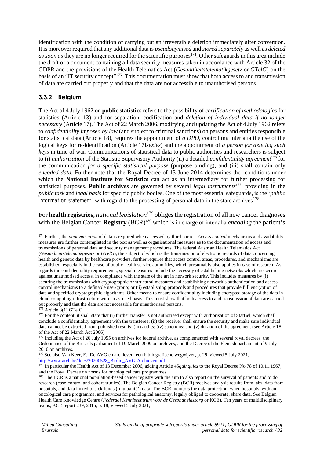identification with the condition of carrying out an irreversible deletion immediately after conversion. It is moreover required that any additional data is *pseudonymised* and *stored separately* as well as *deleted* as soon as they are no longer required for the scientific purposes<sup>174</sup>. Other safeguards in this area include the draft of a document containing all data security measures taken in accordance with Article 32 of the GDPR and the provisions of the Health Telematics Act (*Gesundheitstelematikgesetz* or *GTelG*) on the basis of an "IT security concept" 175 . This documentation must show that both access to and transmission of data are carried out properly and that the data are not accessible to unauthorised persons.

## **3.3.2 Belgium**

The Act of 4 July 1962 on **public statistics** refers to the possibility of *certification of methodologies* for statistics (Article 13) and for separation, codification and *deletion of individual data if no longer necessary* (Article 17). The Act of 22 March 2006, modifying and updating the Act of 4 July 1962 refers to *confidentiality imposed by law* (and subject to criminal sanctions) on persons and entities responsible for statistical data (Article 18), requires the appointment of *a DPO*, controlling inter alia the use of the logical keys for re-identification (Article 17I*sexies*) and the appointment of *a person for deleting such keys* in time of war. Communications of statistical data to public authorities and researchers is subject to (i) *authorisation* of the Statistic Supervisory Authority (ii) a detailed *confidentiality agreement*<sup>176</sup> for the communication *for a specific statistical purpose* (purpose binding), and (iii) shall contain only *encoded data.* Further note that the Royal Decree of 13 June 2014 determines the conditions under which the **National Institute for Statistics** can act as an intermediary for further processing for statistical purposes. **Public archives** are governed by several *legal instruments*<sup>177</sup>, providing in the *public task* and *legal basis* for specific public bodies. One of the most essential safeguards, is the '*public information statement'* with regard to the processing of personal data in the state archives<sup>178</sup>.

For **health registries**, *national legislation*<sup>179</sup> obliges the registration of all new cancer diagnoses with the Belgian Cancer **Registry** (BCR)<sup>180</sup> which is in charge of inter alia *encoding* the patient's

<sup>174</sup> Further, the *anonymisation* of data is required when accessed by third parties. *Access control* mechanisms and availability measures are further contemplated in the text as well as organisational measures as to the documentation of access and transmissions of personal data and security management procedures. The federal Austrian Health Telematics Act (*Gesundheitstelematikgesetz* or *GTelG*), the subject of which is the transmission of electronic records of data concerning health and genetic data by healthcare providers, further requires that access control areas, procedures, and mechanisms are established, especially in the case of public health service authorities, which presumably also applies in case of research. As regards the confidentiality requirements, special measures include the necessity of establishing networks which are secure against unauthorised access, in compliance with the state of the art in network security. This includes measures by (i) securing the transmissions with cryptographic or structural measures and establishing network´s authentication and access control mechanisms to a definable user/group; or (ii) establishing protocols and procedures that provide full encryption of data and specified cryptographic algorithms. Other means to ensure confidentiality including encrypted storage of the data in cloud computing infrastructure with an as-need basis. This must show that both access to and transmission of data are carried out properly and that the data are not accessible for unauthorised persons. <sup>175</sup> Article 8(1) GTelG.

<sup>&</sup>lt;sup>176</sup> For the content, it shall state that (i) further transfer is not authorised except with authorisation of StatBel, which shall conclude a confidentiality agreement with the transferee; (ii) the receiver shall ensure the security and make sure individual data cannot be extracted from published results; (iii) audits; (iv) sanctions; and (v) duration of the agreement (see Article 18 of the Act of 22 March Act 2006).

<sup>&</sup>lt;sup>177</sup> Including the Act of 26 July 1955 on archives for federal archive, as complemented with several royal decrees, the Ordonnance of the Brussels parliament of 19 March 2009 on archives, and the Decree of the Flemish parliament of 9 July 2010 on archives.

<sup>178</sup> See also Van Keer, E., De AVG en archieven: een bibliografische wegwijzer*,* p. 29, viewed 5 July 2021, http://www.arch.be/docs/20200528\_Biblio\_AVG-Archieven.pdf.

<sup>&</sup>lt;sup>179</sup> In particular the Health Act of 13 December 2006, adding Article 45*quinquies* to the Royal Decree No 78 of 10.11.1967, and the Royal Decree on norms for oncological care programmes.

<sup>&</sup>lt;sup>180</sup> The BCR is a national population-based cancer registry with the aim to also report on the survival of patients and to do research (case-control and cohort-studies). The Belgian Cancer Registry (BCR) receives analysis results from labs, data from hospitals, and data linked to sick funds ('mutualité') data. The BCR monitors the data protection, when hospitals, with an oncological care programme, and services for pathological anatomy, legally obliged to cooperate, share data. See Belgian Health Care Knowledge Centre (*Federaal Kenniscentrum voor de Gezondheidszorg* or KCE), Ten years of multidisciplinary teams, KCE report 239, 2015, p. 18, viewed 5 July 2021,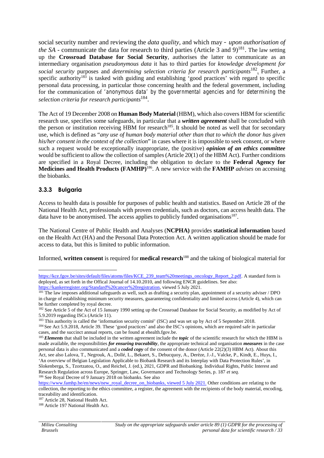social security number and reviewing the *data quality,* and which may *– upon authorisation of the SA* - communicate the data for research to third parties (Article 3 and 9)<sup>181</sup>. The law setting up the **Crossroad Database for Social Security**, authorises the latter to communicate as an intermediary organisation *pseudonymous data* it has to third parties for *knowledge development for social security* purposes and *determining selection criteria for research participants*<sup>182</sup> *.* Further, a specific authority<sup>183</sup> is tasked with guiding and establishing 'good practices' with regard to specific personal data processing, in particular those concerning health and the federal government, including for the communication of *'anonymous data' by the governmental agencies and for determining the selection criteria for research participants*<sup>184</sup> .

The Act of 19 December 2008 on **Human Body Material** (HBM), which also covers HBM for scientific research use, specifies some safeguards, in particular that a *written agreement* shall be concluded with the person or institution receiving HBM for research<sup>185</sup>. It should be noted as well that for secondary use, which is defined as "*any use of human body material other than that to which the donor has given his/her consent in the context of the collection*" in cases where it is impossible to seek consent, or where such a request would be exceptionally inappropriate, the (positive) *opinion of an ethics committee* would be sufficient to allow the collection of samples (Article 20(1) of the HBM Act). Further conditions are specified in a Royal Decree, including the obligation to declare to the **Federal Agency for Medicines and Health Products (FAMHP)** 186 . A new service with the **FAMHP** *advises* on accessing the biobanks.

#### **3.3.3 Bulgaria**

Access to health data is possible for purposes of public health and statistics. Based on Article 28 of the National Health Act, professionals with proven credentials, such as doctors, can access health data. The data have to be anonymised. The access applies to publicly funded organisations<sup>187</sup>.

The National Centre of Public Health and Analyses (**NCPHA)** provides **statistical information** based on the Health Act (HA) and the Personal Data Protection Act. A written application should be made for access to data, but this is limited to public information.

Informed, **written consent** is required for **medical research**<sup>188</sup> and the taking of biological material for

<sup>183</sup> This authority is called the 'information security comité' (ISC) and was set up by Act of 5 September 2018.

https://www.famhp.be/en/news/new\_royal\_decree\_on\_biobanks, viewed 5 July 2021. Other conditions are relating to the collection, the reporting to the ethics committee, a register, the agreement with the recipients of the body material, encoding, traceability and identification.

https://kce.fgov.be/sites/default/files/atoms/files/KCE\_239\_team%20meetings\_oncology\_Report\_2.pdf. A standard form is deployed, as set forth in the Offical Journal of 14.10.2010, and following ENCR guidelines. See also: https://kankerregister.org/Standard%20cancer%20registration, viewed 5 July 2021.

<sup>&</sup>lt;sup>181</sup> The law imposes additional safeguards as well, such as drafting a security plan, appointment of a security adviser / DPO in charge of establishing minimum security measures, guaranteeing confidentiality and limited access (Article 4), which can be further completed by royal decree.

<sup>&</sup>lt;sup>182</sup> See Article 5 of the Act of 15 January 1990 setting up the Crossroad Database for Social Security, as modified by Act of 5.9.2019 regarding ISCs (Article 11).

<sup>184</sup> See Act 5.9.2018, Article 39. These 'good practices' and also the ISC's opinions, which are required safe in particular cases, and the succinct annual reports, can be found at ehealth.fgov.be.

<sup>&</sup>lt;sup>185</sup> *Elements* that shall be included in the written agreement include the *topic* of the scientific research for which the HBM is made available, the responsibilities *for ensuring traceability*, the appropriate technical and organisation *measures* in the case personal data is also communicated and a *coded copy* of the consent of the donor (Article 22(2)(3) HBM Act). About this Act, see also Lalova, T., Negrouk, A., Dollé, L., Bekaert, S., Debucquoy, A., Derèze, J.-J., Valcke, P., Kindt, E., Huys, I., 'An overview of Belgian Legislation Applicable to Biobank Research and its Interplay with Data Protection Rules', in Slokenberga, S., Tzortzatou, O., and Reichel, J. (ed.), 2021, GDPR and Biobanking. Individual Rights, Public Interest and Research Regulation across Europe*,* Springer, Law, Governance and Technology Series, p. 187 *et seq.* <sup>186</sup> See Royal Decree of 9 January 2018 on biobanks. See also

<sup>&</sup>lt;sup>187</sup> Article 28, National Health Act.

<sup>188</sup> Article 197 National Health Act.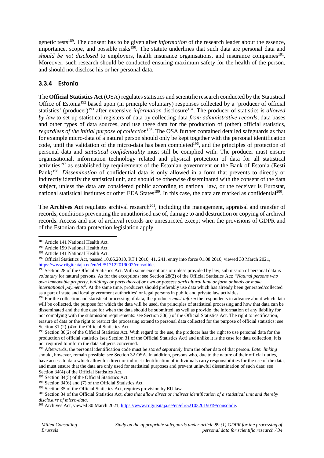genetic tests<sup>189</sup>. The consent has to be given after *information* of the research leader about the essence, importance, scope, and possible risks<sup>190</sup>. The statute underlines that such data are personal data and should be not disclosed to employers, health insurance organisations, and insurance companies<sup>191</sup>. Moreover, such research should be conducted ensuring maximum safety for the health of the person, and should not disclose his or her personal data.

## **3.3.4 Estonia**

The **Official Statistics Act** (OSA) regulates statistics and scientific research conducted by the Statistical Office of Estonia<sup>192</sup> based upon (in principle voluntary) responses collected by a 'producer of official statistics' (producer)<sup>193</sup> after extensive *information* disclosure<sup>194</sup>. The producer of statistics is *allowed by law* to set up statistical registers of data by collecting data *from administrative records*, data bases and other types of data sources, and use these data for the production of (other) official statistics, regardless of the initial purpose of collection<sup>195</sup>. The OSA further contained detailed safeguards as that for example micro-data of a natural person should only be kept together with the personal identification code, until the validation of the micro-data has been completed<sup>196</sup>, and the principles of protection of personal data and s*tatistical confidentiality* must still be complied with. The producer must ensure organisational, information technology related and physical protection of data for all statistical activities<sup>197</sup> as established by requirements of the Estonian government or the Bank of Estonia (Eesti Pank)<sup>198</sup>. *Dissemination* of confidential data is only allowed in a form that prevents to directly or indirectly identify the statistical unit, and should be otherwise disseminated with the consent of the data subject, unless the data are considered public according to national law, or the receiver is Eurostat, national statistical institutes or other EEA States<sup>199</sup>. In this case, the data are marked as confidential<sup>200</sup>.

The **Archives Act** regulates archival research<sup>201</sup>, including the management, appraisal and transfer of records, conditions preventing the unauthorised use of, damage to and destruction or copying of archival records. Access and use of archival records are unrestricted except when the provisions of GDPR and of the Estonian data protection legislation apply.

<sup>189</sup> Article 141 National Health Act.

<sup>190</sup> Article 199 National Health Act.

<sup>191</sup> Article 141 National Health Act.

<sup>192</sup> Official Statistics Act, passed 10.06.2010, RT I 2010, 41, 241, entry into force 01.08.2010, viewed 30 March 2021, https://www.riigiteataja.ee/en/eli/517122019002/consolide.

 $\frac{193}{193}$  Section 28 of the Official Statistics Act. With some exceptions or unless provided by law, submission of personal data is *voluntary* for natural persons. As for the exceptions: see Section 28(2) of the Official Statistics Act: "*Natural persons who own immovable property, buildings or parts thereof or own or possess agricultural land or farm animals or make international payments*". At the same time, producers should preferably use data which has already been generated/collected as a part of state and local government authorities' or legal persons in public and private law activities.

<sup>&</sup>lt;sup>194</sup> For the collection and statistical processing of data, the producer *must inform* the respondents in advance about which data will be collected, the purpose for which the data will be used, the principles of statistical processing and how that data can be disseminated and the due date for when the data should be submitted, as well as provide the information of any liability for not complying with the submission requirements: see Section 30(1) of the Official Statistics Act. The right to rectification, erasure of data or the right to restrict the processing extend to personal data collected for the purpose of official statistics: see Section 31 (2)-(4)of the Official Statistics Act.

 $195$  Section 30(2) of the Official Statistics Act. With regard to the use, the producer has the right to use personal data for the production of official statistics (see Section 31 of the Official Statistics Act) and unlike it is the case for data collection, it is not required to inform the data subjects concerned.

<sup>196</sup> Afterwards, the personal identification code must be *stored separately* from the other data of that person. *Later linking* should, however, remain possible: see Section 32 OSA. In addition, persons who, due to the nature of their official duties, have access to data which allow for direct or indirect identification of individuals carry responsibilities for the use of the data, and must ensure that the data are only used for statistical purposes and prevent unlawful dissemination of such data: see Section 34(4) of the Official Statistics Act.

<sup>&</sup>lt;sup>197</sup> Section 34(5) of the Official Statistics Act.

<sup>198</sup> Section 34(6) and (7) of the Official Statistics Act.

<sup>199</sup> Section 35 of the Official Statistics Act, requires provision by EU law.

<sup>200</sup> Section 34 of the Official Statistics Act, *data that allow direct or indirect identification of a statistical unit and thereby disclosure of micro-data*.

<sup>201</sup> Archives Act, viewed 30 March 2021, https://www.riigiteataja.ee/en/eli/521032019019/consolide.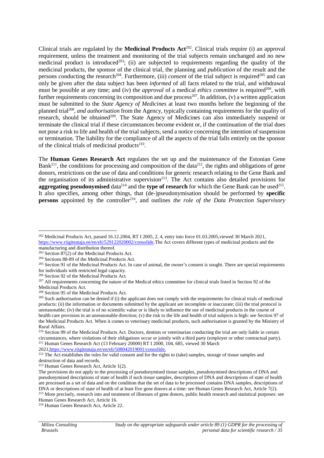Clinical trials are regulated by the **Medicinal Products Act**<sup>202</sup> . Clinical trials require (i) an approval requirement, unless the treatment and monitoring of the trial subjects remain unchanged and no new medicinal product is introduced<sup>203</sup>; (ii) are subjected to requirements regarding the quality of the medicinal products, the sponsor of the clinical trial, the planning and *publication* of the result and the persons conducting the research<sup>204</sup>. Furthermore, (iii) *consent* of the trial subject is required<sup>205</sup> and can only be given after the data subject has been *informed* of all facts related to the trial, and withdrawal must be possible at any time; and (iv) the *approval* of a medical *ethics committee* is required<sup>206</sup>, with further requirements concerning its composition and due process<sup>207</sup>. In addition, (v) a written application must be submitted to the *State Agency of Medicines* at least two months before the beginning of the planned trial<sup>208</sup>, *and authorisation* from the Agency, typically containing requirements for the quality of research, should be obtained<sup>209</sup>. The State Agency of Medicines can also immediately suspend or terminate the clinical trial if these circumstances become evident or, if the continuation of the trial does not pose a risk to life and health of the trial subjects, send a notice concerning the intention of suspension or termination. The liability for the compliance of all the aspects of the trial falls entirely on the sponsor of the clinical trials of medicinal products $2^{10}$ .

The **Human Genes Research Act** regulates the set up and the maintenance of the Estonian Gene Bank<sup>211</sup>, the conditions for processing and composition of the data<sup>212</sup>, the rights and obligations of gene donors, restrictions on the use of data and conditions for generic research relating to the Gene Bank and the organisation of its administrative supervision<sup>213</sup>. The Act contains also detailed provisions for aggregating pseudonymised data<sup>214</sup> and the type of research for which the Gene Bank can be used<sup>215</sup>. It also specifies, among other things, that (de-)pseudonymisation should be performed by **specific persons** appointed by the controller<sup>216</sup>, and outlines *the role of the Data Protection Supervisory* 

<sup>&</sup>lt;sup>202</sup> Medicinal Products Act, passed 16.12.2004, RT I 2005, 2, 4, entry into force 01.03.2005, viewed 30 March 2021, https://www.riigiteataja.ee/en/eli/529122020002/consolide.The Act covers different types of medicinal products and the manufacturing and distribution thereof.

 $203$  Section  $87(2)$  of the Medicinal Products Act.

<sup>204</sup> Sections 88-89 of the Medicinal Products Act.

<sup>&</sup>lt;sup>205</sup> Section 91 of the Medicinal Products Act. In case of animal, the owner's consent is sought. There are special requirements for individuals with restricted legal capacity.

<sup>206</sup> Section 92 of the Medicinal Products Act.

<sup>&</sup>lt;sup>207</sup> All requirements concerning the nature of the Medical ethics committee for clinical trials listed in Section 92 of the Medicinal Products Act.

<sup>208</sup> Section 95 of the Medicinal Products Act.

<sup>&</sup>lt;sup>209</sup> Such authorisation can be denied if (i) the applicant does not comply with the requirements for clinical trials of medicinal products; (ii) the information or documents submitted by the applicant are incomplete or inaccurate; (iii) the trial protocol is unreasonable; (iv) the trial is of no scientific value or is likely to influence the use of medicinal products in the course of health care provision in an unreasonable direction; (v) the risk to the life and health of trial subjects is high: see Section 97 of the Medicinal Products Act. When it comes to veterinary medicinal products, such authorisation is granted by the Ministry of Rural Affairs.

<sup>&</sup>lt;sup>210</sup> Section 99 of the Medicinal Products Act. Doctors, dentists or veterinarian conducting the trial are only liable in certain circumstances, where violations of their obligations occur or jointly with a third party (employer or other contractual party). <sup>211</sup> Human Genes Research Act (13 February 20000) RT I 2000, 104, 685, viewed 30 March

<sup>2021,</sup>https://www.riigiteataja.ee/en/eli/508042019001/consolide.

<sup>&</sup>lt;sup>212</sup> The Act establishes the rules for valid consent and for the rights to (take) samples, storage of tissue samples and destruction of data and records.

<sup>213</sup> Human Genes Research Act, Article 1(2).

The provisions do not apply to the processing of pseudonymised tissue samples, pseudonymised descriptions of DNA and pseudonymised descriptions of state of health if such tissue samples, descriptions of DNA and descriptions of state of health are processed as a set of data and on the condition that the set of data to be processed contains DNA samples, descriptions of DNA or descriptions of state of health of at least five gene donors at a time: see Human Genes Research Act, Article 7(2). <sup>215</sup> More precisely, research into and treatment of illnesses of gene donors, public health research and statistical purposes: see Human Genes Research Act, Article 16.

<sup>216</sup> Human Genes Research Act, Article 22.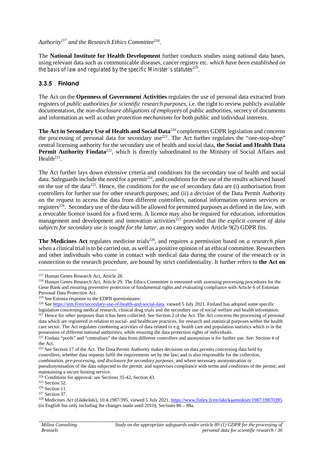*Authority<sup>217</sup> and the Research Ethics Committee*<sup>218</sup> .

The **National Institute for Health Development** further conducts studies using national data bases, using relevant data such as communicable diseases, cancer registry etc. *which have been established on the basis of law and regulated by the specific Minister's statutes<sup>219</sup>* .

#### **3.3.5 Finland**

The Act on the **Openness of Government Activities** regulates the use of personal data extracted from registers of *public authorities for scientific research purposes*, i.e. the right to review publicly available documentation, the *non-disclosure obligations of employees* of public authorities, secrecy of documents and information as well as other *protection mechanisms* for both public and individual interests.

**The Act in Secondary Use of Health and Social Data**<sup>220</sup> complements GDPR legislation and concerns the processing of personal data for secondary use<sup>221</sup>. The Act further regulates the "one-stop-shop" central licensing authority for the secondary use of health and social data, **the Social and Health Data** Permit Authority Findata<sup>222</sup>, which is directly subordinated to the Ministry of Social Affairs and  $Health<sup>223</sup>$ .

The Act further lays down extensive criteria and conditions for the secondary use of health and social data. Safeguards include the need for a permit<sup>224</sup>, and conditions for the use of the results achieved based on the use of the data<sup>225</sup>. Hence, the conditions for the use of secondary data are (i) authorisation from controllers for further use for other research purposes; and (ii) a *decision* of the Data Permit Authority on the request to access the data from different controllers, national information system services or registers<sup>226</sup>. Secondary use of the data will be allowed for permitted purposes as defined in the law, with a revocable licence issued for a fixed term. A licence may also be required for education, information management and development and innovation activities<sup>227</sup> provided that *the explicit consent of data subjects for secondary use is sought for the latter*, as no category under Article 9(2) GDPR fits.

The Medicines Act regulates medicine trials<sup>228</sup>, and requires a permission based on *a research plan* when a clinical trial is to be carried out, as well as a positive opinion of an ethical committee. Researchers and other individuals who come in contact with medical data during the course of the research or in connection to the research procedure, are bound by strict confidentiality. It further refers to **the Act on**

maintaining a secure hosting service.

<sup>225</sup> Section 52.

<sup>217</sup> Human Genes Research Act, Article 28.

<sup>&</sup>lt;sup>218</sup> Human Genes Research Act, Article 29. The Ethics Committee is entrusted with assessing processing procedures for the Gene Bank and ensuring preventive protection of fundamental rights and evaluating compliance with Article 6 of Estonian Personal Data Protection Act.

<sup>219</sup> See Estonia response to the EDPB questionnaire.

<sup>220</sup> See https://stm.fi/en/secondary-use-of-health-and-social-data, viewed 5 July 2021. Finland has adopted some specific legislation concerning medical research, clinical drug trials and the secondary use of social welfare and health information. <sup>221</sup> Hence for *other* purposes than it has been collected. See Section 2 of the Act. The Act concerns the processing of personal data which are registered in relation to social- and healthcare practices, for research and statistical purposes within the health care sector. The Act regulates combining activities of data related to e.g. health care and population statistics which is in the possession of different national authorities, while ensuring the data protection rights of individuals.

<sup>&</sup>lt;sup>222</sup> Findata "pools" and "centralises" the data from different controllers and anonymises it for further use. See: Section 4 of the Act.

<sup>&</sup>lt;sup>223</sup> See Section 17 of the Act. The Data Permit Authority makes decisions on data permits concerning data held by controllers; whether data requests fulfil the requirements set by the law; and is also responsible for the collection, *combination, pre-processing, and disclosure for secondary purposes*, and where necessary anonymisation or pseudonymisation of the data subjected to the permit; and supervises compliance with terms and conditions of the permit; and

 $224$  Conditions for approval: see Sections 35-42, Section 43.

<sup>226</sup> Section 11.

<sup>227</sup> Section 37.

<sup>228</sup> Medicines Act (*Lääkelaki*), 10.4.1987/395, viewed 5 July 2021, https://www.finlex.fi/en/laki/kaannokset/1987/19870395 (in English but only including the changes made until 2010), Sections 86 – 88a.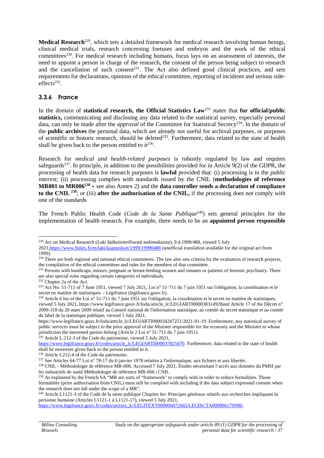Medical Research<sup>229</sup>, which sets a detailed framework for medical research involving human beings, clinical medical trials, research concerning foetuses and embryos and the work of the ethical committees<sup>230</sup>. For medical research including humans, focus lays on an assessment of interests, the need to appoint a person in charge of the research, the consent of the person being subject to research and the cancellation of such consent<sup>231</sup>. The Act also defined good clinical practices, and sets requirements for declarations, opinions of the ethical committee, reporting of incidents and serious side  $effects<sup>232</sup>$ .

#### **3.3.6 France**

In the domain of **statistical research, the Official Statistics Law**<sup>233</sup> states that **for official/public** statistics, communicating and disclosing any data related to the statistical survey, especially personal data, can only be made after the *approval* of the Committee for Statistical Secrecy<sup>234</sup>. In the domain of the **public archives** the personal data, which are already not useful for archival purposes, or purposes of scientific or historic research, should be deleted<sup>235</sup>. Furthermore, data related to the state of health shall be given back to the person entitled to  $it^{236}$ .

Research for *medical and health-related purposes* is robustly regulated by law and requires safeguards<sup>237</sup>. In principle, in addition to the possibilities provided for in Article 9(2) of the GDPR, the processing of health data for research purposes is **lawful** provided that: (i) processing is in the *public interest*; (ii) processing complies with standards issued by the CNIL (**methodologies of reference MR001 to MR006<sup>238</sup> –** see also Annex 2) and the **data controller sends a declaration of compliance to** the CNIL  $^{239}$ ; or (iii) **after the authorisation of the CNIL,** if the processing does not comply with one of the standards

The French Public Health Code (*Code de la Sante Publique*<sup>240</sup>) sets general principles for the implementation of health research. For example, there needs to be an **appointed person responsible**

<sup>232</sup> Chapter 2a of the Act.

<sup>235</sup> Article L.212-3 of the Code du patrimoine, viewed 5 July 2021,

<sup>229</sup> Act on Medical Research (*Laki lääketieteellisestä tutkimuksesta*), 9.4.1999/488, viewed 5 July

<sup>2021,</sup>https://www.finlex.fi/en/laki/kaannokset/1999/19990488 (unofficial translation available for the original act from 1999).

<sup>&</sup>lt;sup>230</sup> There are both regional and national ethical committees. The law also sets criteria for the evaluation of research projects, the compilation of the ethical committees and rules for the members of that committee.

<sup>&</sup>lt;sup>231</sup> Persons with handicaps, minors, pregnant or breast-feeding women and inmates or patients of forensic psychiatry. There are also special rules regarding certain categories of individuals.

<sup>&</sup>lt;sup>233</sup> Act No. 51-711 of 7 June 1951, viewed 7 July 2021, Loi n° 51-711 du 7 juin 1951 sur l'obligation, la coordination et le secret en matière de statistiques. - Légifrance (legifrance.gouv.fr).

<sup>&</sup>lt;sup>234</sup> Article 6 bis of the Loi n<sup>o</sup> 51-711 du 7 juin 1951 sur l'obligation, la coordination et le secret en matière de statistiques, viewed 5 July 2021, https://www.legifrance.gouv.fr/loda/article\_lc/LEGIARTI000038314928and Article 17 of the Décret n° 2009-318 du 20 mars 2009 relatif au Conseil national de l'information statistique, au comité du secret statistique et au comité du label de la statistique publique, viewed 5 July 2021,

https://www.legifrance.gouv.fr/loda/article\_lc/LEGIARTI000034247251/2021-01-19. Furthermore, any statistical survey of public services must be subject to the prior approval of the Minister responsible for the economy and the Minister to whose jurisdiction the interested parties belong (Article 2 Loi n° 51-711 du 7 juin 1951).

https://www.legifrance.gouv.fr/codes/article\_lc/LEGIARTI000037825470. Furthermore, data related to the state of health shall be moreover given back to the person entitled to it.

 $236$  Article L212-4 of the Code du patrimoine.

<sup>237</sup> See Articles 64-77 Loi n° 78-17 du 6 janvier 1978 relative à l'informatique, aux fichiers et aux libertés.

<sup>238</sup> CNIL - Méthodologie de référence MR-006, Accessed 7 July 2021, Études nécessitant l'accès aux données du PMSI par les industriels de santé Méthodologie de référence MR-006 | CNIL

<sup>&</sup>lt;sup>239</sup> As explained by the French SA "MR are sorts of "framework" to comply with in order to reduce formalities. Those formalities (prior authorisation from CNIL) must still be complied with including if the data subject expressed consent when the research does not fall under the scope of a MR".

<sup>&</sup>lt;sup>240</sup> Article L1121-3 of the Code de la sante publique Chapitre Ier: Principes généraux relatifs aux recherches impliquant la personne humaine (Articles L1121-1 à L1121-17), viewed 5 July 2021,

https://www.legifrance.gouv.fr/codes/section\_lc/LEGITEXT000006072665/LEGISCTA000006170998/.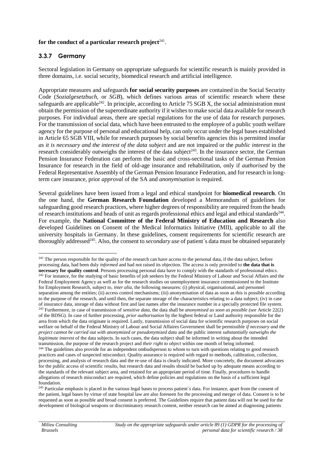#### for the conduct of a particular research project<sup>241</sup>.

#### **3.3.7 Germany**

Sectoral legislation in Germany on appropriate safeguards for scientific research is mainly provided in three domains, i.e. social security, biomedical research and artificial intelligence.

Appropriate measures and safeguards **for social security purposes** are contained in the Social Security Code (*Sozialgesetzbuch*, or *SGB*), which defines various areas of scientific research where these safeguards are applicable<sup>242</sup>. In principle, according to Article 75 SGB X, the social administration must obtain the permission of the superordinate authority if it wishes to make social data available for research purposes. For individual areas, there are special regulations for the use of data for research purposes. For the transmission of social data, which have been entrusted to the employee of a public youth welfare agency for the purpose of personal and educational help, can only occur under the legal bases established in Article 65 SGB VIII, while for research purposes by social benefits agencies this is permitted insofar *as it is necessary and the interest of the data subject* and are not impaired or the *public interest* in the research considerably outweighs the interest of the data subject<sup> $243$ </sup>. In the insurance sector, the German Pension Insurance Federation can perform the basic and cross-sectional tasks of the German Pension Insurance for research in the field of old-age insurance and rehabilitation, only if *authorised* by the Federal Representative Assembly of the German Pension Insurance Federation, and for research in longterm care insurance, prior *approval* of the SA and *anonymisation* is required.

Several guidelines have been issued from a legal and ethical standpoint for **biomedical research**. On the one hand, the **German Research Foundation** developed a Memorandum of guidelines for safeguarding good research practices, where higher degrees of responsibility are required from the heads of research institutions and heads of unit as regards professional ethics and legal and ethical standards<sup>244</sup>. For example, the **National Committee of the Federal Ministry of Education and Research** also developed Guidelines on Consent of the Medical Informatics Initiative (MII), applicable to all the university hospitals in Germany. In these guidelines, consent requirements for scientific research are thoroughly addressed<sup>245</sup>. Also, the consent to *secondary use* of patient's data must be obtained separately

<sup>&</sup>lt;sup>241</sup> The person responsible for the quality of the research can have access to the personal data, if the data subject, before processing data, had been duly *informed* and had not raised its objection. The access is only provided to **the data that is necessary for quality control**. Persons processing personal data have to comply with the standards of professional ethics. <sup>242</sup> For instance, for the studying of basic benefits of job seekers by the Federal Ministry of Labour and Social Affairs and the Federal Employment Agency as well as for the research studies on unemployment insurance commissioned to the Institute for Employment Research, subject to, *inter alia*, the following measures: (i) physical, organisational, and personnel separation among the entities; (ii) access control mechanisms; (iii) anonymisation of data as soon as this is possible according to the purpose of the research, and until then, the separate storage of the characteristics relating to a data subject; (iv) in case of insurance data, storage of data without first and last names after the insurance number in a specially protected file system. <sup>243</sup> Furthermore, in case of transmission of *sensitive data*, the data shall be *anonymised as soon as possible (see* Article 22(2) of the BDSG). In case of further processing, *prior authorisation* by the highest federal or Land authority responsible for the area from which the data originate is required. Lastly, transmission of social data for scientific research purposes on social welfare on behalf of the Federal Ministry of Labour and Social Affaires Government shall be permissible *if necessary and the project cannot be carried out with anonymized or pseudonymized data* and the public interest *substantially outweighs the legitimate interest* of the data subjects. In such cases, the data subject shall be informed in writing about the intended transmission, the purpose of the research project and *their right to object* within one month of being informed. <sup>244</sup> The guidelines also provide for an independent ombudsperson to whom to turn with questions relating to good research practices and cases of suspected misconduct. Quality assurance is required with regard to methods, calibration, collection, processing, and analysis of research data and the re-use of data is clearly indicated. More concretely, the document advocates for the public access of scientific results, but research data and results should be backed up by adequate means according to the standards of the relevant subject area, and retained for an appropriate period of time. Finally, procedures to handle allegations of research misconduct are required, which define policies and regulations on the basis of a sufficient legal foundation.

<sup>&</sup>lt;sup>245</sup> Particular emphasis is placed in the various legal bases to process patient's data. For instance, apart from the consent of the patient, legal bases by virtue of state hospital law are also foreseen for the processing and merger of data. Consent is to be requested as soon as possible and broad consent is preferred. The Guidelines require that patient data will not be used for the development of biological weapons or discriminatory research content, neither research can be aimed at diagnosing patients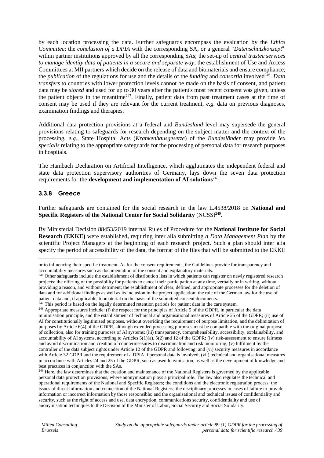by each location processing the data. Further safeguards encompass the evaluation by the *Ethics Committee*; the *conclusion of a DPIA* with the corresponding SA, or a general "*Datenschutzkonzept"* within partner institutions approved by all the corresponding SAs; the set-up of *central trustee services to manage identity data of patients in a secure and separate way*; the establishment of Use and Access Committees at MII partners which decide on the release of data and biomaterials and ensure compliance; the *publication* of the regulations for use and the details of the *funding* and *consortia* involved<sup>246</sup>. Data *transfers* to countries with lower protection levels cannot be made on the basis of consent, and patient data may be *stored* and used for up to 30 years after the patient's most recent consent was given, unless the patient objects in the meantime<sup>247</sup>. Finally, patient data from past treatment cases at the time of consent may be used if they are relevant for the current treatment, *e.g.* data on previous diagnoses, examination findings and therapies.

Additional data protection provisions at a federal and *Bundesland* level may supersede the general provisions relating to safeguards for research depending on the subject matter and the context of the processing, *e.g.,* State Hospital Acts (*Krankenhausgesetze*) of the *Bundesländer* may provide *lex specialis* relating to the appropriate safeguards for the processing of personal data for research purposes in hospitals.

The Hambach Declaration on Artificial Intelligence, which agglutinates the independent federal and state data protection supervisory authorities of Germany, lays down the seven data protection requirements for the **development and implementation of AI solutions**<sup>248</sup>.

### **3.3.8 Greece**

Further safeguards are contained for the social research in the law L.4538/2018 on **National and** Specific Registers of the National Center for Social Solidarity (NCSS)<sup>249</sup>.

By Ministerial Decision 88453/2019 internal Rules of Procedure for the **National Institute for Social Research (EKKE)** were established**,** requiring inter alia submitting *a Data Management Plan* by the scientific Project Managers at the beginning of each research project. Such a plan should inter alia specify the period of accessibility of the data, the format of the files that will be submitted to the EKKE

or to influencing their specific treatment. As for the consent requirements, the Guidelines provide for transparency and accountability measures such as documentation of the consent and explanatory materials.

<sup>&</sup>lt;sup>246</sup> Other safeguards include the establishment of distribution lists in which patients can register on newly registered research projects; the offering of the possibility for patients to cancel their participation at any time, verbally or in writing, without providing a reason, and without detriment; the establishment of clear, defined, and appropriate processes for the deletion of data and for additional findings as well as its inclusion in the project application; the rule of the German law for the use of patient data and, if applicable, biomaterial on the basis of the submitted consent documents.

 $^{247}$  This period is based on the legally determined retention periods for patient data in the care system.

<sup>&</sup>lt;sup>248</sup> Appropriate measures include: (i) the respect for the principles of Article 5 of the GDPR, in particular the data minimisation principle, and the establishment of technical and organisational measures of Article 25 of the GDPR; (ii) use of AI for constitutionally legitimised purposes, without overriding the requirement of purpose limitation, and the delimitation of purposes by Article 6(4) of the GDPR, although extended processing purposes must be compatible with the original purpose of collection, also for training purposes of AI systems; (iii) transparency, comprehensibility, accessibility, explainability, and accountability of AI systems, according to Articles  $5(1)(a)$ ,  $5(2)$  and 12 of the GDPR; (iv) risk-assessment to ensure fairness and avoid discrimination and creation of countermeasures to discrimination and risk monitoring; (v) fulfilment by the controller of the data subject rights under Article 12 of the GDPR and following; and (vi) security measures in accordance with Article 32 GDPR and the requirement of a DPIA if personal data is involved; (vii) technical and organisational measures in accordance with Articles 24 and 25 of the GDPR, such as pseudonymisation, as well as the development of knowledge and best practices in conjunction with the SAs.

<sup>&</sup>lt;sup>249</sup> Here, the law determines that the creation and maintenance of the National Registers is governed by the applicable personal data protection provisions, where anonymisation plays a principal role. The law also regulates the technical and operational requirements of the National and Specific Registers; the conditions and the electronic registration process; the issues of direct information and connection of the National Registers; the disciplinary processes in cases of failure to provide information or incorrect information by those responsible; and the organisational and technical issues of confidentiality and security, such as the right of access and use, data encryption, communications security, confidentiality and use of anonymisation techniques to the Decision of the Minister of Labor, Social Security and Social Solidarity.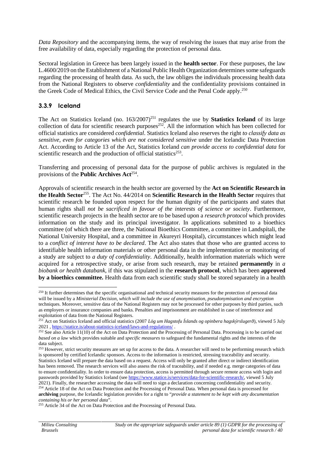*Data Repository* and the accompanying items, the way of resolving the issues that may arise from the free availability of data, especially regarding the protection of personal data.

Sectoral legislation in Greece has been largely issued in the **health sector**. For these purposes, the law L.4600/2019 on the Establishment of a National Public Health Organization determines some safeguards regarding the processing of health data. As such, the law obliges the individuals processing health data from the National Registers to observe *confidentiality* and the confidentiality provisions contained in the Greek Code of Medical Ethics, the Civil Service Code and the Penal Code apply.<sup>250</sup>

### **3.3.9 Iceland**

The Act on Statistics Iceland (no. 163/2007)<sup>251</sup> regulates the use by **Statistics Iceland** of its large collection of data for scientific research purposes $252$ . All the information which has been collected for official statistics are considered *confidential*. Statistics Iceland also reserves the right *to classify data as sensitive, even for categories which are not considered sensitive* under the Icelandic Data Protection Act. According to Article 13 of the Act, Statistics Iceland *can provide access to confidential data* for scientific research and the production of official statistics<sup>253</sup>.

Transferring and processing of personal data for the purpose of public archives is regulated in the provisions of the **Public Archives Act**<sup>254</sup>.

Approvals of scientific research in the health sector are governed by the **Act on Scientific Research in the Health Sector**<sup>255</sup> . The Act No. 44/2014 on **Scientific Research in the Health Sector** requires that scientific research be founded upon respect for the human dignity of the participants and states that human rights shall *not be sacrificed in favour of the interests of science or society*. Furthermore, scientific research projects in the health sector are to be based upon a *research protocol* which provides information on the study and its principal investigator. In applications submitted to a bioethics committee (of which there are three, the National Bioethics Committee, a committee in Landspítali, the National University Hospital, and a committee in Akureyri Hospital), circumstances which might lead to a *conflict of interest have to be declared*. The Act also states that those who are granted access to identifiable health information materials or other personal data in the implementation or monitoring of a study are subject to *a duty of confidentiality*. Additionally, health information materials which were acquired for a retrospective study, or arise from such research, may be retained **permanently** in *a biobank or health databank*, if this was stipulated in the **research protocol**, which has been **approved by a bioethics committee.** Health data from each scientific study shall be stored separately in a health

<sup>&</sup>lt;sup>250</sup> It further determines that the specific organisational and technical security measures for the protection of personal data will be issued by a *Ministerial Decision, which will include the use of anonymisation, pseudonymisation and encryption* techniques. Moreover, sensitive data of the National Registers may not be processed for other purposes by third parties, such as employers or insurance companies and banks. Penalties and imprisonment are established in case of interference and exploitation of data from the National Registers.

<sup>251</sup> Act on Statistics Iceland and official statistics (2007 *Lög um Hagstofu Íslands og opinbera hagskýrslugerð*), viewed 5 July 2021 , https://statice.is/about-statistics-iceland/laws-and-regulations/ .

<sup>&</sup>lt;sup>252</sup> See also Article 11(10) of the Act on Data Protection and the Processing of Personal Data. Processing is to be carried out *based on a law* which provides suitable and *specific measures* to safeguard the fundamental rights and the interests of the data subject.

<sup>&</sup>lt;sup>253</sup> However, strict security measures are set up for access to the data. A researcher will need to be performing research which is sponsored by certified Icelandic sponsors. Access to the information is restricted, stressing traceability and security. Statistics Iceland will prepare the data based on a request. Access will only be granted after direct or indirect identification has been removed. The research services will also assess the risk of traceability, and if needed e.g. merge categories of data to ensure confidentiality. In order to ensure data protection, access is permitted through secure remote access with login and passwords provided by Statistics Iceland (see https://www.statice.is/services/data-for-scientific-research/, viewed 5 July 2021). Finally, the researcher accessing the data will need to sign a declaration concerning confidentiality and security. <sup>254</sup> Article 18 of the Act on Data Protection and the Processing of Personal Data. When personal data is processed for **archiving** purpose, the Icelandic legislation provides for a right to "*provide a statement to be kept with any documentation containing his or her personal data*".

<sup>&</sup>lt;sup>255</sup> Article 34 of the Act on Data Protection and the Processing of Personal Data.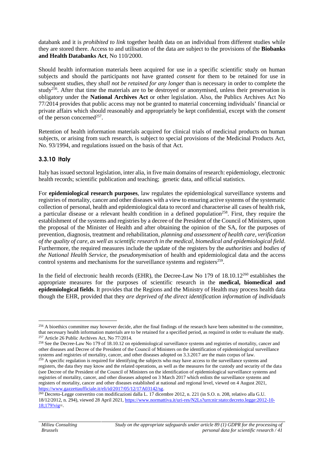databank and it is *prohibited to link* together health data on an individual from different studies while they are stored there. Access to and utilisation of the data are subject to the provisions of the **Biobanks and Health Databanks Act**, No 110/2000.

Should health information materials been acquired for use in a specific scientific study on human subjects and should the participants not have granted *consent* for them to be retained for use in subsequent studies, they *shall not be retained for any longer* than is necessary in order to complete the study<sup>256</sup>. After that time the materials are to be destroyed or anonymised, unless their preservation is obligatory under the **National Archives Act** or other legislation. Also, the Publics Archives Act No 77/2014 provides that public access may not be granted to material concerning individuals' financial or private affairs which should reasonably and appropriately be kept confidential, except with the *consent* of the person concerned<sup>257</sup>.

Retention of health information materials acquired for clinical trials of medicinal products on human subjects, or arising from such research, is subject to special provisions of the Medicinal Products Act, No. 93/1994, and regulations issued on the basis of that Act.

### **3.3.10 Italy**

Italy has issued sectoral legislation, inter alia, in five main domains of research: epidemiology, electronic health records; scientific publication and teaching; genetic data, and official statistics.

For **epidemiological research purposes**, law regulates the epidemiological surveillance systems and registries of mortality, cancer and other diseases with a view to ensuring active systems of the systematic collection of personal, health and epidemiological data to record and characterise all cases of health risk, a particular disease or a relevant health condition in a defined population<sup>258</sup>. First, they require the establishment of the systems and registries by a decree of the President of the Council of Ministers, upon the proposal of the Minister of Health and after obtaining the opinion of the SA, for the purposes of prevention, diagnosis, treatment and rehabilitation, *planning and assessment of health care, verification of the quality of care, as well as scientific research in the medical, biomedical and epidemiological field*. Furthermore, the required measures include the update of the registers by the *authorities* and *bodies of the National Health Service,* the *pseudonymisation* of health and epidemiological data and the access control systems and mechanisms for the surveillance systems and registers<sup>259</sup>.

In the field of electronic health records (EHR), the Decree-Law No 179 of 18.10.12<sup>260</sup> establishes the appropriate measures for the purposes of scientific research in the **medical, biomedical and epidemiological fields**. It provides that the Regions and the Ministry of Health may process health data though the EHR, provided that they *are deprived of the direct identification information of individuals*

 $^{256}$  A bioethics committee may however decide, after the final findings of the research have been submitted to the committee, that necessary health information materials are to be retained for a specified period, as required in order to evaluate the study.  $257$  Article 26 Public Archives Act, No  $77/2014$ .

<sup>&</sup>lt;sup>258</sup> See the Decree-Law No 179 of 18.10.12 on epidemiological surveillance systems and registries of mortality, cancer and other diseases and Decree of the President of the Council of Ministers on the identification of epidemiological surveillance systems and registries of mortality, cancer, and other diseases adopted on 3.3.2017 are the main corpus of law.

<sup>&</sup>lt;sup>259</sup> A specific regulation is required for identifying the subjects who may have access to the surveillance systems and registers, the data they may know and the related operations, as well as the measures for the custody and security of the data (see Decree of the President of the Council of Ministers on the identification of epidemiological surveillance systems and registries of mortality, cancer, and other diseases adopted on 3 March 2017 which enlists the surveillance systems and registers of mortality, cancer and other diseases established at national and regional level, viewed on 4 August 2021, https://www.gazzettaufficiale.it/eli/id/2017/05/12/17A03142/sg.

<sup>&</sup>lt;sup>260</sup> Decreto-Legge convertito con modificazioni dalla L. 17 dicembre 2012, n. 221 (in S.O. n. 208, relativo alla G.U. 18/12/2012, n. 294), viewed 28 April 2021, https://www.normattiva.it/uri-res/N2Ls?urn:nir:stato:decreto.legge:2012-10- 18;179!vig=.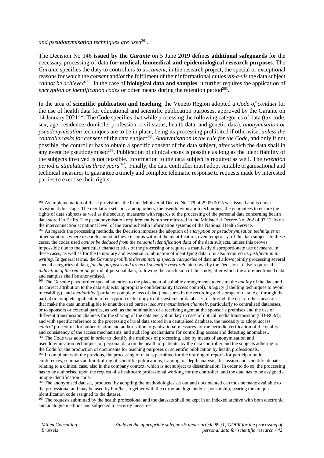#### and pseudonymisation techniques are used<sup>261</sup>.

The Decision No 146 **issued by the** *Garante* on 5 June 2019 defines **additional safeguards** for the necessary processing of data **for medical, biomedical and epidemiological research purposes**. The *Garante* specifies the duty to controllers *to document*, in the research project, the special or exceptional reasons for which the *consent* and/or the fulfilment of their informational duties *vis-a-vis* the data subject cannot be achieved<sup>262</sup>. In the case of **biological data and samples**, it further requires the application of encryption or identification codes or other means during the retention period<sup>263</sup>.

In the area of **scientific publication and teaching**, the Veneto Region adopted a *Code of conduct* for the use of health data for educational and scientific publication purposes, approved by the Garante on 14 January 2021<sup>264</sup>. The Code specifies that while processing the following categories of data (tax code, sex, age, residence, domicile, profession, civil status, health data, and genetic data), *anonymisation or pseudonymisation* techniques are to be in place, being its processing prohibited if otherwise, *unless the controller asks for consent* of the data subject<sup>265</sup>. *Anonymisation is the rule for the Code*, and only if not possible, the controller has to obtain a specific consent of the data subject, after which the data shall in any event be pseudonymised<sup>266</sup>. Publication of clinical cases is possible as long as the identifiability of the subjects involved is not possible. Information to the data subject is required as well. The *retention period is stipulated as three years<sup>267</sup> .* Finally, the data controller must adopt suitable organisational and technical measures to guarantee a timely and complete telematic response to requests made by interested parties to exercise their rights.

<sup>&</sup>lt;sup>261</sup> As implementation of these provisions, the Prime Ministerial Decree No 178 of 29.09.2015 was issued and is under revision at this stage. The regulation sets out, among others, the pseudonymisation techniques, the guarantees to ensure the rights of data subjects as well as the security measures with regards to the processing of the personal data concerning health data stored in EHRs. The pseudonymisation requirement is further mirrored in the Ministerial Decree No. 262 of 07.12.16 on the interconnection at national level of the various health information systems of the National Health Service. <sup>262</sup> As regards the processing methods, the Decision imposes the adoption of *encryption or pseudonymisation techniques* or other solutions where research cannot achieve its aims without the identification, even temporary, of the data subject. In these cases, the codes used *cannot be deduced from the personal identification data* of the data subjects, unless this proves impossible due to the particular characteristics of the processing or requires a manifestly disproportionate use of means. In these cases, as well as for the temporary and essential combination of identifying data, it is also required its *justification in writing*. In general terms, the *Garante prohibits disseminating special categories* of data and allows jointly processing several special categories of data, *for the purposes and areas of scientific research* laid down by the Decision. It also requires the

*indication of the retention* period of personal data, following the conclusion of the study, after which the aforementioned data and samples shall be anonymised.

<sup>&</sup>lt;sup>263</sup> The *Garante* pays further special attention to the placement of suitable arrangements to ensure the *quality* of the data and its correct attribution to the data subjects; appropriate confidentiality (access control), i*ntegrit*y (labelling techniques to avoid traceability), and *availability* (partial or complete loss of data) measures in the recording and storage of data, *e.g*. through the partial or complete application of encryption technology to file systems or databases, or through the use of other measures that make the data unintelligible to unauthorised parties; *secure transmission channels*, particularly to centralised databases, or to sponsors or external parties, as well as the nomination of a receiving agent at the sponsor´s premises and the use of different transmission channels for the sharing of the data encryption key in case of optical media transmission (CD-ROM); and with specific reference to the processing of trial data stored in a centralised database, the necessity to adopt *access control* procedures for authentication and authorisation, organisational measures for the periodic verification of the quality and consistency of the access mechanisms, and audit log mechanisms for controlling access and detecting anomalies.. <sup>264</sup> The Code was adopted in order to identify the methods of processing, also by means of anonymisation and pseudonymisation techniques, of personal data on the health of patients, by the data controller and the subjects adhering to

the Code for the production of documents for teaching purposes or scientific publication by health professionals. <sup>265</sup> If compliant with the previous, the processing of data is permitted for the drafting of reports for participation in

conferences, seminars and/or drafting of scientific publications, training, in-depth analysis, discussion and scientific debate relating to a clinical case, also in the company context, which is not subject to dissemination. In order to do so, the processing has to be authorised upon the request of a healthcare professional working for the controller, and the data has to be assigned a unique identification code.

<sup>&</sup>lt;sup>266</sup> The anonymised dataset, produced by adopting the methodologies set out and documented can thus be made available to the professional and may be used by him/her, together with the corporate logo and/or sponsorship, bearing the unique identification code assigned to the dataset.

<sup>&</sup>lt;sup>267</sup> The requests submitted by the health professional and the datasets shall be kept in an indexed archive with both electronic and analogue methods and subjected to security measures.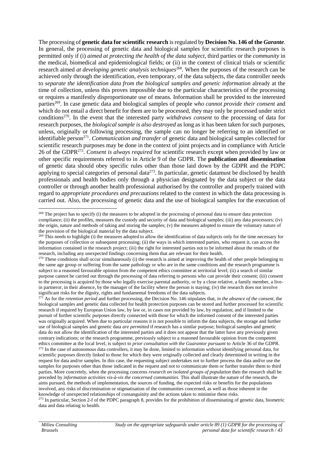The processing of **genetic data for scientific research** is regulated by **Decision No. 146 of the** *Garante.* In general, the processing of genetic data and biological samples for scientific research purposes is permitted only if (i) *aimed at protecting the health of the data subject*, third parties or the *community* in the medical, biomedical and epidemiological fields; or (ii) in the context of clinical trials or scientific research aimed *at developing genetic analysis techniques*<sup>268</sup>. When the purposes of the research can be achieved only through the identification, even temporary, of the data subjects, the data controller needs to *separate the identification data from the biological samples and genetic information* already at the time of collection, unless this proves impossible due to the particular characteristics of the processing or requires a manifestly disproportionate use of means. Information shall be provided to the interested parties<sup>269</sup>. In case genetic data and biological samples of people *who cannot provide their consent* and which do not entail a direct benefit for them are to be processed, they may only be processed under strict conditions<sup>270</sup>. In the event that the interested party *withdraws consent* to the processing of data for research purposes, the *biological sample is also destroyed* as long as it has been taken for such purposes, unless, originally or following processing, the sample can no longer be referring to an identified or identifiable person<sup>271</sup>. *Communication and transfer* of genetic data and biological samples collected for scientific research purposes may be done in the context of joint projects and in compliance with Article 26 of the GDPR<sup>272</sup> . *Consent is always required* for scientific research except when provided by law or other specific requirements referred to in Article 9 of the GDPR. The **publication and dissemination** of genetic data should obey specific rules other than those laid down by the GDPR and the PDPC applying to special categories of personal data $2^{73}$ . In particular, genetic datamust be disclosed by health professionals and health bodies only through a physician designated by the data subject or the data controller or through another health professional authorised by the controller and properly trained with regard to *appropriate procedures and precautions* related to the context in which the data processing is carried out. Also, the processing of genetic data and the use of biological samples for the execution of

<sup>&</sup>lt;sup>268</sup> The project has to specify (i) the measures to be adopted in the processing of personal data to ensure data protection compliance; (ii) the profiles, measures the custody and security of data and biological samples; (iii) any data processors; (iv) the origin, nature and methods of taking and storing the samples; (v) the measures adopted to ensure the voluntary nature of the provision of the biological material by the data subject.

 $^{269}$  This needs to highlight (i) the measures adopted to allow the identification of data subjects only for the time necessary for the purposes of collection or subsequent processing; (ii) the ways in which interested parties, who request it, can access the information contained in the research project; (iii) the right for interested parties not to be informed about the results of the research, including any unexpected findings concerning them that are relevant for their health.

<sup>&</sup>lt;sup>270</sup> These conditions shall occur simultaneously (i) the research is aimed at improving the health of other people belonging to the same age group or suffering from the same pathology or who are in the same conditions and the research programme is subject to a reasoned favourable opinion from the competent ethics committee at territorial level; (ii) a search of similar purpose cannot be carried out through the processing of data referring to persons who can provide their consent; (iii) consent to the processing is acquired by those who legally exercise parental authority, or by a close relative, a family member, a livein partneror, in their absence, by the manager of the facility where the person is staying; (iv) the research does not involve significant risks for the dignity, rights and fundamental freedoms of the data subjects.

<sup>271</sup> As for the *retention period* and further processing, the Decision No. 146 stipulates that, *in the absence of the consent*, the biological samples and genetic data collected for health protection purposes can be stored and further processed for scientific research if required by European Union law, by law or, in cases not provided by law, by regulation; and if limited to the pursuit of further scientific purposes directly connected with those for which the informed consent of the interested parties was originally acquired. When due to particular reasons it is not possible to inform the data subjects, the storage and further use of biological samples and genetic data *are permitted* if research has a similar purpose; biological samples and genetic data do not allow the identification of the interested parties and it does not appear that the latter have any previously given contrary indications; or the research programme, previously subject to a reasoned favourable opinion from the competent ethics committee at the local level, is subject to *prior consultation with the Guarantor pursuant* to Article 36 of the GDPR. <sup>272</sup> In the case of autonomous data controllers, it may be done, limited to information without identifying personal data, for scientific purposes directly linked to those for which they were originally collected and clearly determined in writing in the request for data and/or samples. In this case, the requesting subject undertakes not to further process the data and/or use the samples for purposes other than those indicated in the request and not to communicate them or further transfer them to third parties. More concretely, when the processing concerns *research on isolated groups of population* then the research shall be preceded by *information activities vis-à-vis the concerned communities.* This shall illustrate the nature of the research, the aims pursued, the methods of implementation, the sources of funding, the expected risks or benefits for the populations involved, any risks of discrimination or stigmatisation of the communities concerned, as well as those inherent in the knowledge of unexpected relationships of consanguinity and the actions taken to minimise these risks.

<sup>&</sup>lt;sup>273</sup> In particular, Section 2-f of the PDPC paragraph 8, provides for the prohibition of disseminating of genetic data, biometric data and data relating to health.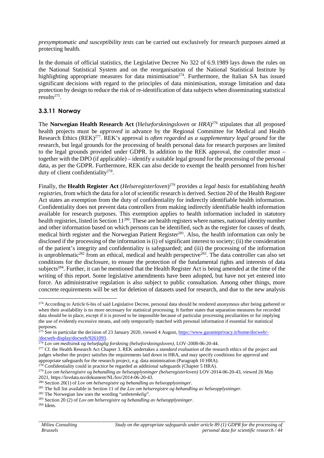*presymptomatic and susceptibility tests* can be carried out exclusively for research purposes aimed at protecting health.

In the domain of official statistics, the Legislative Decree No 322 of 6.9.1989 lays down the rules on the National Statistical System and on the reorganisation of the National Statistical Institute by highlighting appropriate measures for data minimisation<sup>274</sup>. Furthermore, the Italian SA has issued significant decisions with regard to the principles of data minimisation, storage limitation and data protection by design to reduce the risk of re-identification of data subjects when disseminating statistical  $results^{275}$ .

### **3.3.11 Norway**

The **Norwegian Health Research Act** (H*elseforskningsloven* or *HRA*) <sup>276</sup> stipulates that all proposed health projects must be *approved* in advance by the Regional Committee for Medical and Health Research Ethics (REK)<sup>277</sup>. REK's approval is *often regarded as a supplementary legal ground* for the research, but legal grounds for the processing of health personal data for research purposes are limited to the legal grounds provided under GDPR. In addition to the REK approval, the controller must – together with the DPO (if applicable) – identify a suitable legal ground for the processing of the personal data, as per the GDPR. Furthermore, REK can also decide to exempt the health personnel from his/her duty of client confidentiality<sup>278</sup>.

Finally, the **Health Register Act** (*Helseregisterloven*) <sup>279</sup> provides *a legal basis* for establishing *health registries*, from which the data for a lot of scientific research is derived. Section 20 of the Health Register Act states an exemption from the duty of confidentiality for indirectly identifiable health information. Confidentiality does not prevent data controllers from making indirectly identifiable health information available for research purposes. This exemption applies to health information included in statutory health registries, listed in Section 11<sup>280</sup>. These are health registers where names, national identity number and other information based on which persons can be identified, such as the register for causes of death, medical birth register and the Norwegian Patient Register<sup>281</sup>. Also, the health information can only be disclosed if the processing of the information is (i) of significant interest to society; (ii) the consideration of the patient's integrity and confidentiality is safeguarded; and (iii) the processing of the information is unproblematic<sup>282</sup> from an ethical, medical and health perspective<sup>283</sup>. The data controller can also set conditions for the disclosure, to ensure the protection of the fundamental rights and interests of data subjects<sup>284</sup>. Further, it can be mentioned that the Health Register Act is being amended at the time of the writing of this report. Some legislative amendments have been adopted, but have not yet entered into force. An administrative regulation is also subject to public consultation. Among other things, more concrete requirements will be set for deletion of datasets used for research, and due to the new analysis

<sup>&</sup>lt;sup>274</sup> According to Article 6-bis of said Legislative Decree, personal data should be rendered anonymous after being gathered or when their availability is no more necessary for statistical processing. It further states that separation measures for recorded data should be in place, except if it is proved to be impossible because of particular processing peculiarities or for implying the use of evidently excessive means, and only temporarily matched with personal information if essential for statistical purposes.

<sup>&</sup>lt;sup>275</sup> See in particular the decision of 23 January 2020, viewed 4 August, https://www.garanteprivacy.it/home/docweb/-/docweb-display/docweb/9261093.

<sup>276</sup> *Lov om medisinsk og helsefaglig forskning (helseforskningsloven)*, LOV-2008-06-20-44.

<sup>&</sup>lt;sup>277</sup> Cf. the Health Research Act Chapter 3. REK undertakes a *standard evaluation* of the research ethics of the project and judges whether the project satisfies the requirements laid down in HRA, and may specify conditions for approval and appropriate safeguards for the research project, e.g. data minimisation (Paragraph 10 HRA).

 $278$  Confidentiality could in practice be regarded as additional safeguards (Chapter 5 HRA).

<sup>279</sup> *Lov om helseregistre og behandling av helseopplysninger (helseregisterloven)* LOV-2014-06-20-43, viewed 26 May 2021, https://lovdata.no/dokument/NL/lov/2014-06-20-43.

<sup>280</sup> Section 20(1) of *Lov om helseregistre og behandling av helseopplysninger*.

<sup>281</sup> The full list available in Section 11 of the *Lov om helseregistre og behandling av helseopplysninger*.

<sup>282</sup> The Norwegian law uses the wording "*unbetenkelig*".

<sup>283</sup> Section 20 (2) of *Lov om helseregistre og behandling av helseopplysninger*.

<sup>284</sup> Idem.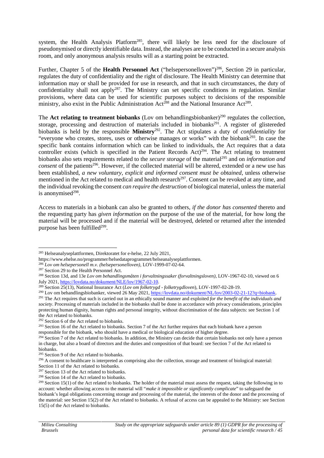system, the Health Analysis Platform<sup>285</sup>, there will likely be less need for the disclosure of pseudonymised or directly identifiable data. Instead, the analyses are to be conducted in a secure analysis room, and only anonymous analysis results will as a starting point be extracted.

Further, Chapter 5 of the **Health Personnel Act** ("helsepersonelloven")<sup>286</sup>, Section 29 in particular, regulates the duty of confidentiality and the right of disclosure. The Health Ministry can determine that information may or shall be provided for use in research, and that in such circumstances, the duty of confidentiality shall not apply<sup>287</sup>. The Ministry can set specific conditions in regulation. Similar provisions, where data can be used for scientific purposes subject to decisions of the responsible ministry, also exist in the Public Administration Act<sup>288</sup> and the National Insurance Act<sup>289</sup>.

The **Act relating to treatment biobanks** (Lov om behandlingsbiobanker)<sup>290</sup> regulates the collection, storage, processing and destruction of materials included in biobanks<sup>291</sup>. A register of glistereded biobanks is held by the responsible **Ministry**<sup>292</sup> . The Act stipulates a duty of *confidentiality* for "everyone who creates, stores, uses or otherwise manages or works" with the biobank<sup>293</sup>. In case the specific bank contains information which can be linked to individuals, the Act requires that a data controller exists (which is specified in the Patient Records Act)<sup>294</sup>. The Act relating to treatment biobanks also sets requirements related to the *secure storage* of the material<sup>295</sup> and on *information and consent* of the patients<sup>296</sup>. However, if the collected material will be altered, extended or a new use has been established, *a new voluntary, explicit and informed consent must be obtained*, unless otherwise mentioned in the Act related to medical and health research<sup>297</sup>. Consent can be revoked at any time, and the individual revoking the consent *can require the destruction* of biological material, unless the material is anonymised $298$ .

Access to materials in a biobank can also be granted to others, *if the donor has consented* thereto and the requesting party has *given information* on the purpose of the use of the material, for how long the material will be processed and if the material will be destroyed, deleted or returned after the intended purpose has been fulfilled<sup>299</sup>.

<sup>285</sup> Helseanalyseplattformen, Direktoratet for e-helse, 22 July 2021,

https://www.ehelse.no/programmer/helsedataprogrammet/helseanalyseplattformen.

<sup>286</sup> *Lov om helsepersonell m.v. (helsepersonelloven)*, LOV-1999-07-02-64.

<sup>&</sup>lt;sup>287</sup> Section 29 to the Health Personnel Act.

<sup>288</sup> Section 13d, and 13e *Lov om behandlingsmåten i forvaltningssaker (forvaltningsloven)*, LOV-1967-02-10, viewed on 6 July 2021, https://lovdata.no/dokument/NLE/lov/1967-02-10.

<sup>289</sup> Section 25(13), National Insurance Act (*Lov om folketrygd - folketrygdloven*), LOV-1997-02-28-19.

<sup>&</sup>lt;sup>290</sup> Lov om behandlingsbiobanker, viewed 26 May 2021, https://lovdata.no/dokument/NL/lov/2003-02-21-12?q=biobank. <sup>291</sup> The Act requires that such is carried out in an ethically sound manner and exploited *for the benefit of the individuals and society*. Processing of materials included in the biobanks shall be done in accordance with privacy considerations, principles

protecting human dignity, human rights and personal integrity, without discrimination of the data subjects: see Section 1 of the Act related to biobanks.

<sup>292</sup> Section 6 of the Act related to biobanks.

 $^{293}$  Section 16 of the Act related to biobanks. Section 7 of the Act further requires that each biobank have a person responsible for the biobank, who should have a medical or biological education of higher degree.

<sup>&</sup>lt;sup>294</sup> Section 7 of the Act related to biobanks. In addition, the Ministry can decide that certain biobanks not only have a person in charge, but also a board of directors and the duties and composition of that board: see Section 7 of the Act related to biobanks.

<sup>&</sup>lt;sup>295</sup> Section 9 of the Act related to biobanks.

<sup>&</sup>lt;sup>296</sup> A consent to healthcare is interpreted as comprising also the collection, storage and treatment of biological material:

Section 11 of the Act related to biobanks. <sup>297</sup> Section 13 of the Act related to biobanks.

<sup>298</sup> Section 14 of the Act related to biobanks.

 $299$  Section 15(1) of the Act related to biobanks. The holder of the material must assess the request, taking the following in to account: whether allowing access to the material will "*make it impossible or significantly complicate*" to safeguard the biobank's legal obligations concerning storage and processing of the material, the interests of the donor and the processing of the material: see Section 15(2) of the Act related to biobanks. A refusal of access can be appealed to the Ministry: see Section 15(5) of the Act related to biobanks.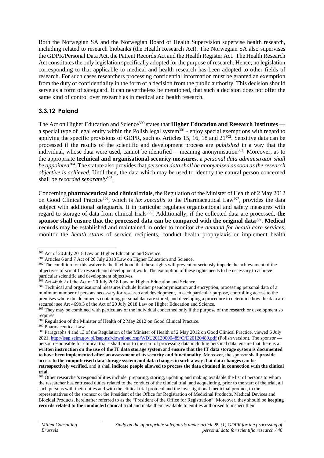Both the Norwegian SA and the Norwegian Board of Health Supervision supervise health research, including related to research biobanks (the Health Research Act). The Norwegian SA also supervises the GDPR/Personal Data Act, the Patient Records Act and the Health Register Act. The Health Research Act constitutes the only legislation specifically adopted for the purpose of research. Hence, no legislation corresponding to that applicable to medical and health research has been adopted to other fields of research. For such cases researchers processing confidential information must be granted an exemption from the duty of confidentiality in the form of a decision from the public authority. This decision should serve as a form of safeguard. It can nevertheless be mentioned, that such a decision does not offer the same kind of control over research as in medical and health research.

### **3.3.12 Poland**

The Act on Higher Education and Science<sup>300</sup> states that **Higher Education and Research Institutes** a special type of legal entity within the Polish legal system<sup>301</sup> - enjoy special exemptions with regard to applying the specific provisions of GDPR, such as Articles 15, 16, 18 and  $21^{302}$ . Sensitive data can be processed if the results of the scientific and development process are *published* in a way that the individual, whose data were used, cannot be identified —meaning anonymisation<sup>303</sup>. Moreover, as to the appropriate **technical and organisational security measures**, a *personal data administrator shall be appointed*<sup>304</sup> . The statute also providesthat *personal data shall be anonymised as soon as the research objective is achieved*. Until then, the data which may be used to identify the natural person concerned shall be *recorded separately*<sup>305</sup> .

Concerning **pharmaceutical and clinical trials**, the Regulation of the Minister of Health of 2 May 2012 on Good Clinical Practice<sup>306</sup>, which is *lex specialis* to the Pharmaceutical Law<sup>307</sup>, provides the data subject with additional safeguards. It in particular regulates organisational and safety measures with regard to storage of data from clinical trials<sup>308</sup>. Additionally, if the collected data are processed, the **sponsor shall ensure that the processed data can be compared with the original data**<sup>309</sup> . **Medical records** may be established and maintained in order to monitor *the demand for health care services*, monitor the *health status* of service recipients, conduct health prophylaxis or implement health

<sup>300</sup> Act of 20 July 2018 Law on Higher Education and Science.

<sup>301</sup> Articles 6 and 7 Act of 20 July 2018 Law on Higher Education and Science.

<sup>&</sup>lt;sup>302</sup> The condition for this waiver is the likelihood that these rights will prevent or seriously impede the achievement of the objectives of scientific research and development work. The exemption of these rights needs to be necessary to achieve particular scientific and development objectives.

 $303$  Art 469b.2 of the Act of 20 July 2018 Law on Higher Education and Science.

<sup>&</sup>lt;sup>304</sup> Technical and organisational measures include further pseudonymisation and encryption, processing personal data of a minimum number of persons necessary for research and development, in each particular purpose, controlling access to the premises where the documents containing personal data are stored, and developing a procedure to determine how the data are secured: see Art 469b.3 of the Act of 20 July 2018 Law on Higher Education and Science.

<sup>&</sup>lt;sup>305</sup> They may be combined with particulars of the individual concerned only if the purpose of the research or development so requires.

 $306$  Regulation of the Minister of Health of 2 May 2012 on Good Clinical Practice.

<sup>307</sup> Pharmaceutical Law.

<sup>&</sup>lt;sup>308</sup> Paragraphs 4 and 13 of the Regulation of the Minister of Health of 2 May 2012 on Good Clinical Practice, viewed 6 July 2021, http://isap.sejm.gov.pl/isap.nsf/download.xsp/WDU20120000489/O/D20120489.pdf (Polish version). The sponsor person responsible for clinical trial - shall prior to the start of processing data including personal data, ensure that there is a **written instruction on the use of the IT data storage system** and **ensure that the IT data storage system is documented to have been implemented after an assessment of its security and functionality**. Moreover, the sponsor shall **provide access to the computerised data storage system and data changes in such a way that data changes can be retrospectively verified**, and it shall **indicate people allowed to process the data obtained in connection with the clinical trial**.

<sup>&</sup>lt;sup>309</sup> Other researcher's responsibilities include: preparing, storing, updating and making available the list of persons to whom the researcher has entrusted duties related to the conduct of the clinical trial, and acquainting, prior to the start of the trial, all such persons with their duties and with the clinical trial protocol and the investigational medicinal product, to the representatives of the sponsor or the President of the Office for Registration of Medicinal Products, Medical Devices and Biocidal Products, hereinafter referred to as the "President of the Office for Registration". Moreover, they should be **keeping records related to the conducted clinical trial** and make them available to entities authorised to inspect them.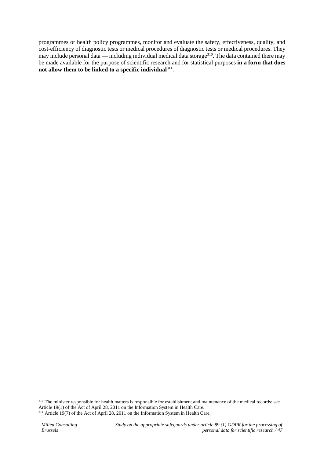programmes or health policy programmes, monitor and evaluate the safety, effectiveness, quality, and cost-efficiency of diagnostic tests or medical procedures of diagnostic tests or medical procedures. They may include personal data — including individual medical data storage<sup>310</sup>. The data contained there may be made available for the purpose of scientific research and for statistical purposes **in a form that does not allow them to be linked to a specific individual**<sup>311</sup> .

<sup>&</sup>lt;sup>310</sup> The minister responsible for health matters is responsible for establishment and maintenance of the medical records: see Article 19(1) of the Act of April 28, 2011 on the Information System in Health Care. <sup>311</sup> Article 19(7) of the Act of April 28, 2011 on the Information System in Health Care.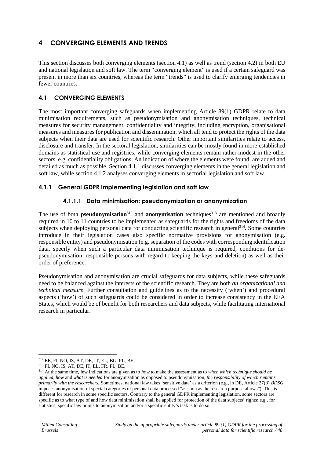# **4 CONVERGING ELEMENTS AND TRENDS**

This section discusses both converging elements (section 4.1) as well as trend (section 4.2) in both EU and national legislation and soft law. The term "converging element" is used if a certain safeguard was present in more than six countries, whereas the term "trends" is used to clarify emerging tendencies in fewer countries.

#### **4.1 CONVERGING ELEMENTS**

The most important converging safeguards when implementing Article 89(1) GDPR relate to data minimisation requirements, such as pseudonymisation and anonymisation techniques, technical measures for security management, confidentiality and integrity, including encryption, organisational measures and measures for publication and dissemination, which all tend to protect the rights of the data subjects when their data are used for scientific research. Other important similarities relate to access, disclosure and transfer. In the sectoral legislation, similarities can be mostly found in more established domains as statistical use and registries, while converging elements remain rather modest in the other sectors, e.g. confidentiality obligations. An indication of where the elements were found, are added and detailed as much as possible. Section 4.1.1 discusses converging elements in the general legislation and soft law, while section 4.1.2 analyses converging elements in sectorial legislation and soft law.

#### **4.1.1 General GDPR implementing legislation and soft law**

#### **4.1.1.1 Data minimisation: pseudonymization or anonymization**

The use of both **pseudonymisation**<sup>312</sup> and **anonymisation** techniques<sup>313</sup> are mentioned and broadly required in 10 to 11 countries to be implemented as safeguards for the rights and freedoms of the data subjects when deploying personal data for conducting scientific research in general<sup>314</sup>. Some countries introduce in their legislation cases also specific normative provisions for anonymisation (e.g. responsible entity) and pseudonymisation (e.g. separation of the codes with corresponding identification data, specify when such a particular data minimisation technique is required, conditions for de pseudonymisation, responsible persons with regard to keeping the keys and deletion) as well as their order of preference.

Pseudonymisation and anonymisation are crucial safeguards for data subjects, while these safeguards need to be balanced against the interests of the scientific research. They are both *an organizational and technical measure*. Further consultation and guidelines as to the necessity ('when') and procedural aspects ('how') of such safeguards could be considered in order to increase consistency in the EEA States, which would be of benefit for both researchers and data subjects, while facilitating international research in particular.

<sup>312</sup> EE, FI, NO, IS, AT, DE, IT, EL, BG, PL, BE.

<sup>313</sup> FI, NO, IS, AT, DE, IT, EL, FR, PL, BE.

<sup>314</sup> At the same time, few indications are given as to *how* to make the assessment as to *when which technique should be applied*, *how* and *what is needed* for anonymisation as opposed to pseudonymisation, *the responsibility of which remains primarily with the researchers.* Sometimes, national law takes 'sensitive data' as a criterion (e.g., in DE, Article 27(3) *BDSG* imposes anonymisation of special categories of personal data processed "as soon as the research purpose allows"). This is different for research in some specific sectors. Contrary to the general GDPR implementing legislation, some sectors are specific as to what type of and how data minimisation shall be applied for protection of the data subjects' rights: e.g., for statistics, specific law points to anonymisation and/or a specific entity's task is to do so.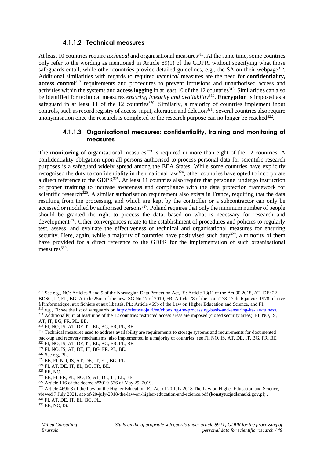#### **4.1.1.2 Technical measures**

At least 10 countries require *technical* and organisational measures<sup>315</sup>. At the same time, some countries only refer to the wording as mentioned in Article 89(1) of the GDPR, without specifying what those safeguards entail, while other countries provide detailed guidelines, e.g., the SA on their webpage<sup>316</sup>. Additional similarities with regards to required *technical* measures are the need for **confidentiality, access control**<sup>317</sup> requirements and procedures to prevent intrusions and unauthorised access and activities within the systems and **access logging** in at least 10 of the 12 countries<sup>318</sup>. Similarities can also be identified for technical measures *ensuring integrity and availability*<sup>319</sup> . **Encryption** is imposed as a safeguard in at least 11 of the 12 countries<sup>320</sup>. Similarly, a majority of countries implement input controls, such as record registry of access, input, alteration and deletion<sup>321</sup>. Several countries also require anonymisation once the research is completed or the research purpose can no longer be reached<sup>322</sup>.

#### **4.1.1.3 Organisational measures: confidentiality, training and monitoring of measures**

The **monitoring** of organisational measures<sup>323</sup> is required in more than eight of the 12 countries. A confidentiality obligation upon all persons authorised to process personal data for scientific research purposes is a safeguard widely spread among the EEA States. While some countries have explicitly recognised the duty to confidentiality in their national law<sup>324</sup>, other countries have opted to incorporate a direct reference to the GDPR<sup>325</sup>. At least 11 countries also require that personnel undergo instruction or proper **training** to increase awareness and compliance with the data protection framework for scientific research<sup>326</sup>. A similar authorisation requirement also exists in France, requiring that the data resulting from the processing, and which are kept by the controller or a subcontractor can only be accessed or modified by authorised persons<sup>327</sup>. Poland requires that only the minimum number of people should be granted the right to process the data, based on what is necessary for research and development<sup>328</sup>. Other convergences relate to the establishment of procedures and policies to regularly test, assess, and evaluate the effectiveness of technical and organisational measures for ensuring security. Here, again, while a majority of countries have positivised such duty<sup>329</sup>, a minority of them have provided for a direct reference to the GDPR for the implementation of such organisational measures<sup>330</sup>.

<sup>315</sup> See e.g., NO: Articles 8 and 9 of the Norwegian Data Protection Act, IS: Article 18(1) of the Act 90.2018, AT, DE: 22 BDSG, IT, EL, BG: Article 25m. of the new, SG No 17 of 2019, FR: Article 78 of the Loi n° 78-17 du 6 janvier 1978 relative à l'informatique, aux fichiers et aux libertés, PL: Article 469b of the Law on Higher Education and Science, and FI.

<sup>316</sup> e.g., FI: see the list of safeguards on https://tietosuoja.fi/en/choosing-the-processing-basis-and-ensuring-its-lawfulness. <sup>317</sup> Additionally, in at least nine of the 12 countries restricted access areas are imposed (closed security areas): FI, NO, IS, AT, IT, BG, FR, PL, BE.

<sup>318</sup> FI, NO, IS, AT, DE, IT, EL, BG, FR, PL, BE.

<sup>&</sup>lt;sup>319</sup> Technical measures used to address availability are requirements to storage systems and requirements for documented back-up and recovery mechanisms, also implemented in a majority of countries: see FI, NO, IS, AT, DE, IT, BG, FR, BE. <sup>320</sup> FI, NO, IS, AT, DE, IT, EL, BG, FR, PL, BE.

<sup>321</sup> FI, NO, IS, AT, DE, IT, BG, FR, PL, BE.

<sup>322</sup> See e.g, PL.

<sup>323</sup> EE, FI, NO, IS, AT, DE, IT, EL, BG, PL.

<sup>324</sup> FI, AT, DE, IT, EL, BG, FR, BE.

<sup>325</sup> EE, NO.

<sup>326</sup> EE, FI, FR, PL, NO, IS, AT, DE, IT, EL, BE.

<sup>327</sup> Article 116 of the decree n°2019-536 of May 29, 2019.

<sup>328</sup> Article 469b.3 of the Law on the Higher Education. E., Act of 20 July 2018 The Law on Higher Education and Science, viewed 7 July 2021, act-of-20-july-2018-the-law-on-higher-education-and-science.pdf (konstytucjadlanauki.gov.pl) .

<sup>329</sup> FI, AT, DE, IT, EL, BG, PL.

<sup>330</sup> EE, NO, IS.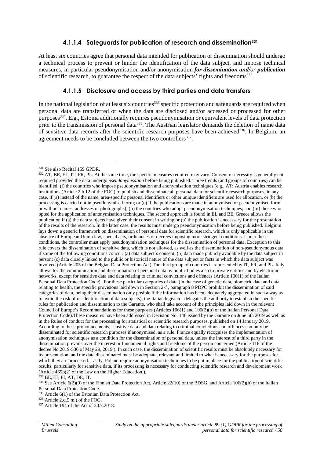#### **4.1.1.4 Safeguards for publication of research and dissemination<sup>331</sup>**

At least six countries agree that personal data intended for publication or dissemination should undergo a technical process to prevent or hinder the identification of the data subject, and impose technical measures, in particular pseudonymisation and/or anonymisation *for dissemination and/or publication* of scientific research, to guarantee the respect of the data subjects' rights and freedoms<sup>332</sup>.

#### **4.1.1.5 Disclosure and access by third parties and data transfers**

In the national legislation of at least six countries<sup>333</sup> specific protection and safeguards are required when personal data are transferred or when the data are disclosed and/or accessed or processed for other purposes<sup>334</sup>. E.g., Estonia additionally requires pseudonymisation or equivalent levels of data protection prior to the transmission of personal data<sup>335</sup>. The Austrian legislator demands the deletion of name data of sensitive data records after the scientific research purposes have been achieved<sup>336</sup>. In Belgium, an agreement needs to be concluded between the two controllers<sup>337</sup>.

<sup>331</sup> See also Recital 159 GPDR.

<sup>&</sup>lt;sup>332</sup> AT, BE, EL, IT, FR, PL. At the same time, the specific measures required may vary. Consent or necessity is generally not required provided the data undergo *pseudonymisation* before being published. Three trends (and groups of countries) can be identified: (i) the countries who impose pseudonymisation and anonymisation techniques (e.g., AT: Austria enables research institutions (Article 2.b.12 of the FOG) to publish and disseminate all personal data for scientific research purposes, in any case, if (a) instead of the name, area-specific personal identifiers or other unique identifiers are used for allocation, or (b) the processing is carried out in pseudonymised form; or (c) if the publications are made in anonymised or pseudonymised form or without names, addresses or photographs); (ii) the countries who adopt pseudonymisation techniques; and (iii) those who opted for the application of anonymisation techniques. The second approach is found in EL and BE. Greece allows the publication if (a) the data subjects have given their consent in writing or (b) the publication is necessary for the presentation of the results of the research. In the latter case, the results must undergo pseudonymisation before being published. Belgium lays down a generic framework on dissemination of personal data for scientific research, which is only applicable in the absence of European Union law, special acts, ordinances or decrees imposing more stringent conditions. Under these conditions, the controller must apply pseudonymisation techniques for the dissemination of personal data. Exception to this rule covers the dissemination of sensitive data, which is not allowed, as well as the dissemination of non-pseudonymous data if some of the following conditions concur: (a) data subject´s consent; (b) data made publicly available by the data subject in person; (c) data closely linked to the public or historical nature of the data subject or facts in which the data subject was involved (Article 205 of the Belgian Data Protection Act).The third group of countries is represented by IT, FR, and PL. Italy allows for the communication and dissemination of personal data by public bodies also to private entities and by electronic networks, except for sensitive data and data relating to criminal convictions and offences (Article 100(1) of the Italian Personal Data Protection Code). For these particular categories of data (in the case of genetic data, biometric data and data relating to health, the specific provisions laid down in Section 2-f , paragraph 8 PDPC prohibit the dissemination of said categories of data, being their dissemination only posible if the information has been adequately aggregated in such a way as to avoid the risk of re-identification of data subjects), the Italian legislator delegates the authority to establish the specific rules for publication and dissemination to the Garante, who shall take account of the principles laid down in the relevant Council of Europe's Recommendations for these purposes (Articles 106(1) and 106(2)(b) of the Italian Personal Data Protection Code).These measures have been addressed in Decision No. 146 issued by the Garante on June 5th 2019 as well as in the Rules of conduct for the processing for statistical or scientific research purposes, published on 14 January 2019. According to these pronouncements, sensitive data and data relating to criminal convictions and offences can only be disseminated for scientific research purposes if anonymised, as a rule. France equally recognises the implementation of anonymisation techniques as a condition for the dissemination of personal data, unless the interest of a third party in the dissemination prevails over the interest or fundamental rights and freedoms of the person concerned (Article 116 of the decree No 2019-536 of May 29, 2019.). In such case, the dissemination of scientific results must be absolutely necessary for its presentation, and the data disseminated must be adequate, relevant and limited to what is necessary for the purposes for which they are processed. Lastly, Poland require anonymisation techniques to be put in place for the publication of scientific results, particularly for sensitive data, if its processing is necessary for conducting scientific research and development work (Article 469b(2) of the Law on the Higher Education.).

<sup>333</sup> BE,EE, FI, AT, DE, IT.

<sup>334</sup> See Article 6(2)(9) of the Finnish Data Protection Act, Article 22(10) of the BDSG, and Article 106(2)(h) of the Italian Personal Data Protection Code.

<sup>335</sup> Article 6(1) of the Estonian Data Protection Act.

<sup>336</sup> Article 2.d.5.m.) of the FOG.

<sup>337</sup> Article 194 of the Act of 30.7.2018.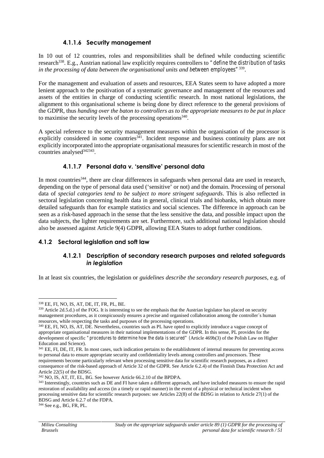#### **4.1.1.6 Security management**

In 10 out of 12 countries, roles and responsibilities shall be defined while conducting scientific research<sup>338</sup>. E.g., Austrian national law explicitly requires controllers to "*define the distribution of tasks in the processing of data between the organisational units and between employees"*<sup>339</sup> .

For the management and evaluation of assets and resources, EEA States seem to have adopted a more lenient approach to the positivation of a systematic governance and management of the resources and assets of the entities in charge of conducting scientific research. In most national legislations, the alignment to this organisational scheme is being done by direct reference to the general provisions of the GDPR, thus *handing over the baton to controllers as to the appropriate measures to be put in place* to maximise the security levels of the processing operations<sup>340</sup>.

A special reference to the security management measures within the organisation of the processor is explicitly considered in some countries<sup>341</sup>. Incident response and business continuity plans are not explicitly incorporated into the appropriate organisational measures for scientific research in most of the countries analysed<sup>342343</sup>.

#### **4.1.1.7 Personal data v. 'sensitive' personal data**

In most countries<sup>344</sup>, there are clear differences in safeguards when personal data are used in research, depending on the type of personal data used ('sensitive' or not) and the domain. Processing of personal data of *special categories tend to be subject to more stringent safeguards*. This is also reflected in sectoral legislation concerning health data in general, clinical trials and biobanks, which obtain more detailed safeguards than for example statistics and social sciences. The difference in approach can be seen as a risk-based approach in the sense that the less sensitive the data, and possible impact upon the data subjects, the lighter requirements are set. Furthermore, such additional national legislation should also be assessed against Article 9(4) GDPR, allowing EEA States to adopt further conditions.

### **4.1.2 Sectoral legislation and soft law**

#### **4.1.2.1 Description of secondary research purposes and related safeguards** *in legislation*

In at least six countries, the legislation or *guidelines describe the secondary research purposes*, e.g. of

<sup>344</sup> See e.g., BG, FR, PL.

<sup>338</sup> EE, FI, NO, IS, AT, DE, IT, FR, PL, BE.

 $339$  Article 2d.5.d.) of the FOG. It is interesting to see the emphasis that the Austrian legislator has placed on security management procedures, as it conspicuously ensures a precise and organised collaboration among the controller´s human resources, while respecting the tasks and purposes of the processing operations.

<sup>&</sup>lt;sup>340</sup> EE, FI, NO, IS, AT, DE. Nevertheless, countries such as PL have opted to explicitly introduce a vague concept of appropriate organisational measures in their national implementations of the GDPR. In this sense, PL provides for the development of specific *"procedures to determine how the data is secured" (*Article 469b(3) of the Polish Law on Higher Education and Science).

<sup>&</sup>lt;sup>341</sup> EE, FI, DE, IT, FR. In most cases, such indication pertains to the establishment of internal measures for preventing access to personal data to ensure appropriate security and confidentiality levels among controllers and processors. These requirements become particularly relevant when processing sensitive data for scientific research purposes, as a direct consequence of the risk-based approach of Article 32 of the GDPR. See Article 6.2.4) of the Finnish Data Protection Act and Article 22(5) of the BDSG.

<sup>342</sup> NO, IS, AT, IT, EL, BG. See however Article 66.2.10 of the BPDPA.

<sup>&</sup>lt;sup>343</sup> Interestingly, countries such as DE and FI have taken a different approach, and have included measures to ensure the rapid restoration of availability and access (in a timely or rapid manner) in the event of a physical or technical incident when processing sensitive data for scientific research purposes: see Articles 22(8) of the BDSG in relation to Article 27(1) of the BDSG and Article 6.2.7 of the FDPA.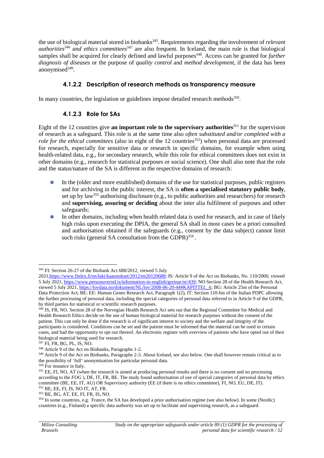the use of biological material stored in biobanks<sup>345</sup>. Requirements regarding the involvement of *relevant authorities<sup>346</sup> and ethics committees*<sup>347</sup> are also frequent. In Iceland, the main rule is that biological samples shall be acquired for clearly defined and lawful purposes<sup>348</sup>. Access can be granted for *further diagnosis of diseases* or the purpose of *quality control* and *method development*, if the data has been anonymised<sup>349</sup>.

### **4.1.2.2 Description of research methods as transparency measure**

In many countries, the legislation or guidelines impose detailed research methods<sup>350</sup>.

### **4.1.2.3 Role for SAs**

Eight of the 12 countries give **an important role to the supervisory authorities**<sup>351</sup> for the supervision of research as a safeguard. This role is at the same time also *often substituted and/or completed with a role for the ethical committees* (also in eight of the 12 countries<sup>352</sup>) when personal data are processed for research, especially for sensitive data or research in specific domains, for example when using health-related data, e.g., for secondary research, while this role for ethical committees does not exist in other domains (e.g., research for statistical purposes or social science). One shall also note that the role and the status/nature of the SA is different in the respective domains of research:

In the (older and more established) domains of the use for statistical purposes, public registers and for archiving in the public interest, the SA is **often a specialised statutory public body**, set up by law<sup>353</sup> authorising disclosure (e.g., to public authorities and researchers) for research and **supervising, assuring or deciding** about the inter alia fulfilment of purposes and other safeguards;

In other domains, including when health related data is used for research, and in case of likely high risks upon executing the DPIA, the general SA shall in most cases be a priori consulted and authorisation obtained if the safeguards (e.g., consent by the data subject) cannot limit such risks (general SA consultation from the GDPR)<sup>354</sup>.

<sup>345</sup> FI: Section 26-27 of the Biobank Act 688/2012, viewed 5 July

<sup>2021,</sup>https://www.finlex.fi/en/laki/kaannokset/2012/en20120688; IS: Article 9 of the Act on Biobanks, No. 110/2000, viewed 5 July 2021, https://www.personuvernd.is/information-in-english/greinar/nr/439; NO Section 28 of the Health Research Act, viewed 5 July 2021, https://lovdata.no/dokument/NL/lov/2008-06-20-44#KAPITTEL\_6; BG: Article 25m of the Personal Data Protection Act; BE; EE: Human Genes Research Act, Paragraph 1(2), IT: Section 110-bis of the Italian PDPC allowing the further processing of personal data, including the special categories of personal data referred to in Article 9 of the GDPR, by third parties for statistical or scientific research purposes.

<sup>&</sup>lt;sup>346</sup> IS, FR, NO. Section 28 of the Norvegian Health Research Act sets out that the Regional Committee for Medical and Health Research Ethics decide on the use of human biological material for research purposes without the consent of the patient. This can only be done if the research is of significant interest to society and the welfare and integrity of the participants is considered. Conditions can be set and the patient must be informed that the material can be used in certain cases, and had the opportunity to opt out thereof. An electronic register with overview of patients who have opted out of their biological material being used for research.

<sup>347</sup> FI, FR, BG, PL, IS, NO.

<sup>348</sup> Article 9 of the Act on Biobanks, Paragraphs 1-2.

<sup>&</sup>lt;sup>349</sup> Article 9 of the Act on Biobanks, Paragraphs 2-3. About Iceland, see also below. One shall however remain critical as to the possibility of 'full' anonymisation for particular personal data.

<sup>&</sup>lt;sup>350</sup> For instance in Italy.

<sup>&</sup>lt;sup>351</sup> EE, FI, NO, AT (when the research is aimed at producing personal results and there is no consent and no processing according to the *FOG* ), DE, IT, FR, BE. The study found authorisation of use of special categories of personal data by ethics committee (BE, EE, IT, AU) OR Supervisory authority (EE (if there is no ethics committee), FI, NO, EU, DE, IT). <sup>352</sup> BE, EE, FI, IS, NO IT, AT, FR.

<sup>353</sup> BE, BG, AT, EE, FI, FR, IS, NO.

<sup>354</sup> In some countries, e.g. France, the SA has developed a prior authorisation regime (see also below). In some (Nordic) countries (e.g., Finland) a specific data authority was set up to facilitate and supervising research, as a safeguard.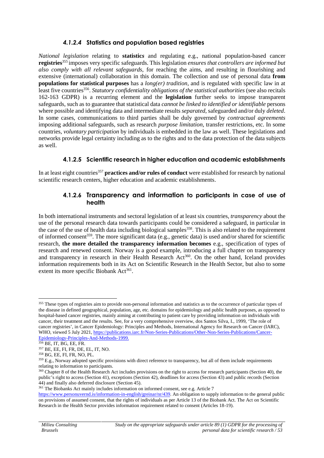### *4.1.2.4* **Statistics and population based registries**

*National legislation* relating to **statistic***s* and regulating e.g., national population-based cancer **registries**<sup>355</sup> imposes very specific safeguards. This legislation *ensures that controllers are informed but also comply with all relevant safeguards*, for reaching the aims, and resulting in flourishing and extensive (international) collaboration in this domain. The collection and use of personal data **from populations for statistical purposes** has a *long(er) tradition*, and is regulated with specific law in at least five countries<sup>356</sup>. *Statutory confidentiality obligations of the statistical authorities* (see also recitals 162-163 GDPR) is a recurring element and the **legislation** further seeks to impose transparent safeguards, such as to guarantee that statistical data *cannot be linked to identified or identifiable* persons where possible and identifying data and intermediate results *separated*, safeguarded and/or duly *deleted*. In some cases, communications to third parties shall be duly governed by *contractual agreements* imposing additional safeguards, such as research *purpose limitation*, transfer restrictions, etc. In some countries, *voluntary participation* by individuals is embedded in the law as well. These legislations and networks provide legal certainty including as to the rights and to the data protection of the data subjects as well.

#### **4.1.2.5 Scientific research in higher education and academic establishments**

In at least eight countries<sup>357</sup> **practices and/or rules of conduct** were established for research by national scientific research centers, higher education and academic establishments.

#### **4.1.2.6 Transparency and information to participants in case of use of health**

In both international instruments and sectoral legislation of at least six countries, *transparency* about the use of the personal research data towards participants could be considered a safeguard, in particular in the case of the use of health data including biological samples<sup>358</sup>. This is also related to the requirement of informed consent<sup>359</sup>. The more significant data (e.g., genetic data) is used and/or shared for scientific research, **the more detailed the transparency information becomes** e.g., specification of types of research and renewed consent. Norway is a good example, introducing a full chapter on transparency and transparency in research in their Health Research Act<sup>360</sup>. On the other hand, Iceland provides information requirements both in its Act on Scientific Research in the Health Sector, but also to some extent its more specific Biobank Act<sup>361</sup>.

<sup>&</sup>lt;sup>355</sup> These types of registries aim to provide non-personal information and statistics as to the occurrence of particular types of the disease in defined geographical, population, age, etc. domains for epidemiology and public health purposes, as opposed to hospital-based cancer registries, mainly aiming at contributing to patient care by providing information on individuals with cancer, their treatment and the results. See, for a very comprehensive overview, dos Santos Silva, I., 1999, 'The role of cancer registries', in Cancer Epidemiology: Principles and Methods*,* International Agency for Research on Cancer (IARC), WHO, viewed 5 July 2021, https://publications.iarc.fr/Non-Series-Publications/Other-Non-Series-Publications/Cancer-Epidemiology-Principles-And-Methods-1999.

 $356$  BE, IT, BG, EE, FR.

<sup>357</sup> BE, EE, FI, FR, DE, EL, IT, NO.

<sup>358</sup> BG, EE, FI, FR, NO, PL.

 $359$  E.g., Norway adopted specific provisions with direct reference to transparency, but all of them include requirements relating to information to participants.

<sup>&</sup>lt;sup>360</sup> Chapter 8 of the Health Research Act includes provisions on the right to access for research participants (Section 40), the public's right to access (Section 41), exceptions (Section 42), deadlines for access (Section 43) and public records (Section 44) and finally also deferred disclosure (Section 45).

<sup>&</sup>lt;sup>361</sup> The Biobanks Act mainly includes information on informed consent, see e.g. Article 7

https://www.personuvernd.is/information-in-english/greinar/nr/439. An obligation to supply information to the general public on provisions of assumed consent, that the rights of individuals as per Article 13 of the Biobank Act. The Act on Scientific Research in the Health Sector provides information requirement related to consent (Articles 18-19).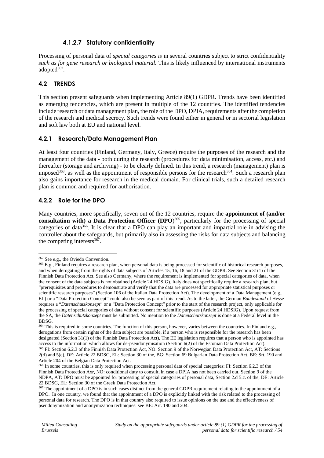#### **4.1.2.7 Statutory confidentiality**

Processing of personal data of *special categories is* in several countries subject to strict confidentiality *such as for gene research or biological material.* This is likely influenced by international instruments adopted<sup>362</sup>.

#### **4.2 TRENDS**

This section present safeguards when implementing Article 89(1) GDPR. Trends have been identified as emerging tendencies, which are present in multiple of the 12 countries. The identified tendencies include research or data management plan, the role of the DPO, DPIA, requirements after the completion of the research and medical secrecy. Such trends were found either in general or in sectorial legislation and soft law both at EU and national level.

#### **4.2.1 Research/Data Management Plan**

At least four countries (Finland, Germany, Italy, Greece) require the purposes of the research and the management of the data - both during the research (procedures for data minimisation, access, etc.) and thereafter (storage and archiving) - to be clearly defined. In this trend, a research (management) plan is imposed<sup>363</sup>, as well as the appointment of responsible persons for the research<sup>364</sup>. Such a research plan also gains importance for research in the medical domain. For clinical trials, such a detailed research plan is common and required for authorisation.

### **4.2.2 Role for the DPO**

Many countries, more specifically, seven out of the 12 countries, require the **appointment of (and/or consultation with) a Data Protection Officer (DPO**) <sup>365</sup>, particularly for the processing of special categories of data<sup>366</sup>. It is clear that a DPO can play an important and impartial role in advising the controller about the safeguards, but primarily also in assessing the risks for data subjects and balancing the competing interests<sup>367</sup>.

<sup>362</sup> See e.g., the Oviedo Convention.

<sup>&</sup>lt;sup>363</sup> E.g., Finland requires a research plan, when personal data is being processed for scientific of historical research purposes, and when derogating from the rights of data subjects of Articles 15, 16, 18 and 21 of the GDPR. See Section 31(1) of the Finnish Data Protection Act. See also Germany, where the requirement is implemented for special categories of data, when the consent of the data subjects is not obtained (Article 24 HDSIG). Italy does not specifically require a research plan, but "prerequisites and procedures to demonstrate and verify that the data are processed for appropriate statistical purposes or scientific research purposes" (Section 106 of the Italian Data Protection Act). The development of a Data Management (e.g., EL) or a "Data Protection Concept" could also be seen as part of this trend. As to the latter, the German *Bundesland* of Hesse requires a "*Datenschutzkonzept*" or a "Data Protection Concept" prior to the start of the research project, only applicable for the processing of special categories of data without consent for scientific purposes (Article 24 HDSIG). Upon request from the SA, the *Datenschutzkonzept* must be submitted. No mention to the *Datenschutzkonzept* is done at a Federal level in the BDSG.

<sup>&</sup>lt;sup>364</sup> This is required in some countries. The function of this person, however, varies between the countries. In Finland e.g., derogations from certain rights of the data subject are possible, if a person who is responsible for the research has been designated (Section 31(1) of the Finnish Data Protection Act), The EE legislation requires that a person who is appointed has access to the information which allows for de-pseudonymisation (Section 6(2) of the Estonian Data Protection Act). <sup>365</sup> FI: Section 6.2.3 of the Finnish Data Protection Act, NO: Section 9 of the Norwegian Data Protection Act, AT: Sections 2(d) and 5(c), DE: Article 22 BDSG, EL: Section 30 of the, BG: Section 69 Bulgarian Data Protection Act, BE: Srt. 190 and Article 204 of the Belgian Data Protection Act.

<sup>&</sup>lt;sup>366</sup> In some countries, this is only required when processing personal data of special categories: FI: Section 6.2.3 of the Finnish Data Protection Axr, NO: conditional duty to consult, in case a DPIA has not been carried out, Section 9 of the NDPA, AT: DPO must be appointed for processing of special categories of personal data, Section 2.d 5.c. of the, DE: Article 22 BDSG, EL: Section 30 of the Greek Data Protection Act.

<sup>&</sup>lt;sup>367</sup> The appointment of a DPO is in such cases distinct from the general GDPR requirement relating to the appointment of a DPO. In one country, we found that the appointment of a DPO is explicitly linked with the risk related to the processing of personal data for research. The DPO is in that country also required to issue opinions on the use and the effectiveness of pseudonymization and anonymization techniques: see BE: Art. 190 and 204.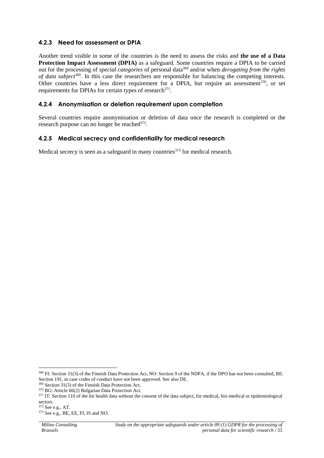#### **4.2.3 Need for assessment or DPIA**

Another trend visible in some of the countries is the need to assess the risks and **the use of a Data Protection Impact Assessment (DPIA)** as a safeguard. Some countries require a DPIA to be carried out for the processing of *special categories* of personal data<sup>368</sup> and/or when *derogating from the rights* of data subject<sup>369</sup>. In this case the researchers are responsible for balancing the competing interests. Other countries have a less direct requirement for a DPIA, but require an assessment<sup>370</sup>, or set requirements for DPIAs for certain types of research<sup>371</sup>.

#### **4.2.4 Anonymisation or deletion requirement upon completion**

Several countries require anonymisation or deletion of data once the research is completed or the research purpose can no longer be reached<sup>372</sup>.

#### **4.2.5 Medical secrecy and confidentiality for medical research**

Medical secrecy is seen as a safeguard in many countries<sup>373</sup> for medical research.

<sup>368</sup> FI: Section 31(3) of the Finnish Data Protection Act, NO: Section 9 of the NDPA, if the DPO has not been consulted, BE: Section 191, in case codes of conduct have not been approved. See also DE.

<sup>369</sup> Section 31(3) of the Finnish Data Protection Act.

<sup>370</sup> BG: Article 66(2) Bulgarian Data Protection Act.

 $371$  IT: Section 110 of the for health data without the consent of the data subject, for medical, bio-medical or epidemiological sectors.

<sup>372</sup> See e.g., AT.

<sup>373</sup> See e.g., BE, EE, FI, IS and NO.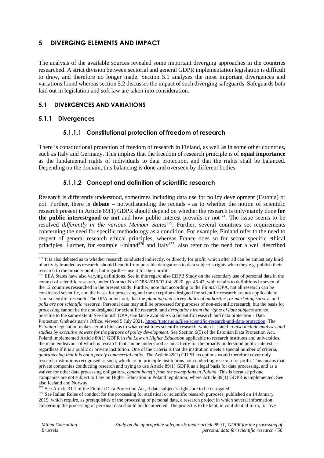## **5 DIVERGING ELEMENTS AND IMPACT**

The analysis of the available sources revealed some important diverging approaches in the countries researched. A strict division between sectorial and general GDPR implementation legislation is difficult to draw, and therefore no longer made. Section 5.1 analyses the most important divergences and variations found whereas section 5.2 discusses the impact of such diverging safeguards. Safeguards both laid out in legislation and soft law are taken into consideration.

#### **5.1 DIVERGENCES AND VARIATIONS**

#### **5.1.1 Divergences**

#### **5.1.1.1 Constitutional protection of freedom of research**

There is constitutional protection of freedom of research in Finland, as well as in some other countries, such as Italy and Germany. This implies that the freedom of research principle is of **equal importance** as the fundamental rights of individuals to data protection, and that the rights shall be balanced. Depending on the domain, this balancing is done and overseen by different bodies.

#### **5.1.1.2 Concept and definition of scientific research**

Research is differently understood, sometimes including data use for policy development (Estonia) or not. Further, there is **debate** – notwithstanding the recitals - as to whether the notion of scientific research present in Article 89(1) GDPR should depend on whether the research is only/mainly done **for the public interest/good or not** and how public interest prevails or not<sup>374</sup>. The issue seems to be resolved *differently in the various Member States*<sup>375</sup> . Further, several countries set requirements concerning the need for specific methodology as a condition. For example, Finland refer to the need to respect of general research ethical principles, whereas France does so for sector specific ethical principles. Further, for example Finland<sup>376</sup> and Italy<sup>377</sup>, also refer to the need for a well described

<sup>376</sup> See Article 31.1 of the Finnish Data Protection Act, if data subject's rights are to be derogated.

<sup>377</sup> See Italian Rules of conduct for the processing for statistical or scientific research purposes, published on 14 January 2019, which require, as prerequisites of the processing of personal data, a research project in which several information concerning the processing of personal data should be documented. The project is to be kept, in confidential form, for five

<sup>&</sup>lt;sup>374</sup> It is also debated as to whether research conducted indirectly, or directly for profit, which after all can be almost any kind of activity branded as research, should benefit from possible derogations to data subject's rights when they e.g. publish their research to the broader public, but regardless use it for their profit.

<sup>&</sup>lt;sup>375</sup> EEA States have also varying definitions. See in this regard also EDPB Study on the secondary use of personal data in the context of scientific research, under Contract No EDPS/2019/02-04, 2020, pp. 45-47, with details to definitions in seven of the 12 countries researched in the present study. Further, note that according to the *Finnish* DPA, not all research can be considered scientific, and the bases for processing and the exceptions designed for scientific research are not applicable to 'non-scientific' research. The DPA points out, that the *planning and survey duties of authorities, or marketing surveys and polls are not scientific research*. Personal data may still be processed for purposes of non-scientific research, but the basis for processing cannot be the one designed for scientific research, and *derogations from the rights of data subjects* are not possible to the same extent. See Finnish DPA, Guidance available via Scientific research and data protection - Data Protection Ombudsman's Office, viewed 5 July 2021, https://tietosuoja.fi/en/scientific-research-and-data-protection. The *Estonian* legislation makes certain hints as to what constitutes scientific research, which is stated to *also include analyses and studies by executive powers for the purpose of policy development*. See Section 6(5) of the Estonian Data Protection Act. Poland implemented Article 89(1) GDPR in *the Law on Higher Education* applicable to research institutes and universities, the main endeavour of which is research that can be understood as an activity for the broadly understood public interest regardless if it is a public or private institution. One of the criteria is that the institution meets a special number of criteria, *guaranteeing that it is not a purely commercial entity*. The Article 89(1) GDPR exceptions would therefore cover only research institutions recognised as such, which are in principle institutions not conducting research for profit. This means that private companies conducting research and trying to use Article 89(1) GDPR as a legal basis for data processing, and as a waiver for other data processing obligations, *cannot benefit from the exemptions in Poland*. This is because private companies are not subject to Law on Higher Education in Poland regulation, where Article 89(1) GDPR is implemented. See also Iceland and Norway.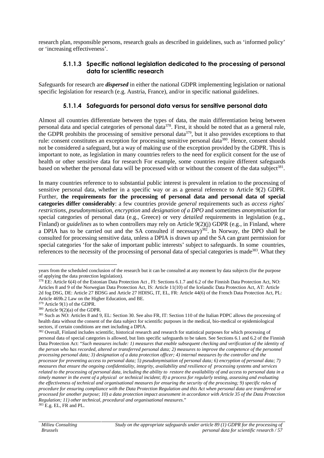research plan, responsible persons, research goals as described in guidelines, such as 'informed policy' or 'increasing effectiveness'.

#### **5.1.1.3 Specific national legislation dedicated to the processing of personal data for scientific research**

Safeguards for research are *dispersed* in either the national GDPR implementing legislation or national specific legislation for research (e.g. Austria, France), and/or in specific national guidelines.

### **5.1.1.4 Safeguards for personal data versus for sensitive personal data**

Almost all countries differentiate between the types of data, the main differentiation being between personal data and special categories of personal data<sup>378</sup>. First, it should be noted that as a general rule, the GDPR prohibits the processing of sensitive personal data<sup>379</sup>, but it also provides exceptions to that rule: consent constitutes an exception for processing sensitive personal data<sup>380</sup>. Hence, consent should not be considered a safeguard, but a way of making use of the exception provided by the GDPR. This is important to note, as legislation in many countries refers to the need for explicit consent for the use of health or other sensitive data for research For example, some countries require different safeguards based on whether the personal data will be processed with or without the consent of the data subject<sup>381</sup>.

In many countries reference to to substantial public interest is prevalent in relation to the processing of sensitive personal data, whether in a specific way or as a general reference to Article 9(2) GDPR. Further, **the requirements for the processing of personal data and personal data of special categories differ considerably**: a few countries provide *general* requirements such as *access rights' restrictions*, *pseudonymisation, encryption* and *designation of a DPO* and sometimes *anonymisation* for special categories of personal data (e.g., Greece) or very *detailed* requirements in legislation (e.g., Finland) or *guidelines* as to when controllers may rely on Article 9(2)(j) GDPR (e.g., in Finland, where a DPIA has to be carried out and the SA consulted if necessary)<sup>382</sup>. In Norway, the DPO shall be consulted for processing sensitive data, unless a DPIA is drawn up and the SA can grant permission for special categories 'for the sake of important public interests' subject to safeguards. In some countries, references to the necessity of the processing of personal data of special categories is made<sup>383</sup>. What they

years from the scheduled conclusion of the research but it can be consulted at any moment by data subjects (for the purpose of applying the data protection legislation).

<sup>378</sup> EE: Article 6(4) of the Estonian Data Protection Act , FI: Sections 6.1.7 and 6.2 of the Finnish Data Protection Act, NO: Articles 8 and 9 of the Norwegian Data Protection Act, IS: Article 11(10) of the Icelandic Data Protection Act, AT: Article 2d fog DSG, DE: Article 27 BDSG and Article 27 HDISG, IT, EL, FR: Article 44(6) of the French Data Protection Act, PL: Article 469b.2 Law on the Higher Education, and BE.

<sup>379</sup> Article 9(1) of the GDPR.

<sup>380</sup> Article 9(2)(a) of the GDPR.

<sup>&</sup>lt;sup>381</sup> Such as NO: Articles 8 and 9, EL: Section 30. See also FR, IT: Section 110 of the Italian PDPC allows the processing of health data without the consent of the data subject for scientific purposes in the medical, bio-medical or epidemiological sectors, if certain conditions are met including a DPIA.

<sup>&</sup>lt;sup>382</sup> Overall, Finland includes scientific, historical research and research for statistical purposes for which processing of personal data of special categories is allowed, but lists specific safeguards to be taken. See Sections 6.1 and 6.2 of the Finnish Data Protection Act: "*Such measures include: 1) measures that enable subsequent checking and verification of the identity of the person who has recorded, altered or transferred personal data; 2) measures to improve the competence of the personnel processing personal data; 3) designation of a data protection officer; 4) internal measures by the controller and the processor for preventing access to personal data; 5) pseudonymisation of personal data; 6) encryption of personal data; 7) measures that ensure the ongoing confidentiality, integrity, availability and resilience of processing systems and services related to the processing of personal data, including the ability to restore the availability of and access to personal data in a timely manner in the event of a physical or technical incident; 8) a process for regularly testing, assessing and evaluating the effectiveness of technical and organisational measures for ensuring the security of the processing; 9) specific rules of procedure for ensuring compliance with the Data Protection Regulation and this Act when personal data are transferred or processed for another purpose; 10) a data protection impact assessment in accordance with Article 35 of the Data Protection Regulation; 11) other technical, procedural and organisational measures*."  $383$  E.g. EL, FR and PL.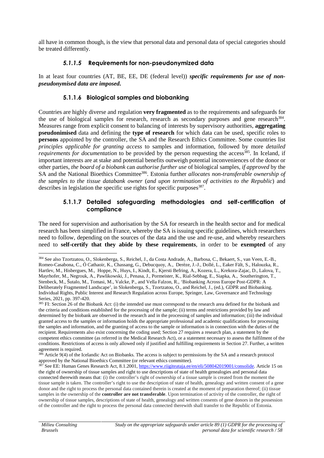all have in common though, is the view that personal data and personal data of special categories should be treated differently.

#### *5.1.1.5* **Requirements for non-pseudonymized data**

In at least four countries (AT, BE, EE, DE (federal level)) *specific requirements for use of non pseudonymised data are imposed***.**

#### **5.1.1.6 Biological samples and biobanking**

Countries are highly diverse and regulation **very fragmented** as to the requirements and safeguards for the use of biological samples for research, research as secondary purposes and gene research<sup>384</sup>. Measures range from explicit consent to balancing of interests by supervisory authorities, **aggregating pseudonimised** data and defining the **type of research** for which data can be used, specific roles to **persons** appointed by the controller, the SA and the Research Ethics Committee. Some countries list *principles applicable for granting access* to samples and information, followed by more *detailed requirements for documentation* to be provided by the person requesting the access<sup>385</sup>. In Iceland, if important interests are at stake and potential benefits outweigh potential inconveniences of the donor or other parties, *the board of a biobank* can *authorise further use* of biological samples, *if approved* by the SA and the National Bioethics Committee<sup>386</sup>. Estonia further *allocates non-transferable ownership of the samples to the tissue databank owner* (*and upon termination of activities to the Republic*) and describes in legislation the specific use rights for specific purposes<sup>387</sup>.

#### **5.1.1.7 Detailed safeguarding methodologies and self-certification of compliance**

The need for supervision and authorisation by the SA for research in the health sector and for medical research has been simplified in France, whereby the SA is issuing specific guidelines, which researchers need to follow, depending on the sources of the data and the use and re-use, and whereby researchers need to **self-certify that they abide by these requirements**, in order to be **exempted** of any

<sup>384</sup> See also Tzortzatou, O., Slokenberga, S., Reichel, J., da Costa Andrade, A., Barbosa, C., Bekaert, S., van Veen, E.-B., Romeo-Casabona, C., Ó Cathaoir, K., Chassang, G., Debucquoy, A., Derèze, J.-J., Dollé, L., Eaker Fält, S., Halouzka, R., Hartlev, M., Hisbergues, M., Hoppe, N., Huys, I., Kindt, E., Kjersti Befring, A., Kozera, L., Krekora-Zajac, D., Lalova, T., Mayrhofer, M., Negrouk, A., Pawlikowski, J., Penasa, J., Pormeister, K., Rial-Sebbag, E., Siapka, A., Southerington, T., Stenbeck, M., Šutalo, M., Tomasi, M., Valcke, P., and Vella Falzon, R., 'Biobanking Across Europe Post-GDPR: A Deliberately Fragmented Landscape', in Slokenberga, S., Tzortzatou, O., and Reichel, J., (ed.), GDPR and Biobanking. Individual Rights, Public Interest and Research Regulation across Europe, Springer, Law, Governance and Technology Series, 2021, pp. 397-420.

<sup>&</sup>lt;sup>385</sup> FI: Section 26 of the Biobank Act: (i) the intended use must correspond to the research area defined for the biobank and the criteria and conditions established for the processing of the sample; (ii) terms and restrictions provided by law and determined by the biobank are observed in the research and in the processing of samples and information; (iii) the individual granted access to the samples or information holds the appropriate professional and academic qualifications for processing the samples and information, and the granting of access to the sample or information is in connection with the duties of the recipient. Requirements also exist concerning the coding used; Section 27 requires a research plan, a statement by the competent ethics committee (as referred in the Medical Research Act), or a statement necessary to assess the fulfilment of the conditions. Restrictions of access is only allowed only if justified and fulfilling requirements in Section 27. Further, a written agreement is required.

<sup>&</sup>lt;sup>386</sup> Article 9(4) of the Icelandic Act on Biobanks. The access is subject to permissions by the SA and a research protocol approved by the National Bioethics Committee (or relevant ethics committee).

<sup>&</sup>lt;sup>387</sup> See EE: Human Genes Research Act, 8.1.2001, https://www.riigiteataja.ee/en/eli/508042019001/consolide. Article 15 on the right of ownership of tissue samples and right to use descriptions of state of health genealogies and personal data connected therewith means that: (i) the controller's right of ownership of a tissue sample is created from the moment the tissue sample is taken. The controller's right to use the description of state of health, genealogy and written consent of a gene donor and the right to process the personal data contained therein is created at the moment of preparation thereof; (ii) tissue samples in the ownership of the **controller are not transferable**. Upon termination of activity of the controller, the right of ownership of tissue samples, descriptions of state of health, genealogy and written consents of gene donors in the possession of the controller and the right to process the personal data connected therewith shall transfer to the Republic of Estonia.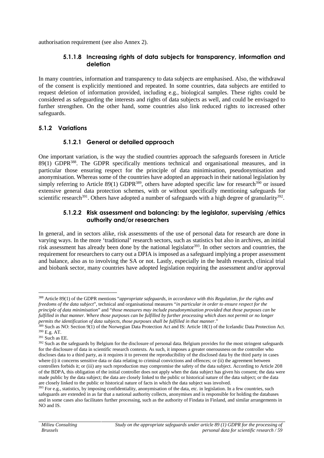authorisation requirement (see also Annex 2).

#### **5.1.1.8 Increasing rights of data subjects for transparency, information and deletion**

In many countries, information and transparency to data subjects are emphasised. Also, the withdrawal of the consent is explicitly mentioned and repeated. In some countries, data subjects are entitled to request deletion of information provided, including e.g., biological samples. These rights could be considered as safeguarding the interests and rights of data subjects as well, and could be envisaged to further strengthen. On the other hand, some countries also link reduced rights to increased other safeguards.

### **5.1.2 Variations**

### **5.1.2.1 General or detailed approach**

One important variation, is the way the studied countries approach the safeguards foreseen in Article 89(1) GDPR<sup>388</sup>. The GDPR specifically mentions technical and organisational measures, and in particular those ensuring respect for the principle of data minimisation, pseudonymisation and anonymisation. Whereas some of the countries have adopted an approach in their national legislation by simply referring to Article 89(1) GDPR<sup>389</sup>, others have adopted specific law for research<sup>390</sup> or issued extensive general data protection schemes, with or without specifically mentioning safeguards for scientific research<sup>391</sup>. Others have adopted a number of safeguards with a high degree of granularity<sup>392</sup>.

#### **5.1.2.2 Risk assessment and balancing: by the legislator, supervising /ethics authority and/or researchers**

In general, and in sectors alike, risk assessments of the use of personal data for research are done in varying ways. In the more 'traditional' research sectors, such as statistics but also in archives, an initial risk assessment has already been done by the national legislator<sup>393</sup>. In other sectors and countries, the requirement for researchers to carry out a DPIA is imposed as a safeguard implying a proper assessment and balance, also as to involving the SA or not. Lastly, especially in the health research, clinical trial and biobank sector, many countries have adopted legislation requiring the assessment and/or approval

<sup>388</sup> Article 89(1) of the GDPR mentions "*appropriate safeguards, in accordance with this Regulation, for the rights and freedoms of the data subject*", technical and organisational measures "*in particular in order to ensure respect for the principle of data minimisation*" and "*those measures may include pseudonymisation provided that those purposes can be fulfilled in that manner. Where those purposes can be fulfilled by further processing which does not permit or no longer permits the identification of data subjects, those purposes shall be fulfilled in that manner*."

<sup>389</sup> Such as NO: Section 9(1) of the Norwegian Data Protection Act and IS: Article 18(1) of the Icelandic Data Protection Act. <sup>390</sup> E.g. AT.

 $391$  Such as FF.

<sup>&</sup>lt;sup>392</sup> Such as the safeguards by Belgium for the disclosure of personal data. Belgium provides for the most stringent safeguards for the disclosure of data in scientific research contexts. As such, it imposes a greater onerousness on the controller who discloses data to a third party, as it requires it to prevent the reproducibility of the disclosed data by the third party in cases where (i) it concerns sensitive data or data relating to criminal convictions and offences; or (ii) the agreement between controllers forbids it; or (iii) any such reproduction may compromise the safety of the data subject. According to Article 208 of the BDPA, this obligation of the initial controller does not apply when the data subject has given his consent; the data were made public by the data subject; the data are closely linked to the public or historical nature of the data subject; or the data are closely linked to the public or historical nature of facts in which the data subject was involved.

<sup>&</sup>lt;sup>393</sup> For e.g., statistics, by imposing confidentiality, anonymisation of the data, etc. in legislation. In a few countries, such safeguards are extended in as far that a national authority collects, anonymises and is responsible for holding the databases and in some cases also facilitates further processing, such as the authority of Findata in Finland, and similar arrangements in NO and IS.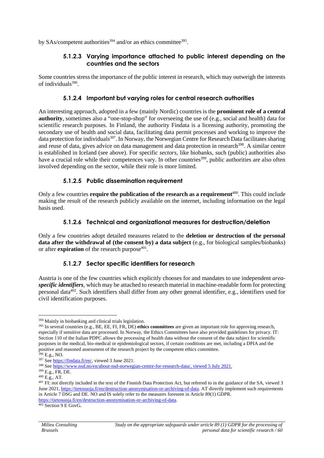by SAs/competent authorities<sup>394</sup> and/or an ethics committee<sup>395</sup>.

#### **5.1.2.3 Varying importance attached to public interest depending on the countries and the sectors**

Some countries stress the importance of the public interest in research, which may outweigh the interests of individuals<sup>396</sup>.

#### **5.1.2.4 Important but varying roles for central research authorities**

An interesting approach, adopted in a few (mainly Nordic) countries is the **prominent role of a central authority**, sometimes also a "one-stop-shop" for overseeing the use of (e.g., social and health) data for scientific research purposes. In Finland, the authority Findata is a licensing authority, promoting the secondary use of health and social data, facilitating data permit processes and working to improve the data protection for individuals<sup>397</sup>. In Norway, the Norwegian Centre for Research Data facilitates sharing and reuse of data, gives advice on data management and data protection in research<sup>398</sup>. A similar centre is established in Iceland (see above). For specific *sectors*, like biobanks, such (public) authorities also have a crucial role while their competences vary. In other countries<sup>399</sup>, public authorities are also often involved depending on the sector, while their role is more limited.

#### **5.1.2.5 Public dissemination requirement**

Only a few countries **require the publication of the research as a requirement**<sup>400</sup> . This could include making the result of the research publicly available on the internet, including information on the legal basis used.

#### **5.1.2.6 Technical and organizational measures for destruction/deletion**

Only a few countries adopt detailed measures related to the **deletion or destruction of the personal data after the withdrawal of (the consent by) a data subject** (e.g., for biological samples/biobanks) or after **expiration** of the research purpose<sup>401</sup>.

### **5.1.2.7 Sector specific identifiers for research**

Austria is one of the few countries which explicitly chooses for and mandates to use independent *area specific identifiers*, which may be attached to research material in machine-readable form for protecting personal data<sup>402</sup>. Such identifiers shall differ from any other general identifier, e.g., identifiers used for civil identification purposes.

<sup>394</sup> Mainly in biobanking and clinical trials legislation.

<sup>395</sup> In several countries (e.g., BE, EE, FI, FR, DE) **ethics committees** are given an important role for approving research, especially if sensitive data are processed. In Norway, the Ethics Committees have also provided guidelines for privacy. IT: Section 110 of the Italian PDPC allows the processing of health data without the consent of the data subject for scientific purposes in the medical, bio-medical or epidemiological sectors, if certain conditions are met, including a DPIA and the positive and reasoned assessment of the research project by the competent ethics committee.

 $396$  E.g., NO.

<sup>397</sup> See https://findata.fi/en/, viewed 3 June 2021.

<sup>398</sup> See https://www.nsd.no/en/about-nsd-norwegian-centre-for-research-data/, viewed 5 July 2021.

<sup>399</sup> E.g., FR, DE.

<sup>400</sup> E.g., AT.

<sup>&</sup>lt;sup>401</sup> FI: not directly included in the text of the Finnish Data Protection Act, but referred to in the guidance of the SA, viewed 3 June 2021, https://tietosuoja.fi/en/destruction-anonymisation-or-archiving-of-data. AT directly implement such requirements in Article 7 DSG and DE. NO and IS solely refer to the measures foreseen in Article 89(1) GDPR. https://tietosuoja.fi/en/destruction-anonymisation-or-archiving-of-data.

<sup>402</sup> Section 9 E GovG.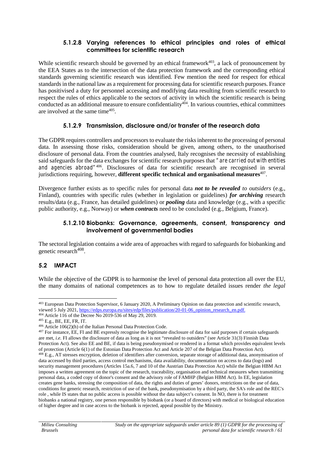#### **5.1.2.8 Varying references to ethical principles and roles of ethical committees for scientific research**

While scientific research should be governed by an ethical framework $403$ , a lack of pronouncement by the EEA States as to the intersection of the data protection framework and the corresponding ethical standards governing scientific research was identified. Few mention the need for respect for ethical standardsin the national law as a requirement for processing data for scientific research purposes. France has positivised a duty for personnel accessing and modifying data resulting from scientific research to respect the rules of ethics applicable to the sectors of activity in which the scientific research is being conducted as an additional measure to ensure confidentiality<sup>404</sup>. In various countries, ethical committees are involved at the same time<sup>405</sup>.

### **5.1.2.9 Transmission, disclosure and/or transfer of the research data**

The GDPR requires controllers and processors to evaluate the risks inherent to the processing of personal data. In assessing those risks, consideration should be given, among others, to the unauthorised disclosure of personal data. From the countries analysed, Italy recognises the necessity of establishing said safeguards for the data exchanges for scientific research purposes that *"are carried out with entities and agencies abroad"*<sup>406</sup> . Disclosures of data for scientific research are recognised in several jurisdictions requiring, however, **different specific technical and organisational measures**<sup>407</sup> .

Divergence further exists as to specific rules for personal data *not to be revealed to outsiders* (e.g., Finland), countries with specific rules (whether in legislation or guidelines) *for archiving* research results/data (e.g., France, has detailed guidelines) or *pooling* data and knowledge (e.g., with a specific public authority, e.g., Norway) or *when contracts* need to be concluded (e.g., Belgium, France).

#### **5.1.2.10 Biobanks: Governance, agreements, consent, transparency and involvement of governmental bodies**

The sectoral legislation contains a wide area of approaches with regard to safeguards for biobanking and genetic research $408$ . .

# **5.2 IMPACT**

While the objective of the GDPR is to harmonise the level of personal data protection all over the EU, the many domains of national competences as to how to regulate detailed issues render *the legal*

<sup>403</sup> European Data Protection Supervisor, 6 January 2020, A Preliminary Opinion on data protection and scientific research, viewed 5 July 2021, https://edps.europa.eu/sites/edp/files/publication/20-01-06\_opinion\_research\_en.pdf.

<sup>404</sup> Article 116 of the Decree No 2019-536 of May 29, 2019.

<sup>405</sup> E.g., BE, EE, FR, IT.

<sup>406</sup> Article 106(2)(h) of the Italian Personal Data Protection Code.

<sup>407</sup> For instance, EE, FI and BE expressly recognise the legitimate disclosure of data for said purposes if certain safeguards are met, *i.e.* FI allows the disclosure of data as long as it is not "revealed to outsiders" (see Article 31(3) Finnish Data Protection Act). See also EE and BE, if data is being pseudonymised or rendered in a format which provides equivalent levels of protection (Article 6(1) of the Estonian Data Protection Act and Article 207 of the Belgian Data Protection Act). <sup>408</sup> E.g., AT stresses encryption, deletion of identifiers after conversion, separate storage of additional data, anonymisation of data accessed by third parties, access control mechanisms, data availability, documentation on access to data (logs) and security management procedures (Articles 15a.6, 7 and 10 of the Austrian Data Protection Act) while the Belgian HBM Act imposes a written agreement on the topic of the research, traceability, organisation and technical measures when transmitting personal data, a coded copy of donor's consent and the advisory role of FAMHP (Belgian HBM Act). In EE, legislation creates gene banks, stressing the composition of data, the rights and duties of genes' donors, restrictions on the use of data, conditions for generic research, restriction of use of the bank, pseudonymisation by a third party, the SA's role and the REC's role , while IS states that no public access is possible without the data subject's consent. In NO, there is for treatment biobanks a national registry, one person responsible by biobank (or a board of directors) with medical or biological education of higher degree and in case access to the biobank is rejected, appeal possible by the Ministry.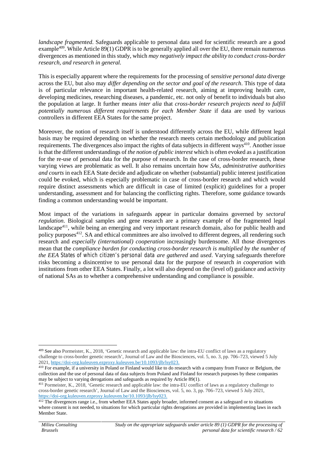*landscape fragmented*. Safeguards applicable to personal data used for scientific research are a good example<sup>409</sup>. While Article 89(1) GDPR is to be generally applied all over the EU, there remain numerous divergences as mentioned in this study, which *may negatively impact the ability to conduct cross-border research, and research in general.*

This is especially apparent where the requirements for the processing of *sensitive personal data* diverge across the EU, but also may *differ depending on the sector and goal of the research*. This type of data is of particular relevance in important health-related research, aiming at improving health care, developing medicines, researching diseases, a pandemic, etc. not only of benefit to individuals but also the population at large. It further means *inter alia* that *cross-border research projects need to fulfill potentially numerous different requirements for each Member State* if data are used by various controllers in different EEA States for the same project.

Moreover, the notion of research itself is understood differently across the EU, while different legal basis may be required depending on whether the research meets certain methodology and publication requirements. The divergences also impact the rights of data subjects in different ways<sup>410</sup>. Another issue is that the different understandings of *the notion of public interest* which is often evoked as a justification for the re-use of personal data for the purpose of research. In the case of cross-border research, these varying views are problematic as well. It also remains uncertain how *SAs, administrative authorities and courts* in each EEA State decide and adjudicate on whether (substantial) public interest justification could be evoked, which is especially problematic in case of cross-border research and which would require distinct assessments which are difficult in case of limited (explicit) guidelines for a proper understanding, assessment and for balancing the conflicting rights. Therefore, some guidance towards finding a common understanding would be important.

Most impact of the variations in safeguards appear in particular domains governed by *sectoral regulation*. Biological samples and gene research are a primary example of the fragmented legal landscape<sup>411</sup>, while being an emerging and very important research domain, also for public health and policy purposes<sup>412</sup>. SA and ethical committees are also involved to different degrees, all rendering such research and *especially (international) cooperation* increasingly burdensome. All those divergences mean that the *compliance burden for conducting cross-border research is multiplied by the number of the EEA States of which citizen's personal data are gathered* and *used*. Varying safeguards therefore risks becoming a disincentive to use personal data for the purpose of research *in cooperation* with institutions from other EEA States. Finally, a lot will also depend on the (level of) guidance and activity of national SAs as to whether a comprehensive understanding and compliance is possible.

<sup>409</sup> See also Pormeister, K., 2018, 'Genetic research and applicable law: the intra-EU conflict of laws as a regulatory challenge to cross-border genetic research', Journal of Law and the Biosciences, vol. 5, no. 3, pp. 706–723, viewed 5 July 2021, https://doi-org.kuleuven.ezproxy.kuleuven.be/10.1093/jlb/lsy023.

<sup>&</sup>lt;sup>410</sup> For example, if a university in Poland or Finland would like to do research with a company from France or Belgium, the collection and the use of personal data of data subjects from Poland and Finland for research purposes by these companies may be subject to varying derogations and safeguards as required by Article 89(1).

<sup>411</sup> Pormeister, K., 2018, 'Genetic research and applicable law: the intra-EU conflict of laws as a regulatory challenge to cross-border genetic research', Journal of Law andthe Biosciences, vol. 5, no. 3, pp. 706–723, viewed 5 July 2021, https://doi-org.kuleuven.ezproxy.kuleuven.be/10.1093/jlb/lsy023.

 $\frac{412}{12}$  The divergences range i.e., from whether EEA States apply broader, informed consent as a safeguard or to situations where consent is not needed, to situations for which particular rights derogations are provided in implementing laws in each Member State.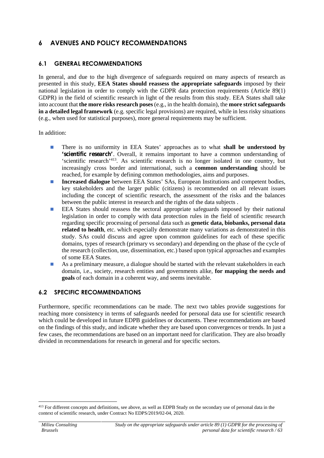# **6 AVENUES AND POLICY RECOMMENDATIONS**

#### **6.1 GENERAL RECOMMENDATIONS**

In general, and due to the high divergence of safeguards required on many aspects of research as presented in this study, **EEA States should reassess the appropriate safeguards** imposed by their national legislation in order to comply with the GDPR data protection requirements (Article 89(1) GDPR) in the field of scientific research in light of the results from this study. EEA States shall take into account that **the more risks research poses** (e.g., in the health domain), the **more strict safeguards in a detailed legal framework** (e.g. specific legal provisions) are required, while in less risky situations (e.g., when used for statistical purposes), more general requirements may be sufficient.

In addition:

There is no uniformity in EEA States' approaches as to what **shall be understood by 'scientific research'**. Overall, it remains important to have a common understanding of 'scientific research'<sup>413</sup> . As scientific research is no longer isolated in one country, but increasingly cross border and international, such a **common understanding** should be reached, for example by defining common methodologies, aims and purposes.

**Increased dialogue** between EEA States' SAs, European Institutions and competent bodies, key stakeholders and the larger public (citizens) is recommended on all relevant issues including the concept of scientific research, the assessment of the risks and the balances between the public interest in research and the rights of the data subjects .

EEA States should reassess the sectoral appropriate safeguards imposed by their national legislation in order to comply with data protection rules in the field of scientific research regarding specific processing of personal data such as **genetic data, biobanks, personal data related to health**, etc. which especially demonstrate many variations as demonstrated in this study. SAs could discuss and agree upon common guidelines for each of these specific domains, types of research (primary vs secondary) and depending on the phase of the cycle of the research (collection, use, dissemination, etc.) based upon typical approaches and examples of some EEA States.

As a preliminary measure, a dialogue should be started with the relevant stakeholders in each domain, i.e., society, research entities and governments alike, **for mapping the needs and goals** of each domain in a coherent way, and seems inevitable.

### **6.2 SPECIFIC RECOMMENDATIONS**

Furthermore, specific recommendations can be made. The next two tables provide suggestions for reaching more consistency in terms of safeguards needed for personal data use for scientific research which could be developed in future EDPB guidelines or documents. These recommendations are based on the findings of this study, and indicate whether they are based upon convergences or trends. In just a few cases, the recommendations are based on an important need for clarification. They are also broadly divided in recommendations for research in general and for specific sectors.

<sup>&</sup>lt;sup>413</sup> For different concepts and definitions, see above, as well as EDPB Study on the secondary use of personal data in the context of scientific research, under Contract No EDPS/2019/02-04, 2020.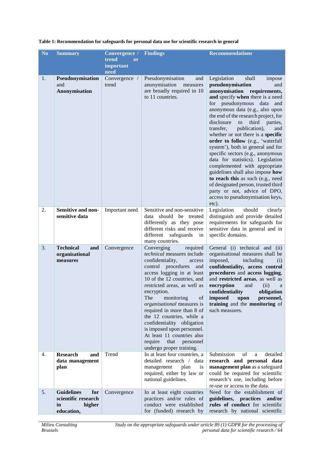| N <sub>o</sub> | <b>Summary</b>                                                                | Convergence /<br>trend<br><b>or</b><br>important | <b>Findings</b>                                                                                                                                                                                                                                                                                                                                                                                                                                                                                    | <b>Recommendations</b>                                                                                                                                                                                                                                                                                                                                                                                                                                                                                                                                                                                                                                                                                                                     |
|----------------|-------------------------------------------------------------------------------|--------------------------------------------------|----------------------------------------------------------------------------------------------------------------------------------------------------------------------------------------------------------------------------------------------------------------------------------------------------------------------------------------------------------------------------------------------------------------------------------------------------------------------------------------------------|--------------------------------------------------------------------------------------------------------------------------------------------------------------------------------------------------------------------------------------------------------------------------------------------------------------------------------------------------------------------------------------------------------------------------------------------------------------------------------------------------------------------------------------------------------------------------------------------------------------------------------------------------------------------------------------------------------------------------------------------|
| 1.             | Pseudonymisation<br>and<br>Anonymisation                                      | need<br>Convergence /<br>trend                   | Pseudonymisation<br>and<br>anonymisation<br>measures<br>are broadly required in 10<br>to 11 countries.                                                                                                                                                                                                                                                                                                                                                                                             | Legislation<br>shall<br>impose<br>pseudonymisation<br>and<br>anonymisation requirements,<br>and specify when there is a need<br>for pseudonymous data and<br>anonymous data (e.g., also upon<br>the end of the research project, for<br>disclosure<br>third<br>parties,<br>to<br>transfer,<br>publication),<br>and<br>whether or not there is a specific<br>order to follow (e.g., 'waterfall<br>system'), both in general and for<br>specific sectors (e.g., anonymous<br>data for statistics). Legislation<br>complemented with appropriate<br>guidelines shall also impose how<br>to reach this as such (e.g., need<br>of designated person, trusted third<br>party or not, advice of DPO,<br>access to pseudonymisation keys,<br>etc). |
| 2.             | Sensitive and non-<br>sensitive data                                          | Important need                                   | Sensitive and non-sensitive<br>data should be treated<br>differently as they pose<br>different risks and receive<br>different<br>safeguards<br>in<br>many countries.                                                                                                                                                                                                                                                                                                                               | Legislation<br>should<br>clearly<br>distinguish and provide detailed<br>requirements for safeguards for<br>sensitive data in general and in<br>specific domains.                                                                                                                                                                                                                                                                                                                                                                                                                                                                                                                                                                           |
| 3.             | <b>Technical</b><br>and<br>organisational<br>measures                         | Convergence                                      | Converging<br>required<br>technical measures include<br>confidentiality,<br>access<br>control procedures<br>and<br>access logging in at least<br>10 of the 12 countries, and<br>restricted areas, as well as<br>encryption.<br>The<br>monitoring<br>of<br>organisational measures is<br>required in more than 8 of<br>the 12 countries, while a<br>confidentiality obligation<br>is imposed upon personnel.<br>At least 11 countries also<br>require<br>that personnel<br>undergo proper training. | General (i) technical and (ii)<br>organisational measures shall be<br>imposed,<br>including<br>(i)<br>confidentiality, access control<br>procedures and access logging,<br>and restricted areas, as well as<br>encryption<br>and<br>(ii)<br>a<br>confidentiality<br>obligation<br>imposed<br>upon<br>personnel,<br>training and the monitoring of<br>such measures.                                                                                                                                                                                                                                                                                                                                                                        |
| 4.             | <b>Research</b><br>and<br>data management<br>plan                             | Trend                                            | In at least four countries, a<br>detailed research / data<br>management<br>plan<br>is<br>required, either by law or<br>national guidelines.                                                                                                                                                                                                                                                                                                                                                        | Submission<br>of<br>detailed<br>$\rm{a}$<br>research and personal data<br>management plan as a safeguard<br>could be required for scientific<br>research's use, including before<br>re-use or access to the data.                                                                                                                                                                                                                                                                                                                                                                                                                                                                                                                          |
| 5.             | <b>Guidelines</b><br>for<br>scientific research<br>in<br>higher<br>education, | Convergence                                      | In at least eight countries<br>practices and/or rules of<br>conduct were established<br>for (funded) research by                                                                                                                                                                                                                                                                                                                                                                                   | Need for the establishment of<br>guidelines, practices and/or<br>rules of conduct for scientific<br>research by national scientific                                                                                                                                                                                                                                                                                                                                                                                                                                                                                                                                                                                                        |

#### **Table 1: Recommendation for safeguards for personal data use for scientific research in general**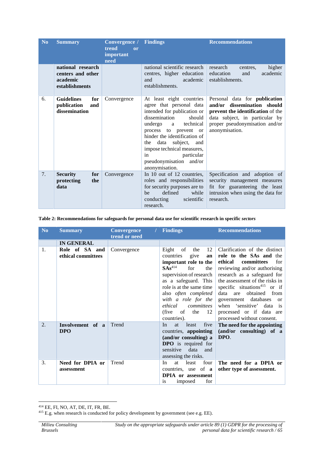| N <sub>o</sub> | <b>Summary</b>                                                       | Convergence /<br>trend<br>or<br>important<br>need | <b>Findings</b>                                                                                                                                                                                                                                                                                                           | <b>Recommendations</b>                                                                                                                                                                         |
|----------------|----------------------------------------------------------------------|---------------------------------------------------|---------------------------------------------------------------------------------------------------------------------------------------------------------------------------------------------------------------------------------------------------------------------------------------------------------------------------|------------------------------------------------------------------------------------------------------------------------------------------------------------------------------------------------|
|                | national research<br>centers and other<br>academic<br>establishments |                                                   | national scientific research<br>centres, higher education<br>and<br>academic<br>establishments.                                                                                                                                                                                                                           | research<br>higher<br>centres,<br>academic<br>education<br>and<br>establishments.                                                                                                              |
| 6.             | <b>Guidelines</b><br>for<br>publication<br>and<br>dissemination      | Convergence                                       | At least eight countries<br>agree that personal data<br>intended for publication or<br>dissemination<br>should<br>undergo a<br>technical<br>process to prevent or<br>hinder the identification of<br>the data subject, and<br>impose technical measures,<br>particular<br>in<br>pseudonymisation and/or<br>anonymisation. | Personal data for <b>publication</b><br>and/or dissemination should<br>prevent the identification of the<br>data subject, in particular by<br>proper pseudonymisation and/or<br>anonymisation. |
| 7.             | <b>Security</b><br>for<br>the<br>protecting<br>data                  | Convergence                                       | In 10 out of 12 countries,<br>roles and responsibilities<br>for security purposes are to<br>defined<br>while<br>be<br>conducting<br>scientific<br>research.                                                                                                                                                               | Specification and adoption of<br>security management measures<br>fit for guaranteeing the least<br>intrusion when using the data for<br>research.                                              |

#### **Table 2: Recommendations for safeguards for personal data use for scientific research in specific** *sectors*

| No. | <b>Summary</b>                       | <b>Convergence</b><br>trend or need | <b>Findings</b>                                                                                                                                                                                                                                                                                                                     | <b>Recommendations</b>                                                                                                                                                                                                                                                                                                                                                                     |
|-----|--------------------------------------|-------------------------------------|-------------------------------------------------------------------------------------------------------------------------------------------------------------------------------------------------------------------------------------------------------------------------------------------------------------------------------------|--------------------------------------------------------------------------------------------------------------------------------------------------------------------------------------------------------------------------------------------------------------------------------------------------------------------------------------------------------------------------------------------|
|     | <b>IN GENERAL</b>                    |                                     |                                                                                                                                                                                                                                                                                                                                     |                                                                                                                                                                                                                                                                                                                                                                                            |
| 1.  | Role of SA and<br>ethical committees | Convergence                         | of the<br>12<br>Eight<br>countries<br>give<br>an<br>important role to the<br>$\mathbf{S}\mathbf{A}\mathbf{s}^{414}$<br>for<br>the<br>supervision of research<br>as a safeguard. This<br>role is at the same time<br>also <i>often completed</i><br>with a role for the<br>ethical<br>committees<br>(five of the $12$<br>countries). | Clarification of the distinct<br>role to the SAs and the<br>ethical<br>committees<br>for<br>reviewing and/or authorising<br>research as a safeguard for<br>the assessment of the risks in<br>specific situations <sup>415</sup> or if<br>data are obtained from<br>government databases<br><b>or</b><br>when 'sensitive' data is<br>processed or if data are<br>processed without consent. |
| 2.  | Involvement of a<br><b>DPO</b>       | Trend                               | least<br>five<br>In<br><b>at</b><br>countries, appointing<br>(and/or consulting) a<br><b>DPO</b> is required for<br>sensitive data<br>and<br>assessing the risks.                                                                                                                                                                   | The need for the appointing<br>(and/or consulting) of a<br>DPO.                                                                                                                                                                                                                                                                                                                            |
| 3.  | Need for DPIA or<br>assessment       | Trend                               | four<br>at<br>least<br>In<br>countries, use of $a$<br><b>DPIA</b> or assessment<br>for<br>imposed<br><sup>is</sup>                                                                                                                                                                                                                  | The need for a DPIA or<br>other type of assessment.                                                                                                                                                                                                                                                                                                                                        |

<sup>414</sup> EE, FI, NO, AT, DE, IT, FR, BE.

<sup>&</sup>lt;sup>415</sup> E.g. when research is conducted for policy development by government (see e.g. EE).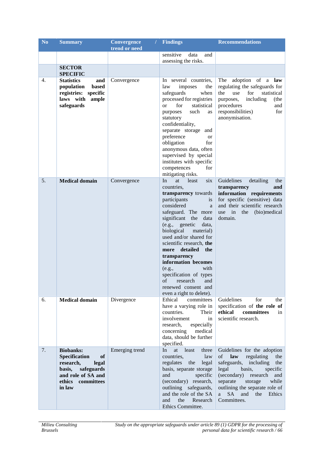| N <sub>o</sub> | <b>Summary</b>                                                                                                                                       | <b>Convergence</b> | <b>Findings</b>                                                                                                                                                                                                                                                                                                                                                                                                                                        | <b>Recommendations</b>                                                                                                                                                                                                                                                              |
|----------------|------------------------------------------------------------------------------------------------------------------------------------------------------|--------------------|--------------------------------------------------------------------------------------------------------------------------------------------------------------------------------------------------------------------------------------------------------------------------------------------------------------------------------------------------------------------------------------------------------------------------------------------------------|-------------------------------------------------------------------------------------------------------------------------------------------------------------------------------------------------------------------------------------------------------------------------------------|
|                |                                                                                                                                                      | trend or need      |                                                                                                                                                                                                                                                                                                                                                                                                                                                        |                                                                                                                                                                                                                                                                                     |
|                |                                                                                                                                                      |                    | sensitive<br>data<br>and<br>assessing the risks.                                                                                                                                                                                                                                                                                                                                                                                                       |                                                                                                                                                                                                                                                                                     |
|                | <b>SECTOR</b>                                                                                                                                        |                    |                                                                                                                                                                                                                                                                                                                                                                                                                                                        |                                                                                                                                                                                                                                                                                     |
|                | <b>SPECIFIC</b>                                                                                                                                      |                    |                                                                                                                                                                                                                                                                                                                                                                                                                                                        |                                                                                                                                                                                                                                                                                     |
| 4.             | <b>Statistics</b><br>and<br>population<br>based<br>registries: specific<br>laws with ample<br>safeguards                                             | Convergence        | In several countries,<br>law<br>imposes<br>the<br>safeguards<br>when<br>processed for registries<br>for<br>statistical<br>$\alpha$<br>such<br>purposes<br>as<br>statutory<br>confidentiality,<br>separate storage and<br>preference<br><b>or</b><br>obligation<br>for<br>anonymous data, often<br>supervised by special<br>institutes with specific<br>competences<br>for<br>mitigating risks.                                                         | adoption of a law<br>The<br>regulating the safeguards for<br>the<br>use<br>for statistical<br>including<br>purposes,<br>(the<br>procedures<br>and<br>responsibilities)<br>for<br>anonymisation.                                                                                     |
| 5.             | <b>Medical domain</b>                                                                                                                                | Convergence        | In<br>at<br>least<br>six<br>countries,<br>transparency towards<br>participants<br>is<br>considered<br>a<br>safeguard. The more<br>significant the<br>data<br>(e.g., genetic<br>data,<br>biological<br>material)<br>used and/or shared for<br>scientific research, the<br>more detailed<br>the<br>transparency<br>information becomes<br>(e.g.,<br>with<br>specification of types<br>of research and<br>renewed consent and<br>even a right to delete). | Guidelines<br>detailing<br>the<br>transparency<br>and<br>information requirements<br>for specific (sensitive) data<br>and their scientific research<br>use in<br>the (bio)medical<br>domain.                                                                                        |
| 6.             | <b>Medical domain</b>                                                                                                                                | Divergence         | Ethical<br>committees<br>have a varying role in<br>countries.<br>Their<br>involvement<br>in<br>research,<br>especially<br>concerning<br>medical<br>data, should be further<br>specified.                                                                                                                                                                                                                                                               | Guidelines<br>for<br>the<br>specification of the role of<br>ethical<br>committees<br>in<br>scientific research.                                                                                                                                                                     |
| 7.             | <b>Biobanks:</b><br><b>Specification</b><br>of<br>research,<br>legal<br>safeguards<br>basis,<br>and role of SA and<br>committees<br>ethics<br>in law | Emerging trend     | In<br>at least<br>three<br>countries,<br>law<br>regulates<br>the<br>legal<br>basis, separate storage<br>and<br>specific<br>(secondary) research,<br>outlining safeguards,<br>and the role of the SA<br>the<br>and<br>Research<br>Ethics Committee.                                                                                                                                                                                                     | Guidelines for the adoption<br>law<br>regulating<br>of<br>the<br>safeguards, including<br>the<br>legal<br>basis,<br>specific<br>(secondary) research<br>and<br>storage<br>separate<br>while<br>outlining the separate role of<br>SA -<br>and<br>the<br>Ethics<br>a a<br>Committees. |

*Study on the appropriate safeguards under article 89 (1) GDPR for the processing of personal data for scientific research / 66*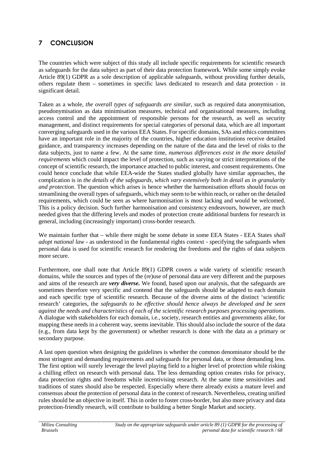# **7 CONCLUSION**

The countries which were subject of this study all include specific requirements for scientific research as safeguards for the data subject as part of their data protection framework. While some simply evoke Article 89(1) GDPR as a sole description of applicable safeguards, without providing further details, others regulate them – sometimes in specific laws dedicated to research and data protection - in significant detail.

Taken as a whole, *the overall types of safeguards are similar*, such as required data anonymisation, pseudonymisation as data minimisation measures, technical and organisational measures, including access control and the appointment of responsible persons for the research, as well as security management, and distinct requirements for special categories of personal data, which are all important converging safeguards used in the various EEA States. For specific domains, SAs and ethics committees have an important role in the majority of the countries, higher education institutions receive detailed guidance, and transparency increases depending on the nature of the data and the level of risks to the data subjects, just to name a few. At the same time, *numerous differences exist in the more detailed requirements* which could impact the level of protection, such as varying or strict interpretations of the concept of scientific research, the importance attached to public interest, and consent requirements. One could hence conclude that while EEA-wide the States studied globally have similar approaches, the complication is in *the details of the safeguards, which vary extensively both in detail as in granularity and protection*. The question which arises is hence whether the harmonisation efforts should focus on streamlining the overall types of safeguards, which may seem to be within reach, or rather on the detailed requirements, which could be seen as where harmonisation is most lacking and would be welcomed. This is a policy decision. Such further harmonisation and consistency endeavours, however, are much needed given that the differing levels and modes of protection create additional burdens for research in general, including (increasingly important) cross-border research.

We maintain further that – while there might be some debate in some EEA States - EEA States *shall adopt national law* - as understood in the fundamental rights context - specifying the safeguards when personal data is used for scientific research for rendering the freedoms and the rights of data subjects more secure.

Furthermore, one shall note that Article 89(1) GDPR covers a wide variety of scientific research domains, while the sources and types of the (re)use of personal data are very different and the purposes and aims of the research are *very diverse.* We found, based upon our analysis, that the safeguards are sometimes therefore very specific and contend that the safeguards should be adapted to each domain and each specific type of scientific research. Because of the diverse aims of the distinct 'scientific research' categories, the *safeguards to be effective should hence always be developed and be seen against the needs and characteristics of each of the scientific research purposes processing operations.* A dialogue with stakeholders for each domain, i.e., society, research entities and governments alike, for mapping these needs in a coherent way, seems inevitable. This should also include the source of the data (e.g., from data kept by the government) or whether research is done with the data as a primary or secondary purpose.

A last open question when designing the guidelines is whether the common denominator should be the most stringent and demanding requirements and safeguards for personal data, or those demanding less. The first option will surely leverage the level playing field to a higher level of protection while risking a chilling effect on research with personal data. The less demanding option creates risks for privacy, data protection rights and freedoms while incentivising research. At the same time sensitivities and traditions of states should also be respected. Especially where there already exists a mature level and consensus about the protection of personal data in the context of research. Nevertheless, creating unified rules should be an objective in itself. This in order to foster cross-border, but also more privacy and data protection-friendly research, will contribute to building a better Single Market and society.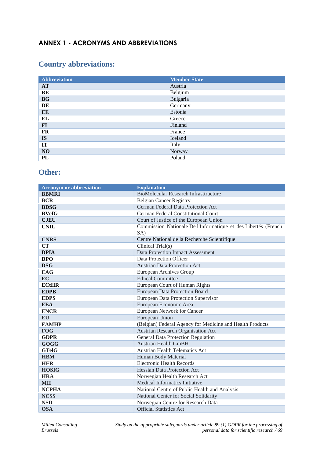# **ANNEX 1 - ACRONYMS AND ABBREVIATIONS**

# **Country abbreviations:**

| <b>Abbreviation</b> | <b>Member State</b> |
|---------------------|---------------------|
| <b>AT</b>           | Austria             |
| BE                  | Belgium             |
| BG                  | Bulgaria            |
| DE                  | Germany             |
| EE                  | Estonia             |
| EL                  | Greece              |
| $FI$                | Finland             |
| <b>FR</b>           | France              |
| <b>IS</b>           | Iceland             |
| IT                  | Italy               |
| NO                  | Norway              |
| PL                  | Poland              |

# **Other:**

| <b>Acronym or abbreviation</b> | <b>Explanation</b>                                             |
|--------------------------------|----------------------------------------------------------------|
| <b>BBMRI</b>                   | <b>BioMolecular Research Infrasttructure</b>                   |
| <b>BCR</b>                     | <b>Belgian Cancer Registry</b>                                 |
| <b>BDSG</b>                    | German Federal Data Protection Act                             |
| <b>BVefG</b>                   | German Federal Constitutional Court                            |
| <b>CJEU</b>                    | Court of Justice of the European Union                         |
| <b>CNIL</b>                    | Commission Nationale De l'Informatique et des Libertés (French |
|                                | SA)                                                            |
| <b>CNRS</b>                    | Centre National de la Recherche Scientifique                   |
| <b>CT</b>                      | Clinical Trial(s)                                              |
| <b>DPIA</b>                    | Data Protection Impact Assessment                              |
| <b>DPO</b>                     | Data Protection Officer                                        |
| <b>DSG</b>                     | <b>Austrian Data Protection Act</b>                            |
| <b>EAG</b>                     | European Archives Group                                        |
| <b>EC</b>                      | Ethical Committee                                              |
| <b>ECtHR</b>                   | European Court of Human Rights                                 |
| <b>EDPB</b>                    | European Data Protection Board                                 |
| <b>EDPS</b>                    | European Data Protection Supervisor                            |
| <b>EEA</b>                     | European Economic Area                                         |
| <b>ENCR</b>                    | European Network for Cancer                                    |
| <b>EU</b>                      | European Union                                                 |
| <b>FAMHP</b>                   | (Belgian) Federal Agency for Medicine and Health Products      |
| <b>FOG</b>                     | Austrian Research Organisation Act                             |
| <b>GDPR</b>                    | General Data Protection Regulation                             |
| GOGG                           | <b>Austrian Health GmBH</b>                                    |
| <b>GTelG</b>                   | <b>Austrian Health Telematics Act</b>                          |
| <b>HBM</b>                     | Human Body Material                                            |
| <b>HER</b>                     | <b>Electronic Health Records</b>                               |
| <b>HOSIG</b>                   | <b>Hessian Data Protection Act</b>                             |
| <b>HRA</b>                     | Norwegian Health Research Act                                  |
| <b>MII</b>                     | Medical Informatics Initiative                                 |
| <b>NCPHA</b>                   | National Centre of Public Health and Analysis                  |
| <b>NCSS</b>                    | National Center for Social Solidarity                          |
| <b>NSD</b>                     | Norwegian Centre for Research Data                             |
| <b>OSA</b>                     | <b>Official Statistics Act</b>                                 |

*Study on the appropriate safeguards under article 89 (1) GDPR for the processing of personal data for scientific research / 69*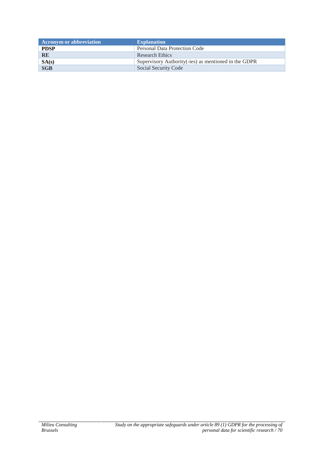| <b>Acronym or abbreviation</b> | <b>Explanation</b>                                    |
|--------------------------------|-------------------------------------------------------|
| <b>PDSP</b>                    | Personal Data Protection Code                         |
| <b>RE</b>                      | Research Ethics                                       |
| SA(s)                          | Supervisory Authority (-ies) as mentioned in the GDPR |
| <b>SGB</b>                     | Social Security Code                                  |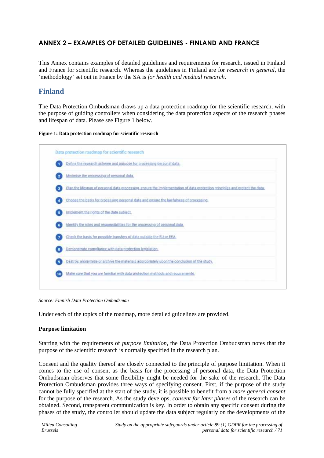# **ANNEX 2 – EXAMPLES OF DETAILED GUIDELINES -FINLAND AND FRANCE**

This Annex contains examples of detailed guidelines and requirements for research, issued in Finland and France for scientific research. Whereas the guidelines in Finland are for *research in general*, the 'methodology' set out in France by the SA is *for health and medical research*.

# **Finland**

The Data Protection Ombudsman draws up a data protection roadmap for the scientific research, with the purpose of guiding controllers when considering the data protection aspects of the research phases and lifespan of data. Please see Figure 1 below.

**Figure 1: Data protection roadmap for scientific research**



*Source: Finnish Data Protection Ombudsman*

Under each of the topics of the roadmap, more detailed guidelines are provided.

### **Purpose limitation**

Starting with the requirements of *purpose limitation*, the Data Protection Ombudsman notes that the purpose of the scientific research is normally specified in the research plan.

Consent and the quality thereof are closely connected to the principle of purpose limitation. When it comes to the use of consent as the basis for the processing of personal data, the Data Protection Ombudsman observes that some flexibility might be needed for the sake of the research. The Data Protection Ombudsman provides three ways of specifying consent. First, if the purpose of the study cannot be fully specified at the start of the study, it is possible to benefit from a *more general consent* for the purpose of the research. As the study develops, *consent for later phases* of the research can be obtained. Second, transparent communication is key. In order to obtain any specific consent during the phases of the study, the controller should update the data subject regularly on the developments of the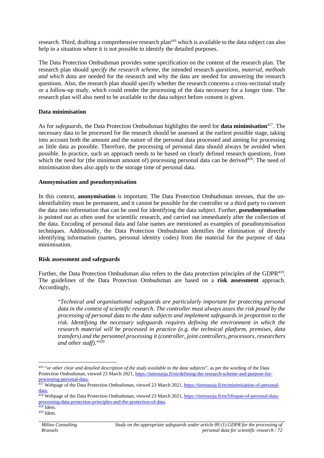research. Third, drafting a comprehensive research plan<sup>416</sup> which is available to the data subject can also help in a situation where it is not possible to identify the detailed purposes.

The Data Protection Ombudsman provides some specification on the content of the research plan. The research plan should *specify the research scheme*, the intended research *questions, material, methods and which data* are needed for the research and why the data are needed for answering the research questions. Also, the research plan should specify whether the research concerns a cross-sectional study or a follow-up study, which could render the processing of the data necessary for a longer time. The research plan will also need to be available to the data subject before consent is given.

#### **Data minimisation**

As for *safeguards*, the Data Protection Ombudsman highlights the need for **data minimisation**<sup>417</sup> . The necessary data to be processed for the research should be assessed at the earliest possible stage, taking into account both the amount and the nature of the personal data processed and aiming for processing as little data as possible. Therefore, the processing of personal data should always be avoided when possible. In practice, such an approach needs to be based on clearly defined research questions, from which the need for (the minimum amount of) processing personal data can be derived<sup>418</sup>. The need of minimisation does also apply to the storage time of personal data.

#### **Anonymisation and pseudonymisation**

In this context, **anonymisation** is important. The Data Protection Ombudsman stresses, that the unidentifiability must be permanent, and it cannot be possible for the controller or a third party to convert the data into information that can be used for identifying the data subject. Further, **pseudonymisation** is pointed out as often used for scientific research, and carried out immediately after the collection of the data. Encoding of personal data and false names are mentioned as examples of pseudonymisation techniques. Additionally, the Data Protection Ombudsman identifies the elimination of directly identifying information (names, personal identity codes) from the material for the purpose of data minimisation.

#### **Risk assessment and safeguards**

Further, the Data Protection Ombudsman also refers to the data protection principles of the GDPR<sup>419</sup>. The guidelines of the Data Protection Ombudsman are based on a **risk assessment** approach. Accordingly,

"*Technical and organisational safeguards are particularly important for protecting personal data in the context of scientific research. The controller must always asses the risk posed by the processing of personal data to the data subjects and implement safeguards in proportion to the risk. Identifying the necessary safeguards requires defining the environment in which the research material will be processed in practice (e.g. the technical platform, premises, data transfers) and the personnel processing it (controller, joint controllers, processors, researchers and other staff).*" 420

<sup>416</sup> "*or other clear and detailed description of the study available to the data subjects*", as per the wording of the Data Protection Ombudsman, viewed 23 March 2021, https://tietosuoja.fi/en/defining-the-research-scheme-and-purpose-for processing-personal-data.

<sup>&</sup>lt;sup>417</sup> Webpage of the Data Protection Ombudsman, viewed 23 March 2021, https://tietosuoja.fi/en/minimisation-of-personaldata.

<sup>&</sup>lt;sup>418</sup> Webpage of the Data Protection Ombudsman, viewed 23 March 2021, https://tietosuoja.fi/en/lifespan-of-personal-dataprocessing-data-protection-principles-and-the-protection-of-data.

<sup>419</sup> Idem.

<sup>420</sup> Idem.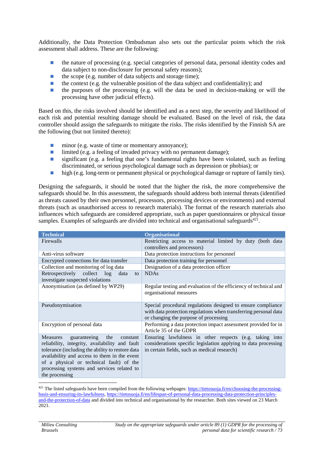Additionally, the Data Protection Ombudsman also sets out the particular points which the risk assessment shall address. These are the following:

the nature of processing (e.g. special categories of personal data, personal identity codes and data subject to non-disclosure for personal safety reasons);

the scope (e.g. number of data subjects and storage time);

the context (e.g. the vulnerable position of the data subject and confidentiality); and

the purposes of the processing (e.g. will the data be used in decision-making or will the processing have other judicial effects).

Based on this, the risks involved should be identified and as a next step, the severity and likelihood of each risk and potential resulting damage should be evaluated. Based on the level of risk, the data controller should assign the safeguards to mitigate the risks. The risks identified by the Finnish SA are the following (but not limited thereto):

minor (e.g. waste of time or momentary annoyance); limited (e.g. a feeling of invaded privacy with no permanent damage); significant (e.g. a feeling that one's fundamental rights have been violated, such as feeling discriminated, or serious psychological damage such as depression or phobias); or high (e.g. long-term or permanent physical or psychological damage or rupture of family ties).

Designing the safeguards, it should be noted that the higher the risk, the more comprehensive the safeguards should be. In this assessment, the safeguards should address both internal threats (identified as threats caused by their own personnel, processors, processing devices or environments) and external threats (such as unauthorised access to research materials). The format of the research materials also influences which safeguards are considered appropriate, such as paper questionnaires or physical tissue samples. Examples of safeguards are divided into technical and organisational safeguards<sup>421</sup>.

| <b>Technical</b>                                                                                                                                                                                                                                                                                                     | <b>Organisational</b>                                                                                                                                                      |  |
|----------------------------------------------------------------------------------------------------------------------------------------------------------------------------------------------------------------------------------------------------------------------------------------------------------------------|----------------------------------------------------------------------------------------------------------------------------------------------------------------------------|--|
| Firewalls                                                                                                                                                                                                                                                                                                            | Restricting access to material limited by duty (both data<br>controllers and processors)                                                                                   |  |
| Anti-virus software                                                                                                                                                                                                                                                                                                  | Data protection instructions for personnel                                                                                                                                 |  |
| Encrypted connections for data transfer                                                                                                                                                                                                                                                                              | Data protection training for personnel                                                                                                                                     |  |
| Collection and monitoring of log data                                                                                                                                                                                                                                                                                | Designation of a data protection officer                                                                                                                                   |  |
| Retrospectively collect log<br>data<br>to<br>investigate suspected violations                                                                                                                                                                                                                                        | <b>NDAs</b>                                                                                                                                                                |  |
| Anonymisation (as defined by WP29)                                                                                                                                                                                                                                                                                   | Regular testing and evaluation of the efficiency of technical and<br>organisational measures                                                                               |  |
| Pseudonymisation                                                                                                                                                                                                                                                                                                     | Special procedural regulations designed to ensure compliance<br>with data protection regulations when transferring personal data<br>or changing the purpose of processing  |  |
| Encryption of personal data                                                                                                                                                                                                                                                                                          | Performing a data protection impact assessment provided for in<br>Article 35 of the GDPR                                                                                   |  |
| guaranteeing<br><b>Measures</b><br>the<br>constant<br>reliability, integrity, availability and fault<br>tolerance (including the ability to restore data<br>availability and access to them in the event<br>of a physical or technical fault) of the<br>processing systems and services related to<br>the processing | Ensuring lawfulness in other respects (e.g. taking into<br>considerations specific legislation applying to data processing<br>in certain fields, such as medical research) |  |

<sup>421</sup> The listed safeguards have been compiled from the following webpages: https://tietosuoja.fi/en/choosing-the-processingbasis-and-ensuring-its-lawfulness, https://tietosuoja.fi/en/lifespan-of-personal-data-processing-data-protection-principles and-the-protection-of-data and divided into technical and organisational by the researcher. Both sites viewed on 23 March 2021.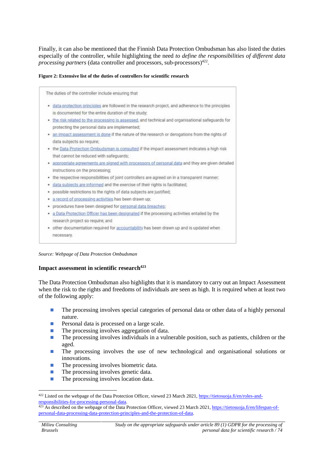Finally, it can also be mentioned that the Finnish Data Protection Ombudsman has also listed the duties especially of the controller, while highlighting the need *to define the responsibilities of different data* processing partners (data controller and processors, sub-processors)<sup>422</sup>.

#### **Figure 2: Extensive list of the duties of controllers for scientific research**

| The duties of the controller include ensuring that                                                |
|---------------------------------------------------------------------------------------------------|
| data-protection principles are followed in the research project, and adherence to the principles  |
| is documented for the entire duration of the study;                                               |
| . the risk related to the processing is assessed, and technical and organisational safeguards for |
| protecting the personal data are implemented;                                                     |
| an impact assessment is done if the nature of the research or derogations from the rights of      |
| data subjects so require;                                                                         |
| the Data Protection Ombudsman is consulted if the impact assessment indicates a high risk         |
| that cannot be reduced with safeguards;                                                           |
| appropriate agreements are signed with processors of personal data and they are given detailed    |
| instructions on the processing;                                                                   |
| the respective responsibilities of joint controllers are agreed on in a transparent manner;       |
| data subjects are informed and the exercise of their rights is facilitated;                       |
| possible restrictions to the rights of data subjects are justified;                               |
| a record of processing activities has been drawn up;                                              |
| procedures have been designed for personal data breaches;                                         |
| a Data Protection Officer has been designated if the processing activities entailed by the        |
| research project so require; and                                                                  |
| other documentation required for accountability has been drawn up and is updated when             |
| necessary.                                                                                        |
|                                                                                                   |

#### *Source: Webpage of Data Protection Ombudsman*

#### **Impact assessment in scientific research<sup>423</sup>**

The Data Protection Ombudsman also highlights that it is mandatory to carry out an Impact Assessment when the risk to the rights and freedoms of individuals are seen as high. It is required when at least two of the following apply:

The processing involves special categories of personal data or other data of a highly personal nature.

Personal data is processed on a large scale.

The processing involves aggregation of data.

The processing involves individuals in a vulnerable position, such as patients, children or the aged.

The processing involves the use of new technological and organisational solutions or innovations.

The processing involves biometric data.

The processing involves genetic data.

The processing involves location data.

<sup>&</sup>lt;sup>422</sup> Listed on the webpage of the Data Protection Officer, viewed 23 March 2021, https://tietosuoja.fi/en/roles-andresponsibilities-for-processing-personal-data.

<sup>&</sup>lt;sup>423</sup> As described on the webpage of the Data Protection Officer, viewed 23 March 2021, https://tietosuoja.fi/en/lifespan-ofpersonal-data-processing-data-protection-principles-and-the-protection-of-data.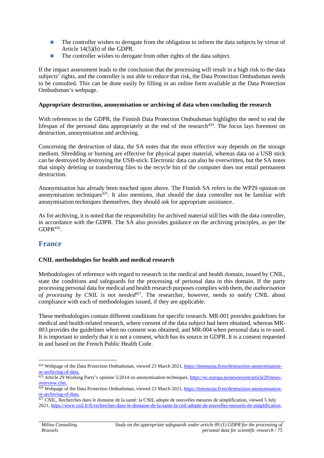The controller wishes to derogate from the obligation to inform the data subjects by virtue of Article 14(5)(b) of the GDPR. The controller wishes to derogate from other rights of the data subject.

If the impact assessment leads to the conclusion that the processing will result in a high risk to the data subjects' rights, and the controller is not able to reduce that risk, the Data Protection Ombudsman needs to be consulted. This can be done easily by filling in an online form available at the Data Protection Ombudsman's webpage.

#### **Appropriate destruction, anonymisation or archiving of data when concluding the research**

With references to the GDPR, the Finnish Data Protection Ombudsman highlights the need to end the lifespan of the personal data appropriately at the end of the research $424$ . The focus lays foremost on destruction, anonymisation and archiving.

Concerning the destruction of data, the SA notes that the most effective way depends on the storage medium. Shredding or burning are effective for physical paper material, whereas data on a USB stick can be destroyed by destroying the USB-stick. Electronic data can also be overwritten, but the SA notes that simply deleting or transferring files to the recycle bin of the computer does not entail permanent destruction.

Anonymisation has already been touched upon above. The Finnish SA refers to the WP29 opinion on anonymisation techniques $425$ . It also mentions, that should the data controller not be familiar with anonymisation techniques themselves, they should ask for appropriate assistance.

As for archiving, it is noted that the responsibility for archived material still lies with the data controller, in accordance with the GDPR. The SA also provides guidance on the archiving principles, as per the  $G\text{DPR}^{426}$ .

### **France**

### **CNIL methodologies for health and medical research**

Methodologies of reference with regard to research in the medical and health domain, issued by CNIL, state the conditions and safeguards for the processing of personal data in this domain. If the party processing personal data for medical and health research purposes complies with them, the *authorisation* of processing by CNIL is not needed<sup>427</sup>. The researcher, however, needs to notify CNIL about compliance with each of methodologies issued, if they are applicable.

These methodologies contain different conditions for specific research. MR-001 provides guidelines for medical and health-related research, where consent of the data subject had been obtained, whereas MR- 003 provides the guidelines when no consent was obtained, and MR-004 when personal data is re-used. It is important to underly that it is not a consent, which has its source in GDPR. It is a consent requested in and based on the French Public Health Code.

<sup>424</sup> Webpage of the Data Protection Ombudsman, viewed 23 March 2021, https://tietosuoja.fi/en/destruction-anonymisationor-archiving-of-data.

<sup>&</sup>lt;sup>425</sup> Article 29 Working Party's opinion 5/2014 on anonymisation techniques, https://ec.europa.eu/newsroom/article29/newsoverview.cfm.

<sup>426</sup> Webpage of the Data Protection Ombudsman, viewed 23 March 2021, https://tietosuoja.fi/en/destruction-anonymisationor-archiving-of-data.

 $427$  CNIL, Recherches dans le domaine de la santé: la CNIL adopte de nouvelles mesures de simplification, viewed 5 July 2021, https://www.cnil.fr/fr/recherches-dans-le-domaine-de-la-sante-la-cnil-adopte-de-nouvelles-mesures-de-simplification.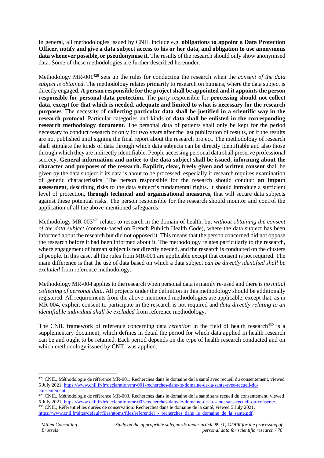In general, all methodologies issued by CNIL include e.g. **obligations to appoint a Data Protection Officer, notify and give a data subject access to his or her data, and obligation to use anonymous data whenever possible, or pseudonymise it**. The results of the research should only show anonymised data. Some of these methodologies are further described hereunder.

Methodology MR-001<sup>428</sup> sets up the rules for conducting the research when the *consent of the data subject is obtained*. The methodology relates primarily to research on humans, where the data subject is directly engaged. **A person responsible for the project shall be appointed and it appoints the person responsible for personal data protection**. The party responsible for **processing should not collect data, except for that which is needed, adequate and limited to what is necessary for the research purposes**. The necessity of **collecting particular data shall be justified in a scientific way in the research protocol**. Particular categories and kinds of **data shall be enlisted in the corresponding research methodology document**. The personal data of patients shall only be kept for the period necessary to conduct research or only for two years after the last publication of results, or if the results are not published until signing the final report about the research project. The methodology of research shall stipulate the kinds of data through which data subjects can be directly identifiable and also those through which they are indirectly identifiable. People accessing personal data shall preserve professional secrecy. **General information and notice to the data subject shall be issued, informing about the character and purposes of the research. Explicit, clear, freely given and written consent** shall be given by the data subject if its data is about to be processed, especially if research requires examination of genetic characteristics. The person responsible for the research should conduct **an impact assessment**, describing risks to the data subject's fundamental rights. It should introduce a sufficient level of protection, **through technical and organisational measures**, that will secure data subjects against these potential risks. The person responsible for the research should monitor and control the application of all the above-mentioned safeguards.

Methodology MR-003<sup>429</sup> relates to research in the domain of health, but *without obtaining the consent of the data subject* (consent-based on French Publich Health Code), where the data subject has been informed about the research but did not opposed it. This means that the person concerned did not oppose the research before it had been informed about it. The methodology relates particularly to the research, where engagement of human subject is not directly needed, and the research is conducted on the clusters of people. In this case, all the rules from MR-001 are applicable except that consent is not required. The main difference is that the use of data based on which a data subject *can be directly identified shall be excluded* from reference methodology.

Methodology MR-004 applies to the research when personal data is mainly re-used and there is *no initial collecting of personal data*. All projects under the definition in this methodology should be additionally registered. All requirements from the above-mentioned methodologies are applicable, except that, as in MR-004, explicit consent to participate in the research is not required and *data directly relating to an identifiable individual shall be excluded* from reference methodology.

The CNIL framework of reference concerning data *retention* in the field of health research<sup>430</sup> is a supplementary document, which defines in detail the period for which data applied in health research can be and ought to be retained. Each period depends on the type of health research conducted and on which methodology issued by CNIL was applied.

<sup>428</sup> CNIL, Méthodologie de référence MR-001, Recherches dans le domaine de la santé avec recueil du consentement, viewed 5 July 2021, https://www.cnil.fr/fr/declaration/mr-001-recherches-dans-le-domaine-de-la-sante-avec-recueil-du consentement.

<sup>&</sup>lt;sup>429</sup> CNIL. Méthodologie de référence MR-003, Recherches dans le domaine de la santé sans recueil du consentement, viewed 5 July 2021, https://www.cnil.fr/fr/declaration/mr-003-recherches-dans-le-domaine-de-la-sante-sans-recueil-du-consente. <sup>430</sup> CNIL, Référentiel les durées de conservation: Recherches dans le domaine de la santé, viewed 5 July 2021, https://www.cnil.fr/sites/default/files/atoms/files/referentiel - recherches dans le domaine de la sante.pdf.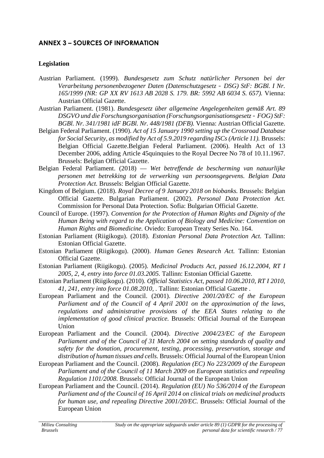# **ANNEX 3 – SOURCES OF INFORMATION**

### **Legislation**

- Austrian Parliament. (1999). *Bundesgesetz zum Schutz natürlicher Personen bei der Verarbeitung personenbezogener Daten (Datenschutzgesetz – DSG) StF: BGBl. I Nr. 165/1999 (NR: GP XX RV 1613 AB 2028 S. 179. BR: 5992 AB 6034 S. 657).* Vienna: Austrian Official Gazette.
- Austrian Parliament. (1981). *Bundesgesetz über allgemeine Angelegenheiten gemäß Art. 89 DSGVO und die Forschungsorganisation (Forschungsorganisationsgesetz – FOG) StF: BGBl. Nr. 341/1981 idF BGBl. Nr. 448/1981 (DFB).* Vienna: Austrian Official Gazette.
- Belgian Federal Parliament. (1990). *Act of 15 January 1990 setting up the Crossroad Database for Social Security, as modified by Act of 5.9.2019 regarding ISCs (Article 11).* Brussels: Belgian Official Gazette.Belgian Federal Parliament. (2006). Health Act of 13 December 2006, adding Article 45quinquies to the Royal Decree No 78 of 10.11.1967. Brussels: Belgian Official Gazette.
- Belgian Federal Parliament. (2018) *Wet betreffende de bescherming van natuurlijke personen met betrekking tot de verwerking van persoonsgegevens. Belgian Data Protection Act.* Brussels: Belgian Official Gazette.
- Kingdom of Belgium. (2018). *Royal Decree of 9 January 2018 on biobanks.* Brussels: Belgian Official Gazette. Bulgarian Parliament. (2002). *Personal Data Protection Act.* Commission for Personal Data Protection. Sofia: Bulgarian Official Gazette.
- Council of Europe. (1997). *Convention for the Protection of Human Rights and Dignity of the Human Being with regard to the Application of Biology and Medicine: Convention on Human Rights and Biomedicine.* Oviedo: European Treaty Series No. 164.
- Estonian Parliament (Riigikogu). (2018). *Estonian Personal Data Protection Act.* Tallinn: Estonian Official Gazette.
- Estonian Parliament (Riigikogu). (2000). *Human Genes Research Act.* Tallinn: Estonian Official Gazette.
- Estonian Parliament (Riigikogu). (2005). *Medicinal Products Act, passed 16.12.2004, RT I 2005, 2, 4, entry into force 01.03.2005.* Tallinn: Estonian Official Gazette.
- Estonian Parliament (Riigikogu). (2010). *Official Statistics Act, passed 10.06.2010, RT I 2010, 41, 241, entry into force 01.08.2010, .* Tallinn: Estonian Official Gazette .
- European Parliament and the Council. (2001). *Directive 2001/20/EC of the European Parliament and of the Council of 4 April 2001 on the approximation of the laws, regulations and administrative provisions of the EEA States relating to the implementation of good clinical practice.* Brussels: Official Journal of the European Union
- European Parliament and the Council. (2004). *Directive 2004/23/EC of the European Parliament and of the Council of 31 March 2004 on setting standards of quality and safety for the donation, procurement, testing, processing, preservation, storage and distribution of human tissues and cells.* Brussels: Official Journal of the European Union
- European Parliament and the Council. (2008). *Regulation (EC) No 223/2009 of the European Parliament and of the Council of 11 March 2009 on European statistics and repealing Regulation 1101/2008.* Brussels: Official Journal of the European Union
- European Parliament and the Council. (2014). *Regulation (EU) No 536/2014 of the European Parliament and of the Council of 16 April 2014 on clinical trials on medicinal products for human use, and repealing Directive 2001/20/EC.* Brussels: Official Journal of the European Union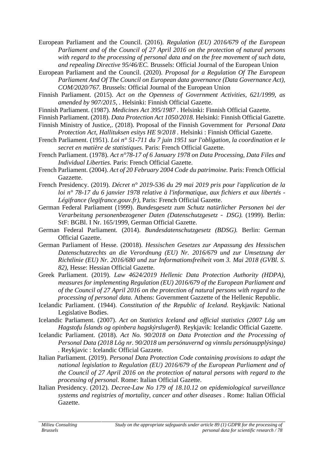European Parliament and the Council. (2016). *Regulation (EU) 2016/679 of the European Parliament and of the Council of 27 April 2016 on the protection of natural persons with regard to the processing of personal data and on the free movement of such data, and repealing Directive 95/46/EC.* Brussels: Official Journal of the European Union

- European Parliament and the Council. (2020). *Proposal for a Regulation Of The European Parliament And Of The Council on European data governance (Data Governance Act), COM/2020/767.* Brussels: Official Journal of the European Union
- Finnish Parliament. (2015). *Act on the Openness of Government Activities, 621/1999, as amended by 907/2015, .* Helsinki: Finnish Official Gazette.
- Finnish Parliament. (1987). *Medicines Act 395/1987 .* Helsinki: Finnish Official Gazette.
- Finnish Parliament. (2018). *Data Protection Act 1050/2018.* Helsinki: Finnish Official Gazette.
- Finnish Ministry of Justice,. (2018). Proposal of the Finnish Government for *Personal Data Protection Act, Hallituksen esitys HE 9/2018 .* Helsinki : Finnish Official Gazette.
- French Parliament. (1951). *Loi n° 51-711 du 7 juin 1951 sur l'obligation, la coordination et le secret en matière de statistiques.* Paris: French Official Gazette.
- French Parliament. (1978). *Act n°78-17 of 6 January 1978 on Data Processing, Data Files and Individual Liberties.* Paris: French Official Gazette.
- French Parliament. (2004). *Act of 20 February 2004 Code du patrimoine.* Paris: French Official Gazzette.
- French Presidency. (2019). *Décret n° 2019-536 du 29 mai 2019 pris pour l'application de la loi n° 78-17 du 6 janvier 1978 relative à l'informatique, aux fichiers et aux libertés - Légifrance (legifrance.gouv.fr),* Paris: French Official Gazette.

German Federal Parliament (1999). *Bundesgesetz zum Schutz natürlicher Personen bei der Verarbeitung personenbezogener Daten (Datenschutzgesetz – DSG).* (1999). Berlin: StF: BGBl. I Nr. 165/1999, German Official Gazette.

- German Federal Parliament. (2014). *Bundesdatenschutzgesetz (BDSG).* Berlin: German Official Gazette.
- German Parliament of Hesse. (20018). *Hessischen Gesetzes zur Anpassung des Hessischen Datenschutzrechts an die Verordnung (EU) Nr. 2016/679 und zur Umsetzung der Richtlinie (EU) Nr. 2016/680 und zur Informationsfreiheit vom 3. Mai 2018 (GVBl. S. 82),* Hesse: Hessian Official Gazette.
- Greek Parliament. (2019). *Law 4624/2019 Hellenic Data Protection Authority (HDPA), measures for implementing Regulation (EU) 2016/679 of the European Parliament and of the Council of 27 April 2016 on the protection of natural persons with regard to the processing of personal data.* Athens: Government Gazzette of the Hellenic Republic.
- Icelandic Parliament. (1944). *Constitution of the Republic of Iceland.* Reykjavik: National Legislative Bodies.
- Icelandic Parliament. (2007). *Act on Statistics Iceland and official statistics (2007 Lög um Hagstofu Íslands og opinbera hagskýrslugerð).* Reykjavik: Icelandic Official Gazette.
- Icelandic Parliament. (2018). *Act No. 90/2018 on Data Protection and the Processing of Personal Data (2018 Lög nr. 90/2018 um persónuvernd og vinnslu persónuupplýsinga) .* Reykjavic : Icelandic Official Gazzete.
- Italian Parliament. (2019). *Personal Data Protection Code containing provisions to adapt the national legislation to Regulation (EU) 2016/679 of the European Parliament and of the Council of 27 April 2016 on the protection of natural persons with regard to the processing of personal.* Rome: Italian Official Gazette.
- Italian Presidency. (2012). *Decree-Law No 179 of 18.10.12 on epidemiological surveillance systems and registries of mortality, cancer and other diseases .* Rome: Italian Official Gazette.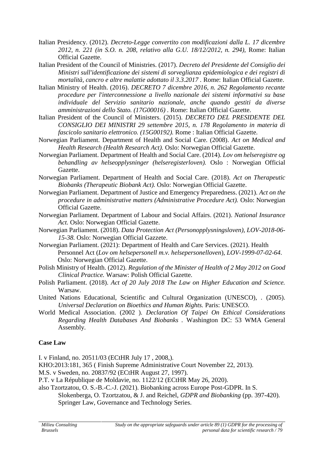- Italian Presidency. (2012). *Decreto-Legge convertito con modificazioni dalla L. 17 dicembre 2012, n. 221 (in S.O. n. 208, relativo alla G.U. 18/12/2012, n. 294),* Rome: Italian Official Gazette.
- Italian President of the Council of Ministries. (2017). *Decreto del Presidente del Consiglio dei Ministri sull'identificazione dei sistemi di sorveglianza epidemiologica e dei registri di mortalità, cancro e altre malattie adottato il 3.3.2017 .* Rome: Italian Official Gazette.
- Italian Ministry of Health. (2016). *DECRETO 7 dicembre 2016, n. 262 Regolamento recante procedure per l'interconnessione a livello nazionale dei sistemi informativi su base individuale del Servizio sanitario nazionale, anche quando gestiti da diverse amministrazioni dello Stato. (17G00016) .* Rome: Italian Official Gazette.
- Italian President of the Council of Ministers. (2015). *DECRETO DEL PRESIDENTE DEL CONSIGLIO DEI MINISTRI 29 settembre 2015, n. 178 Regolamento in materia di fascicolo sanitario elettronico. (15G00192).* Rome : Italian Official Gazette.
- Norwegian Parliament. Department of Health and Social Care. (2008). *Act on Medical and Health Research (Health Research Act).* Oslo: Norwegian Official Gazette.
- Norwegian Parliament. Department of Health and Social Care. (2014). *Lov om helseregistre og behandling av helseopplysninger (helseregisterloven).* Oslo : Norwegian Official Gazette.
- Norwegian Parliament. Department of Health and Social Care. (2018). *Act on Therapeutic Biobanks (Therapeutic Biobank Act).* Oslo: Norwegian Official Gazette.
- Norwegian Parliament. Department of Justice and Emergency Preparedness. (2021). *Act on the procedure in administrative matters (Administrative Procedure Act).* Oslo: Norwegian Official Gazette.
- Norwegian Parliament. Department of Labour and Social Affairs. (2021). *National Insurance Act.* Oslo: Norwegian Official Gazette.
- Norwegian Parliament. (2018). *Data Protection Act (Personopplysningsloven), LOV-2018-06- 15-38.* Oslo: Norwegian Official Gazzete.
- Norwegian Parliament. (2021): Department of Health and Care Services. (2021). Health Personnel Act (*Lov om helsepersonell m.v. helsepersonelloven*), *LOV-1999-07-02-64*. Oslo: Norwegian Official Gazette.
- Polish Ministry of Health. (2012). *Regulation of the Minister of Health of 2 May 2012 on Good Clinical Practice.* Warsaw: Polish Official Gazette.
- Polish Parliament. (2018). *Act of 20 July 2018 The Law on Higher Education and Science.* Warsaw.
- United Nations Educational, Scientific and Cultural Organization (UNESCO), . (2005). *Universal Declaration on Bioethics and Human Rights.* Paris: UNESCO.
- World Medical Association. (2002 ). *Declaration Of Taipei On Ethical Considerations Regarding Health Databases And Biobanks .* Washington DC: 53 WMA General Assembly.

### **Case Law**

I. v Finland, no. 20511/03 (ECtHR July 17 , 2008,).

- KHO:2013:181, 365 ( Finish Supreme Administrative Court November 22, 2013).
- M.S. v Sweden, no. 20837/92 (ECtHR August 27, 1997).
- P.T. v La République de Moldavie, no. 1122/12 (ECtHR May 26, 2020).
- also Tzortzatou, O. S.-B.-C.-J. (2021). Biobanking across Europe Post-GDPR. In S. Slokenberga, O. Tzortzatou, & J. and Reichel, *GDPR and Biobanking* (pp. 397-420).
	- Springer Law, Governance and Technology Series.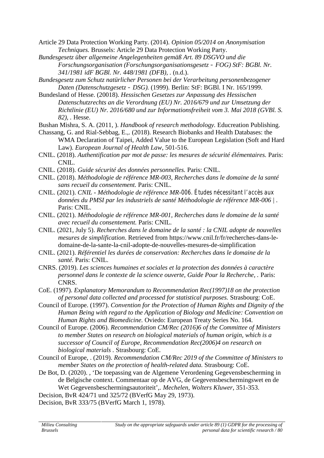- Article 29 Data Protection Working Party. (2014). *Opinion 05/2014 on Anonymisation Techniques.* Brussels: Article 29 Data Protection Working Party.
- *Bundesgesetz über allgemeine Angelegenheiten gemäß Art. 89 DSGVO und die Forschungsorganisation (Forschungsorganisationsgesetz – FOG) StF: BGBl. Nr. 341/1981 idF BGBl. Nr. 448/1981 (DFB), .* (n.d.).
- *Bundesgesetz zum Schutz natürlicher Personen bei der Verarbeitung personenbezogener Daten (Datenschutzgesetz – DSG).* (1999). Berlin: StF: BGBl. I Nr. 165/1999.
- Bundesland of Hesse. (20018). *Hessischen Gesetzes zur Anpassung des Hessischen Datenschutzrechts an die Verordnung (EU) Nr. 2016/679 und zur Umsetzung der Richtlinie (EU) Nr. 2016/680 und zur Informationsfreiheit vom 3. Mai 2018 (GVBl. S. 82), .* Hesse.
- Bushan Mishra, S. A. (2011, ). *Handbook of research methodology.* Educreation Publishing.
- Chassang, G. and Rial-Sebbag, E.,. (2018). Research Biobanks and Health Databases: the WMA Declaration of Taipei, Added Value to the European Legislation (Soft and Hard Law). *European Journal of Health Law*, 501-516.
- CNIL. (2018). *Authentification par mot de passe: les mesures de sécurité élémentaires.* Paris: CNIL.
- CNIL. (2018). *Guide sécurité des données personnelles.* Paris: CNIL.
- CNIL. (2018). *Méthodologie de référence MR-003, Recherches dans le domaine de la santé sans recueil du consentement.* Paris: CNIL.
- CNIL. (2021). *CNIL - Méthodologie de référence MR-006. Études nécessitant l'accès aux données du PMSI par les industriels de santé Méthodologie de référence MR-006 | .* Paris: CNIL.
- CNIL. (2021). *Méthodologie de référence MR-001, Recherches dans le domaine de la santé avec recueil du consentement.* Paris: CNIL.
- CNIL. (2021, July 5). *Recherches dans le domaine de la santé : la CNIL adopte de nouvelles mesures de simplification*. Retrieved from https://www.cnil.fr/fr/recherches-dans-le domaine-de-la-sante-la-cnil-adopte-de-nouvelles-mesures-de-simplification
- CNIL. (2021). *Référentiel les durées de conservation: Recherches dans le domaine de la santé.* Paris: CNIL.
- CNRS. (2019). *Les sciences humaines et sociales et la protection des données à caractère personnel dans le contexte de la science ouverte, Guide Pour la Recherche, .* Paris: CNRS.
- CoE. (1997). *Explanatory Memorandum to Recommendation Rec(1997)18 on the protection of personal data collected and processed for statistical purposes.* Strasbourg: CoE.
- Council of Europe. (1997). *Convention for the Protection of Human Rights and Dignity of the Human Being with regard to the Application of Biology and Medicine: Convention on Human Rights and Biomedicine.* Oviedo: European Treaty Series No. 164.
- Council of Europe. (2006). *Recommendation CM/Rec (2016)6 of the Committee of Ministers to member States on research on biological materials of human origin, which is a successor of Council of Europe, Recommendation Rec(2006)4 on research on biological materials .* Strasbourg: CoE.
- Council of Europe, . (2019). *Recommendation CM/Rec 2019 of the Committee of Ministers to member States on the protection of health-related data.* Strasbourg: CoE.
- De Bot, D. (2020). , 'De toepassing van de Algemene Verordening Gegevensbescherming in de Belgische context. Commentaar op de AVG, de Gegevensbeschermingswet en de Wet Gegevensbeschermingsautoriteit',. *Mechelen, Wolters Kluwer*, 351-353.

Decision, BvR 424/71 und 325/72 (BVerfG May 29, 1973).

Decision, BvR 333/75 (BVerfG March 1, 1978).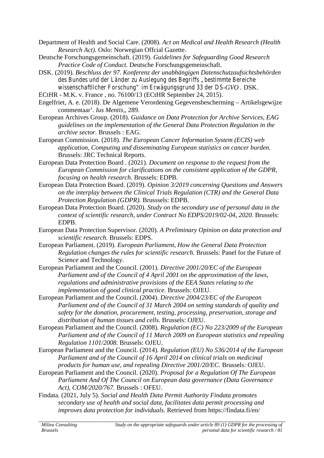Department of Health and Social Care. (2008). *Act on Medical and Health Research (Health Research Act).* Oslo: Norwegian Offcial Gazette.

- Deutsche Forschungsgemeinschaft. (2019). *Guidelines for Safeguarding Good Research Practice Code of Conduct.* Deutsche Forschungsgemeinschaft.
- DSK. (2019). *Beschluss der 97. Konferenz der unabhängigen Datenschutzaufsichtsbehörden des Bundes und der Länder zu Auslegung des Begriffs "bestimmte Bereiche wissenschaftlicher Forschung" im Erwägungsgrund 33 der DS-GVO .* DSK.
- ECtHR M.K. v. France , no. 76100/13 (ECtHR September 24, 2015).
- Engelfriet, A. e. (2018). De Algemene Verordening Gegevensbescherming Artikelsgewijze commentaar'. *Ius Mentis,*, 289.
- European Archives Group. (2018). *Guidance on Data Protection for Archive Services, EAG guidelines on the implementation of the General Data Protection Regulation in the archive sector.* Brussels : EAG.
- European Commission. (2018). *The European Cancer Information System (ECIS) web application, Computing and disseminating European statistics on cancer burden.* Brussels: JRC Technical Reports.
- European Data Protection Board . (2021). *Document on response to the request from the European Commission for clarifications on the consistent application of the GDPR, focusing on health research.* Brussels: EDPB.
- European Data Protection Board. (2019). *Opinion 3/2019 concerning Questions and Answers on the interplay between the Clinical Trials Regulation (CTR) and the General Data Protection Regulation (GDPR).* Brusssels: EDPB.
- European Data Protection Board. (2020). *Study on the secondary use of personal data in the context of scientific research, under Contract No EDPS/2019/02-04, 2020.* Brussels: EDPB.
- European Data Protection Supervisor. (2020). *A Preliminary Opinion on data protection and scientific research.* Brussels: EDPS.
- European Parliament. (2019). *European Parliament, How the General Data Protection Regulation changes the rules for scientific research.* Brussels: Panel for the Future of Science and Technology.
- European Parliament and the Council. (2001). *Directive 2001/20/EC of the European Parliament and of the Council of 4 April 2001 on the approximation of the laws, regulations and administrative provisions of the EEA States relating to the implementation of good clinical practice.* Brussels: OJEU.
- European Parliament and the Council. (2004). *Directive 2004/23/EC of the European Parliament and of the Council of 31 March 2004 on setting standards of quality and safety for the donation, procurement, testing, processing, preservation, storage and distribution of human tissues and cells.* Brussels: OJEU.
- European Parliament and the Council. (2008). *Regulation (EC) No 223/2009 of the European Parliament and of the Council of 11 March 2009 on European statistics and repealing Regulation 1101/2008.* Brussels: OJEU.
- European Parliament and the Council. (2014). *Regulation (EU) No 536/2014 of the European Parliament and of the Council of 16 April 2014 on clinical trials on medicinal products for human use, and repealing Directive 2001/20/EC.* Brussels: OJEU.
- European Parliament and the Council. (2020). *Proposal for a Regulation Of The European Parliament And Of The Council on European data governance (Data Governance Act), COM/2020/767.* Brussels : OFEU.
- Findata. (2021, July 5). *Social and Health Data Permit Authority Findata promotes secondary use of health and social data, facilitates data permit processing and improves data protection for individuals.* Retrieved from https://findata.fi/en/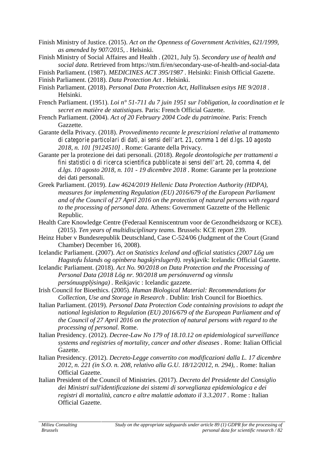- Finish Ministry of Justice. (2015). *Act on the Openness of Government Activities, 621/1999, as amended by 907/2015, .* Helsinki.
- Finish Ministry of Social Affaires and Health . (2021, July 5). *Secondary use of health and social data*. Retrieved from https://stm.fi/en/secondary-use-of-health-and-social-data
- Finish Parliament. (1987). *MEDICINES ACT 395/1987 .* Helsinki: Finish Official Gazette.
- Finish Parliament. (2018). *Data Protection Act .* Helsinki.
- Finish Parliament. (2018). *Personal Data Protection Act, Hallituksen esitys HE 9/2018 .* Helsinki.
- French Parliament. (1951). *Loi n° 51-711 du 7 juin 1951 sur l'obligation, la coordination et le secret en matière de statistiques.* Paris: French Official Gazette.
- French Parliament. (2004). *Act of 20 February 2004 Code du patrimoine.* Paris: French Gazzette.
- Garante della Privacy. (2018). *Provvedimento recante le prescrizioni relative al trattamento di categorie particolari di dati, ai sensi dell'art. 21, comma 1 del d.lgs. 10 agosto 2018, n. 101 [9124510] .* Rome: Garante della Privacy.
- Garante per la protezione dei dati personali. (2018). *Regole deontologiche per trattamenti a fini statistici o di ricerca scientifica pubblicate ai sensi dell'art. 20, comma 4, del d.lgs. 10 agosto 2018, n. 101 - 19 dicembre 2018 .* Rome: Garante per la protezione dei dati personali.
- Greek Parliament. (2019). *Law 4624/2019 Hellenic Data Protection Authority (HDPA), measures for implementing Regulation (EU) 2016/679 of the European Parliament and of the Council of 27 April 2016 on the protection of natural persons with regard to the processing of personal data.* Athens: Government Gazzette of the Hellenic Republic.
- Health Care Knowledge Centre (Federaal Kenniscentrum voor de Gezondheidszorg or KCE). (2015). *Ten years of multidisciplinary teams.* Brussels: KCE report 239.
- Heinz Huber v Bundesrepublik Deutschland, Case C-524/06 (Judgment of the Court (Grand Chamber) December 16, 2008).
- Icelandic Parliament. (2007). *Act on Statistics Iceland and official statistics (2007 Lög um Hagstofu Íslands og opinbera hagskýrslugerð).* reykjavik: Icelandic Official Gazette.
- Icelandic Parliament. (2018). *Act No. 90/2018 on Data Protection and the Processing of Personal Data (2018 Lög nr. 90/2018 um persónuvernd og vinnslu persónuupplýsinga) .* Reikjavic : Icelandic gazzete.
- Irish Council for Bioethics. (2005). *Human Biological Material: Recommendations for Collection, Use and Storage in Research .* Dublin: Irish Council for Bioethics.
- Italian Parliament. (2019). *Personal Data Protection Code containing provisions to adapt the national legislation to Regulation (EU) 2016/679 of the European Parliament and of the Council of 27 April 2016 on the protection of natural persons with regard to the processing of personal.* Rome.
- Italian Presidency. (2012). *Decree-Law No 179 of 18.10.12 on epidemiological surveillance systems and registries of mortality, cancer and other diseases .* Rome: Italian Official Gazette.
- Italian Presidency. (2012). *Decreto-Legge convertito con modificazioni dalla L. 17 dicembre 2012, n. 221 (in S.O. n. 208, relativo alla G.U. 18/12/2012, n. 294), .* Rome: Italian Official Gazette.
- Italian President of the Council of Ministries. (2017). *Decreto del Presidente del Consiglio dei Ministri sull'identificazione dei sistemi di sorveglianza epidemiologica e dei registri di mortalità, cancro e altre malattie adottato il 3.3.2017 .* Rome : Italian Official Gazette.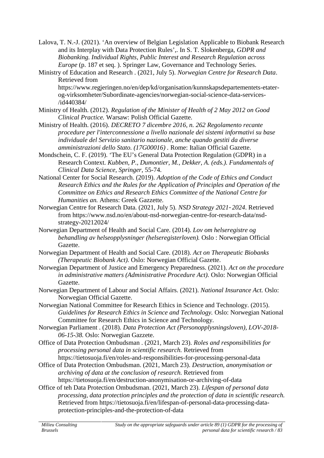- Lalova, T. N.-J. (2021). 'An overview of Belgian Legislation Applicable to Biobank Research and its Interplay with Data Protection Rules',. In S. T. Slokenberga, *GDPR and Biobanking. Individual Rights, Public Interest and Research Regulation across Europe* (p. 187 et seq. ). Springer Law, Governance and Technology Series.
- Ministry of Education and Research . (2021, July 5). *Norwegian Centre for Research Data*. Retrieved from

https://www.regjeringen.no/en/dep/kd/organisation/kunnskapsdepartementets-etater og-virksomheter/Subordinate-agencies/norwegian-social-science-data-services- /id440384/

- Ministry of Health. (2012). *Regulation of the Minister of Health of 2 May 2012 on Good Clinical Practice.* Warsaw: Polish Official Gazette.
- Ministry of Health. (2016). *DECRETO 7 dicembre 2016, n. 262 Regolamento recante procedure per l'interconnessione a livello nazionale dei sistemi informativi su base individuale del Servizio sanitario nazionale, anche quando gestiti da diverse amministrazioni dello Stato. (17G00016) .* Rome: Italian Official Gazette.
- Mondschein, C. F. (2019). 'The EU's General Data Protection Regulation (GDPR) in a Research Context. *Kubben, P., Dumontier, M., Dekker, A. (eds.). Fundamentals of Clinical Data Science, Springer*, 55-74.
- National Center for Social Research. (2019). *Adoption of the Code of Ethics and Conduct Research Ethics and the Rules for the Application of Principles and Operation of the Committee on Ethics and Research Ethics Committee of the National Centre for Humanities an.* Athens: Greek Gazzette.
- Norwegian Centre for Research Data. (2021, July 5). *NSD Strategy 2021–2024*. Retrieved from https://www.nsd.no/en/about-nsd-norwegian-centre-for-research-data/nsd strategy-20212024/
- Norwegian Department of Health and Social Care. (2014). *Lov om helseregistre og behandling av helseopplysninger (helseregisterloven).* Oslo : Norwegian Official Gazette.
- Norwegian Department of Health and Social Care. (2018). *Act on Therapeutic Biobanks (Therapeutic Biobank Act).* Oslo: Norwegian Official Gazette.
- Norwegian Department of Justice and Emergency Preparedness. (2021). *Act on the procedure in administrative matters (Administrative Procedure Act).* Oslo: Norwegian Official Gazette.
- Norwegian Department of Labour and Social Affairs. (2021). *National Insurance Act.* Oslo: Norwegian Official Gazette.
- Norwegian National Committee for Research Ethics in Science and Technology. (2015). *Guidelines for Research Ethics in Science and Technology.* Oslo: Norwegian National Committee for Research Ethics in Science and Technology.
- Norwegian Parliament . (2018). *Data Protection Act (Personopplysningsloven), LOV-2018- 06-15-38.* Oslo: Norwegian Gazzete.
- Office of Data Protection Ombudsman . (2021, March 23). *Roles and responsibilities for processing personal data in scientific research.* Retrieved from https://tietosuoja.fi/en/roles-and-responsibilities-for-processing-personal-data
- Office of Data Protection Ombudsman. (2021, March 23). *Destruction, anonymisation or archiving of data at the conclusion of research.* Retrieved from https://tietosuoja.fi/en/destruction-anonymisation-or-archiving-of-data
- Office of teh Data Protection Ombudsman. (2021, March 23). *Lifespan of personal data processing, data protection principles and the protection of data in scientific research.* Retrieved from https://tietosuoja.fi/en/lifespan-of-personal-data-processing-data protection-principles-and-the-protection-of-data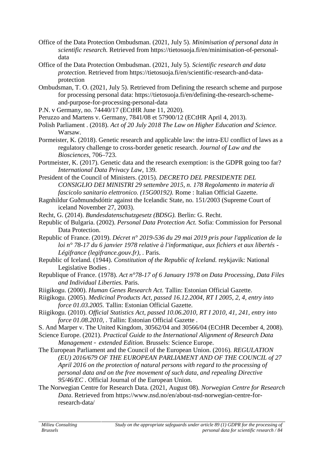- Office of the Data Protection Ombudsman. (2021, July 5). *Minimisation of personal data in scientific research.* Retrieved from https://tietosuoja.fi/en/minimisation-of-personal data
- Office of the Data Protection Ombudsman. (2021, July 5). *Scientific research and data protection*. Retrieved from https://tietosuoja.fi/en/scientific-research-and-data protection
- Ombudsman, T. O. (2021, July 5). Retrieved from Defining the research scheme and purpose for processing personal data: https://tietosuoja.fi/en/defining-the-research-scheme and-purpose-for-processing-personal-data
- P.N. v Germany, no. 74440/17 (ECtHR June 11, 2020).
- Peruzzo and Martens v. Germany, 7841/08 et 57900/12 (ECtHR April 4, 2013).
- Polish Parliament . (2018). *Act of 20 July 2018 The Law on Higher Education and Science.* Warsaw.
- Pormeister, K. (2018). Genetic research and applicable law: the intra-EU conflict of laws as a regulatory challenge to cross-border genetic research. *Journal of Law and the Biosciences*, 706–723.
- Portmeister, K. (2017). Genetic data and the research exemption: is the GDPR going too far? *International Data Privacy Law*, 139.
- President of the Council of Ministers. (2015). *DECRETO DEL PRESIDENTE DEL CONSIGLIO DEI MINISTRI 29 settembre 2015, n. 178 Regolamento in materia di fascicolo sanitario elettronico. (15G00192).* Rome : Italian Official Gazette.
- Ragnhildur Guðmundsdóttir against the Icelandic State, no. 151/2003 (Supreme Court of iceland November 27, 2003).
- Recht, G. (2014). *Bundesdatenschutzgesetz (BDSG).* Berlin: G. Recht.
- Republic of Bulgaria. (2002). *Personal Data Protection Act.* Sofia: Commission for Personal Data Protection.
- Republic of France. (2019). *Décret n° 2019-536 du 29 mai 2019 pris pour l'application de la loi n° 78-17 du 6 janvier 1978 relative à l'informatique, aux fichiers et aux libertés - Légifrance (legifrance.gouv.fr), .* Paris.
- Republic of Iceland. (1944). *Constitution of the Republic of Iceland.* reykjavik: National Legislative Bodies .
- Republique of France. (1978). *Act n°78-17 of 6 January 1978 on Data Processing, Data Files and Individual Liberties.* Paris.
- Riigikogu. (2000). *Human Genes Research Act.* Tallin: Estonian Official Gazette.
- Riigikogu. (2005). *Medicinal Products Act, passed 16.12.2004, RT I 2005, 2, 4, entry into force 01.03.2005.* Tallin: Estonian Official Gazette.
- Riigikogu. (2010). *Official Statistics Act, passed 10.06.2010, RT I 2010, 41, 241, entry into force 01.08.2010, .* Tallin: Estonian Official Gazette .
- S. And Marper v. The United Kingdom, 30562/04 and 30566/04 (ECtHR December 4, 2008).
- Science Europe. (2021). *Practical Guide to the International Alignment of Research Data Management – extended Edition.* Brussels: Science Europe.
- The European Parliament and the Council of the European Union. (2016). *REGULATION (EU) 2016/679 OF THE EUROPEAN PARLIAMENT AND OF THE COUNCIL of 27 April 2016 on the protection of natural persons with regard to the processing of personal data and on the free movement of such data, and repealing Directive 95/46/EC .* Official Journal of the European Union.
- The Norwegian Centre for Research Data. (2021, August 08). *Norwegian Centre for Research Data*. Retrieved from https://www.nsd.no/en/about-nsd-norwegian-centre-forresearch-data/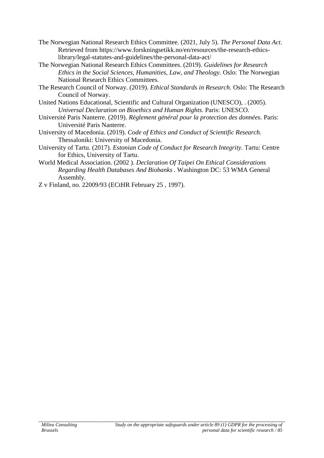- The Norwegian National Research Ethics Committee. (2021, July 5). *The Personal Data Act*. Retrieved from https://www.forskningsetikk.no/en/resources/the-research-ethicslibrary/legal-statutes-and-guidelines/the-personal-data-act/
- The Norwegian National Research Ethics Committees. (2019). *Guidelines for Research Ethics in the Social Sciences, Humanities, Law, and Theology.* Oslo: The Norwegian National Research Ethics Committees.
- The Research Council of Norway. (2019). *Ethical Standards in Research.* Oslo: The Research Council of Norway.
- United Nations Educational, Scientific and Cultural Organization (UNESCO), . (2005). *Universal Declaration on Bioethics and Human Rights.* Paris: UNESCO.
- Université Paris Nanterre. (2019). *Règlement général pour la protection des données.* Paris: Université Paris Nanterre.
- University of Macedonia. (2019). *Code of Ethics and Conduct of Scientific Research.* Thessaloniki: University of Macedonia.
- University of Tartu. (2017). *Estonian Code of Conduct for Research Integrity.* Tartu: Centre for Ethics, University of Tartu.
- World Medical Association. (2002 ). *Declaration Of Taipei On Ethical Considerations Regarding Health Databases And Biobanks .* Washington DC: 53 WMA General Assembly.
- Z v Finland, no. 22009/93 (ECtHR February 25 , 1997).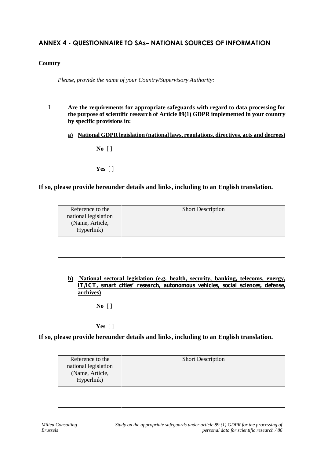# **ANNEX 4 - QUESTIONNAIRE TO SAs–NATIONAL SOURCES OF INFORMATION**

### **Country**

*Please, provide the name of your Country/Supervisory Authority:*

- I. **Are the requirements for appropriate safeguards with regard to data processing for the purpose of scientific research of Article 89(1) GDPR implemented in your country by specific provisions in:**
	- **a) National GDPR legislation (national laws, regulations, directives, acts and decrees)**

**No** [ ]

**Yes** [ ]

### **If so, please provide hereunder details and links, including to an English translation.**

| Reference to the<br>national legislation<br>(Name, Article,<br>Hyperlink) | <b>Short Description</b> |
|---------------------------------------------------------------------------|--------------------------|
|                                                                           |                          |
|                                                                           |                          |
|                                                                           |                          |

**b) National sectoral legislation (e.g. health, security, banking, telecoms, energy, IT/ICT, smart cities' research, autonomous vehicles, social sciences, defense, archives)**

**No** [ ]

### **Yes** [ ]

### **If so, please provide hereunder details and links, including to an English translation.**

| Reference to the<br>national legislation<br>(Name, Article,<br>Hyperlink) | <b>Short Description</b> |
|---------------------------------------------------------------------------|--------------------------|
|                                                                           |                          |
|                                                                           |                          |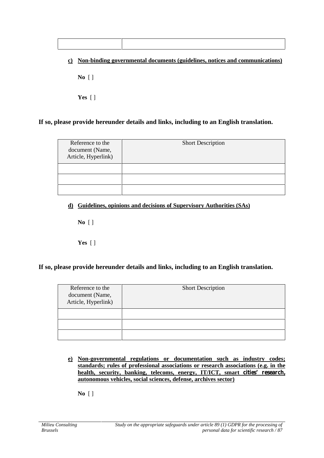| $\bf c)$ |                           |  | Non-binding governmental documents (guidelines, notices and communications) |
|----------|---------------------------|--|-----------------------------------------------------------------------------|
|          | $\bf{No}$ []              |  |                                                                             |
|          | Yes $\lceil \cdot \rceil$ |  |                                                                             |

### **If so, please provide hereunder details and links, including to an English translation.**

| Reference to the<br>document (Name,<br>Article, Hyperlink) | <b>Short Description</b> |
|------------------------------------------------------------|--------------------------|
|                                                            |                          |
|                                                            |                          |
|                                                            |                          |

### **d) Guidelines, opinions and decisions of Supervisory Authorities (SAs)**

**No** [ ]

**Yes** [ ]

### **If so, please provide hereunder details and links, including to an English translation.**

| Reference to the<br>document (Name,<br>Article, Hyperlink) | <b>Short Description</b> |
|------------------------------------------------------------|--------------------------|
|                                                            |                          |
|                                                            |                          |
|                                                            |                          |

**e) Non-governmental regulations or documentation such as industry codes; standards; rules of professional associations or research associations (e.g. in the health, security, banking, telecoms, energy, IT/ICT, smart cities' research, autonomous vehicles, social sciences, defense, archives sector)**

**No** [ ]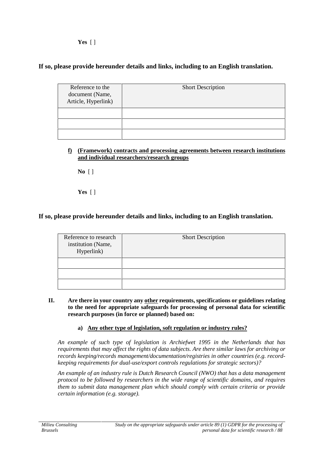**Yes** [ ]

### **If so, please provide hereunder details and links, including to an English translation.**

| Reference to the<br>document (Name,<br>Article, Hyperlink) | <b>Short Description</b> |
|------------------------------------------------------------|--------------------------|
|                                                            |                          |
|                                                            |                          |
|                                                            |                          |

**f) (Framework) contracts and processing agreements between research institutions and individual researchers/research groups**

**No** [ ]

**Yes** [ ]

## **If so, please provide hereunder details and links, including to an English translation.**

| Reference to research<br>institution (Name,<br>Hyperlink) | <b>Short Description</b> |
|-----------------------------------------------------------|--------------------------|
|                                                           |                          |
|                                                           |                          |
|                                                           |                          |

- **II. Are there in your country any other requirements, specifications or guidelines relating to the need for appropriate safeguards for processing of personal data for scientific research purposes (in force or planned) based on:**
	- **a) Any other type of legislation, soft regulation or industry rules?**

*An example of such type of legislation is Archiefwet 1995 in the Netherlands that has requirements that may affect the rights of data subjects. Are there similar laws for archiving or records keeping/records management/documentation/registries in other countries (e.g. record keeping requirements for dual-use/export controls regulations for strategic sectors)?*

*An example of an industry rule is Dutch Research Council (NWO) that has a data management protocol to be followed by researchers in the wide range of scientific domains, and requires them to submit data management plan which should comply with certain criteria or provide certain information (e.g. storage).*